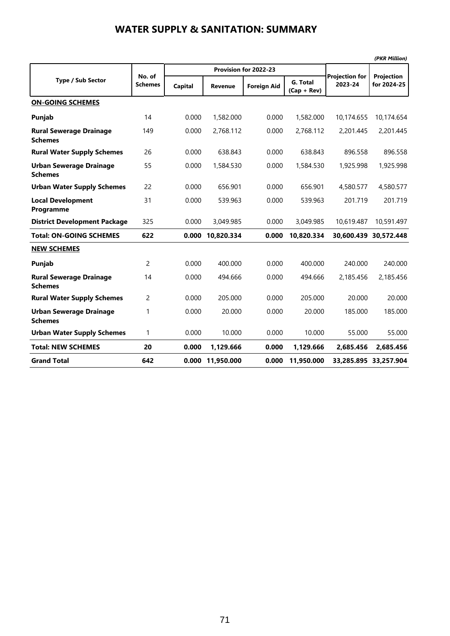|                                                  |                          |                |                |                       |                           |                                  | (PKR Million)             |
|--------------------------------------------------|--------------------------|----------------|----------------|-----------------------|---------------------------|----------------------------------|---------------------------|
|                                                  |                          |                |                | Provision for 2022-23 |                           |                                  |                           |
| <b>Type / Sub Sector</b>                         | No. of<br><b>Schemes</b> | <b>Capital</b> | <b>Revenue</b> | <b>Foreign Aid</b>    | G. Total<br>$(Cap + Rev)$ | <b>Projection for</b><br>2023-24 | Projection<br>for 2024-25 |
| <b>ON-GOING SCHEMES</b>                          |                          |                |                |                       |                           |                                  |                           |
| Punjab                                           | 14                       | 0.000          | 1,582.000      | 0.000                 | 1,582.000                 | 10,174.655                       | 10,174.654                |
| <b>Rural Sewerage Drainage</b><br><b>Schemes</b> | 149                      | 0.000          | 2,768.112      | 0.000                 | 2,768.112                 | 2,201.445                        | 2,201.445                 |
| <b>Rural Water Supply Schemes</b>                | 26                       | 0.000          | 638.843        | 0.000                 | 638.843                   | 896.558                          | 896.558                   |
| <b>Urban Sewerage Drainage</b><br><b>Schemes</b> | 55                       | 0.000          | 1,584.530      | 0.000                 | 1,584.530                 | 1,925.998                        | 1,925.998                 |
| <b>Urban Water Supply Schemes</b>                | 22                       | 0.000          | 656.901        | 0.000                 | 656.901                   | 4,580.577                        | 4,580.577                 |
| <b>Local Development</b><br>Programme            | 31                       | 0.000          | 539.963        | 0.000                 | 539.963                   | 201.719                          | 201.719                   |
| <b>District Development Package</b>              | 325                      | 0.000          | 3,049.985      | 0.000                 | 3,049.985                 | 10,619.487                       | 10,591.497                |
| <b>Total: ON-GOING SCHEMES</b>                   | 622                      | 0.000          | 10,820.334     | 0.000                 | 10,820.334                | 30.600.439                       | 30.572.448                |
| <b>NEW SCHEMES</b>                               |                          |                |                |                       |                           |                                  |                           |
| Punjab                                           | 2                        | 0.000          | 400.000        | 0.000                 | 400.000                   | 240.000                          | 240.000                   |
| <b>Rural Sewerage Drainage</b><br><b>Schemes</b> | 14                       | 0.000          | 494.666        | 0.000                 | 494.666                   | 2.185.456                        | 2.185.456                 |
| <b>Rural Water Supply Schemes</b>                | $\overline{c}$           | 0.000          | 205.000        | 0.000                 | 205.000                   | 20.000                           | 20.000                    |
| <b>Urban Sewerage Drainage</b><br><b>Schemes</b> | 1                        | 0.000          | 20.000         | 0.000                 | 20.000                    | 185.000                          | 185.000                   |
| <b>Urban Water Supply Schemes</b>                | $\mathbf{1}$             | 0.000          | 10.000         | 0.000                 | 10.000                    | 55.000                           | 55.000                    |
| <b>Total: NEW SCHEMES</b>                        | 20                       | 0.000          | 1,129.666      | 0.000                 | 1,129.666                 | 2,685.456                        | 2,685.456                 |
| <b>Grand Total</b>                               | 642                      | 0.000          | 11,950.000     | 0.000                 | 11,950.000                |                                  | 33,285.895 33,257.904     |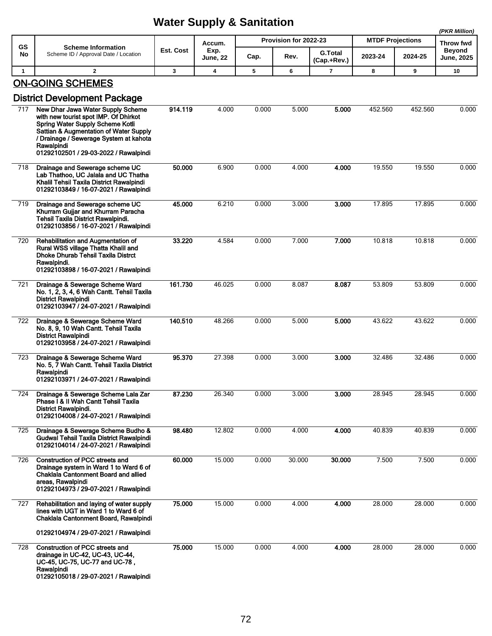|              |                                                                                                                                                                                                                                                           | malai ouppiy a oannahon<br>(PKR Million) |                         |       |                       |                               |         |                         |                                    |  |
|--------------|-----------------------------------------------------------------------------------------------------------------------------------------------------------------------------------------------------------------------------------------------------------|------------------------------------------|-------------------------|-------|-----------------------|-------------------------------|---------|-------------------------|------------------------------------|--|
| <b>GS</b>    | <b>Scheme Information</b>                                                                                                                                                                                                                                 |                                          | Accum.                  |       | Provision for 2022-23 |                               |         | <b>MTDF Projections</b> | Throw fwd                          |  |
| No           | Scheme ID / Approval Date / Location                                                                                                                                                                                                                      | Est. Cost                                | Exp.<br><b>June, 22</b> | Cap.  | Rev.                  | <b>G.Total</b><br>(Cap.+Rev.) | 2023-24 | 2024-25                 | <b>Beyond</b><br><b>June, 2025</b> |  |
| $\mathbf{1}$ | $\overline{2}$                                                                                                                                                                                                                                            | 3                                        | 4                       | 5     | 6                     | $\overline{7}$                | 8       | 9                       | 10                                 |  |
|              | <b>ON-GOING SCHEMES</b>                                                                                                                                                                                                                                   |                                          |                         |       |                       |                               |         |                         |                                    |  |
|              | <b>District Development Package</b>                                                                                                                                                                                                                       |                                          |                         |       |                       |                               |         |                         |                                    |  |
| 717          | New Dhar Jawa Water Supply Scheme<br>with new tourist spot IMP. Of Dhirkot<br>Spring Water Supply Scheme Kotli<br>Sattian & Augmentation of Water Supply<br>/ Drainage / Sewerage System at kahota<br>Rawalpindi<br>01292102501 / 29-03-2022 / Rawalpindi | 914.119                                  | 4.000                   | 0.000 | 5.000                 | 5.000                         | 452.560 | 452.560                 | 0.000                              |  |
| 718          | Drainage and Sewerage scheme UC<br>Lab Thathoo, UC Jalala and UC Thatha<br>Khalil Tehsil Taxila District Rawalpindi<br>01292103849 / 16-07-2021 / Rawalpindi                                                                                              | 50.000                                   | 6.900                   | 0.000 | 4.000                 | 4.000                         | 19.550  | 19.550                  | 0.000                              |  |
| 719          | Drainage and Sewerage scheme UC<br>Khurram Gujjar and Khurram Paracha<br>Tehsil Taxila District Rawalpindi.<br>01292103856 / 16-07-2021 / Rawalpindi                                                                                                      | 45.000                                   | 6.210                   | 0.000 | 3.000                 | 3.000                         | 17.895  | 17.895                  | 0.000                              |  |
| 720          | Rehabilitation and Augmentation of<br>Rural WSS village Thatta Khalil and<br><b>Dhoke Dhurab Tehsil Taxila Distrct</b><br>Rawalpindi.<br>01292103898 / 16-07-2021 / Rawalpindi                                                                            | 33.220                                   | 4.584                   | 0.000 | 7.000                 | 7.000                         | 10.818  | 10.818                  | 0.000                              |  |
| 721          | Drainage & Sewerage Scheme Ward<br>No. 1, 2, 3, 4, 6 Wah Cantt. Tehsil Taxila<br><b>District Rawalpindi</b><br>01292103947 / 24-07-2021 / Rawalpindi                                                                                                      | 161.730                                  | 46.025                  | 0.000 | 8.087                 | 8.087                         | 53.809  | 53.809                  | 0.000                              |  |
| 722          | Drainage & Sewerage Scheme Ward<br>No. 8, 9, 10 Wah Cantt. Tehsil Taxila<br><b>District Rawalpindi</b><br>01292103958 / 24-07-2021 / Rawalpindi                                                                                                           | 140.510                                  | 48.266                  | 0.000 | 5.000                 | 5.000                         | 43.622  | 43.622                  | 0.000                              |  |
| 723          | Drainage & Sewerage Scheme Ward<br>No. 5, 7 Wah Cantt. Tehsil Taxila District<br>Rawalpindi<br>01292103971 / 24-07-2021 / Rawalpindi                                                                                                                      | 95.370                                   | 27.398                  | 0.000 | 3.000                 | 3.000                         | 32.486  | 32.486                  | 0.000                              |  |
| 724          | Drainage & Sewerage Scheme Lala Zar<br>Phase I & II Wah Cantt Tehsil Taxila<br><b>District Rawalpindi.</b><br>01292104008 / 24-07-2021 / Rawalpindi                                                                                                       | 87.230                                   | 26.340                  | 0.000 | 3.000                 | 3.000                         | 28.945  | 28.945                  | 0.000                              |  |
| 725          | Drainage & Sewerage Scheme Budho &<br>Gudwal Tehsil Taxila District Rawalpindi<br>01292104014 / 24-07-2021 / Rawalpindi                                                                                                                                   | 98.480                                   | 12.802                  | 0.000 | 4.000                 | 4.000                         | 40.839  | 40.839                  | 0.000                              |  |
| 726          | <b>Construction of PCC streets and</b><br>Drainage system in Ward 1 to Ward 6 of<br>Chaklala Cantonment Board and allied<br>areas, Rawalpindi<br>01292104973 / 29-07-2021 / Rawalpindi                                                                    | 60.000                                   | 15.000                  | 0.000 | 30.000                | 30.000                        | 7.500   | 7.500                   | 0.000                              |  |
| 727          | Rehabilitation and laying of water supply<br>lines with UGT in Ward 1 to Ward 6 of<br>Chaklala Cantonment Board, Rawalpindi<br>01292104974 / 29-07-2021 / Rawalpindi                                                                                      | 75.000                                   | 15.000                  | 0.000 | 4.000                 | 4.000                         | 28.000  | 28.000                  | 0.000                              |  |
| 728          | <b>Construction of PCC streets and</b><br>drainage in UC-42, UC-43, UC-44,<br>UC-45, UC-75, UC-77 and UC-78,<br>Rawalpindi<br>01292105018 / 29-07-2021 / Rawalpindi                                                                                       | 75.000                                   | 15.000                  | 0.000 | 4.000                 | 4.000                         | 28.000  | 28.000                  | 0.000                              |  |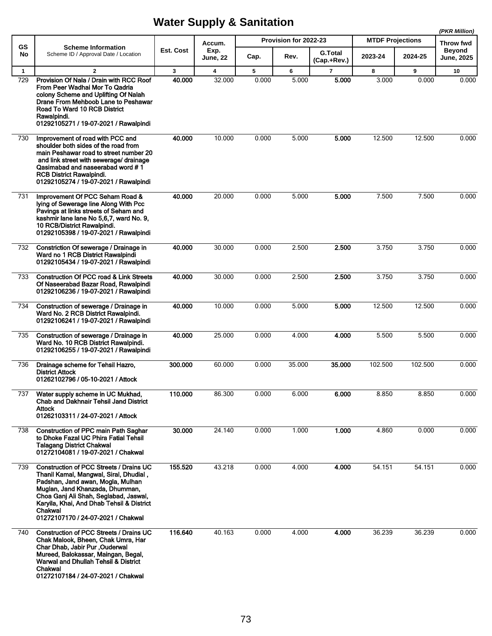|                 |                                                                                                                                                                                                                                                                                                         |              |                                   |       | Provision for 2022-23 |                               | <b>MTDF Projections</b> |         | (PKR Million)                            |
|-----------------|---------------------------------------------------------------------------------------------------------------------------------------------------------------------------------------------------------------------------------------------------------------------------------------------------------|--------------|-----------------------------------|-------|-----------------------|-------------------------------|-------------------------|---------|------------------------------------------|
| <b>GS</b><br>No | <b>Scheme Information</b><br>Scheme ID / Approval Date / Location                                                                                                                                                                                                                                       | Est. Cost    | Accum.<br>Exp.<br><b>June, 22</b> | Cap.  | Rev.                  | <b>G.Total</b>                | 2023-24                 | 2024-25 | Throw fwd<br><b>Beyond</b><br>June, 2025 |
| $\mathbf{1}$    | $\mathbf{2}$                                                                                                                                                                                                                                                                                            | $\mathbf{3}$ | $\overline{\mathbf{4}}$           | 5     | 6                     | (Cap.+Rev.)<br>$\overline{7}$ | 8                       | 9       | 10                                       |
| 729             | Provision Of Nala / Drain with RCC Roof<br>From Peer Wadhai Mor To Qadria<br>colony Scheme and Uplifting Of Nalah<br>Drane From Mehboob Lane to Peshawar<br>Road To Ward 10 RCB District<br>Rawalpindi.<br>01292105271 / 19-07-2021 / Rawalpindi                                                        | 40.000       | 32.000                            | 0.000 | 5.000                 | 5.000                         | 3.000                   | 0.000   | 0.000                                    |
| 730             | Improvement of road with PCC and<br>shoulder both sides of the road from<br>main Peshawar road to street number 20<br>and link street with sewerage/ drainage<br>Qasimabad and naseerabad word #1<br><b>RCB District Rawalpindi.</b><br>01292105274 / 19-07-2021 / Rawalpindi                           | 40.000       | 10.000                            | 0.000 | 5.000                 | 5.000                         | 12.500                  | 12.500  | 0.000                                    |
| 731             | Improvement Of PCC Seham Road &<br>lying of Sewerage line Along With Pcc<br>Pavings at links streets of Seham and<br>kashmir lane lane No 5,6,7, ward No. 9,<br>10 RCB/District Rawalpindi.<br>01292105398 / 19-07-2021 / Rawalpindi                                                                    | 40.000       | 20.000                            | 0.000 | 5.000                 | 5.000                         | 7.500                   | 7.500   | 0.000                                    |
| 732             | Constriction Of sewerage / Drainage in<br>Ward no 1 RCB District Rawalpindi<br>01292105434 / 19-07-2021 / Rawalpindi                                                                                                                                                                                    | 40.000       | 30.000                            | 0.000 | 2.500                 | 2.500                         | 3.750                   | 3.750   | 0.000                                    |
| 733             | <b>Construction Of PCC road &amp; Link Streets</b><br>Of Naseerabad Bazar Road, Rawalpindi<br>01292106236 / 19-07-2021 / Rawalpindi                                                                                                                                                                     | 40.000       | 30.000                            | 0.000 | 2.500                 | 2.500                         | 3.750                   | 3.750   | 0.000                                    |
| 734             | Construction of sewerage / Drainage in<br>Ward No. 2 RCB District Rawalpindi.<br>01292106241 / 19-07-2021 / Rawalpindi                                                                                                                                                                                  | 40.000       | 10.000                            | 0.000 | 5.000                 | 5.000                         | 12.500                  | 12.500  | 0.000                                    |
| 735             | Construction of sewerage / Drainage in<br>Ward No. 10 RCB District Rawalpindi.<br>01292106255 / 19-07-2021 / Rawalpindi                                                                                                                                                                                 | 40.000       | 25.000                            | 0.000 | 4.000                 | 4.000                         | 5.500                   | 5.500   | 0.000                                    |
| 736             | Drainage scheme for Tehsil Hazro,<br><b>District Attock</b><br>01262102796 / 05-10-2021 / Attock                                                                                                                                                                                                        | 300.000      | 60.000                            | 0.000 | 35.000                | 35.000                        | 102.500                 | 102.500 | 0.000                                    |
| 737             | Water supply scheme in UC Mukhad,<br><b>Chab and Dakhnair Tehsil Jand District</b><br>Attock<br>01262103311 / 24-07-2021 / Attock                                                                                                                                                                       | 110.000      | 86.300                            | 0.000 | 6.000                 | 6.000                         | 8.850                   | 8.850   | 0.000                                    |
| 738             | <b>Construction of PPC main Path Saghar</b><br>to Dhoke Fazal UC Phira Fatial Tehsil<br><b>Talagang District Chakwal</b><br>01272104081 / 19-07-2021 / Chakwal                                                                                                                                          | 30.000       | 24.140                            | 0.000 | 1.000                 | 1.000                         | 4.860                   | 0.000   | 0.000                                    |
| 739             | <b>Construction of PCC Streets / Drains UC</b><br>Thanil Kamal, Mangwal, Siral, Dhudial,<br>Padshan, Jand awan, Mogla, Mulhan<br>Muglan, Jand Khanzada, Dhumman,<br>Choa Ganj Ali Shah, Seglabad, Jaswal,<br>Karyila, Khai, And Dhab Tehsil & District<br>Chakwal<br>01272107170 / 24-07-2021 / Chakwal | 155.520      | 43.218                            | 0.000 | 4.000                 | 4.000                         | 54.151                  | 54.151  | 0.000                                    |
| 740             | Construction of PCC Streets / Drains UC<br>Chak Malook, Bheen, Chak Umra, Har<br>Char Dhab, Jabir Pur, Ouderwal<br>Mureed, Balokassar, Maingan, Begal,<br>Warwal and Dhullah Tehsil & District<br>Chakwal<br>01272107184 / 24-07-2021 / Chakwal                                                         | 116.640      | 40.163                            | 0.000 | 4.000                 | 4.000                         | 36.239                  | 36.239  | 0.000                                    |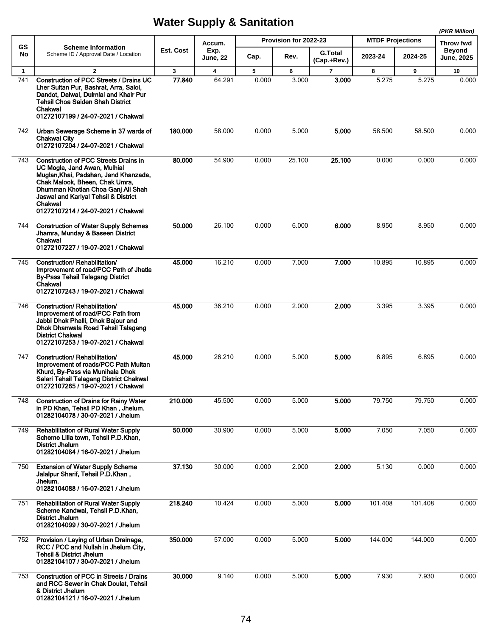|                     |                                                                                                                                                                                                                                                                                        |                        |                |            |                       |                         |                         |            | (PKR Million)              |
|---------------------|----------------------------------------------------------------------------------------------------------------------------------------------------------------------------------------------------------------------------------------------------------------------------------------|------------------------|----------------|------------|-----------------------|-------------------------|-------------------------|------------|----------------------------|
| GS<br>No            | <b>Scheme Information</b><br>Scheme ID / Approval Date / Location                                                                                                                                                                                                                      | Est. Cost              | Accum.<br>Exp. |            | Provision for 2022-23 | <b>G.Total</b>          | <b>MTDF Projections</b> |            | Throw fwd<br><b>Beyond</b> |
|                     |                                                                                                                                                                                                                                                                                        |                        | June, 22       | Cap.       | Rev.                  | (Cap.+Rev.)             | 2023-24                 | 2024-25    | <b>June, 2025</b>          |
| $\mathbf{1}$<br>741 | $\overline{2}$<br><b>Construction of PCC Streets / Drains UC</b><br>Lher Sultan Pur, Bashrat, Arra, Saloi,<br>Dandot, Dalwal, Dulmial and Khair Pur<br><b>Tehsil Choa Saiden Shah District</b><br>Chakwal<br>01272107199 / 24-07-2021 / Chakwal                                        | $\mathbf{3}$<br>77.840 | 4<br>64.291    | 5<br>0.000 | 6<br>3.000            | $\overline{7}$<br>3.000 | 8<br>5.275              | 9<br>5.275 | 10<br>0.000                |
| 742                 | Urban Sewerage Scheme in 37 wards of<br><b>Chakwal City</b><br>01272107204 / 24-07-2021 / Chakwal                                                                                                                                                                                      | 180,000                | 58.000         | 0.000      | 5.000                 | 5.000                   | 58.500                  | 58.500     | 0.000                      |
| 743                 | <b>Construction of PCC Streets Drains in</b><br>UC Mogla, Jand Awan, Mulhial<br>Muglan, Khai, Padshan, Jand Khanzada,<br>Chak Malook, Bheen, Chak Umra,<br>Dhumman Khotian Choa Ganj Ali Shah<br>Jaswal and Kariyal Tehsil & District<br>Chakwal<br>01272107214 / 24-07-2021 / Chakwal | 80.000                 | 54.900         | 0.000      | 25.100                | 25.100                  | 0.000                   | 0.000      | 0.000                      |
| 744                 | <b>Construction of Water Supply Schemes</b><br>Jhamra, Munday & Baseen District<br>Chakwal<br>01272107227 / 19-07-2021 / Chakwal                                                                                                                                                       | 50.000                 | 26.100         | 0.000      | 6.000                 | 6.000                   | 8.950                   | 8.950      | 0.000                      |
| 745                 | <b>Construction/ Rehabilitation/</b><br>Improvement of road/PCC Path of Jhatla<br><b>By-Pass Tehsil Talagang District</b><br>Chakwal<br>01272107243 / 19-07-2021 / Chakwal                                                                                                             | 45.000                 | 16.210         | 0.000      | 7.000                 | 7.000                   | 10.895                  | 10.895     | 0.000                      |
| 746                 | Construction/Rehabilitation/<br>Improvement of road/PCC Path from<br>Jabbi Dhok Phalli, Dhok Bajour and<br>Dhok Dhanwala Road Tehsil Talagang<br><b>District Chakwal</b><br>01272107253 / 19-07-2021 / Chakwal                                                                         | 45.000                 | 36.210         | 0.000      | 2.000                 | 2.000                   | 3.395                   | 3.395      | 0.000                      |
| 747                 | Construction/Rehabilitation/<br>Improvement of roads/PCC Path Multan<br>Khurd, By-Pass via Munihala Dhok<br>Salari Tehsil Talagang District Chakwal<br>01272107265 / 19-07-2021 / Chakwal                                                                                              | 45.000                 | 26.210         | 0.000      | 5.000                 | 5.000                   | 6.895                   | 6.895      | 0.000                      |
| 748                 | <b>Construction of Drains for Rainy Water</b><br>in PD Khan, Tehsil PD Khan, Jhelum.<br>01282104078 / 30-07-2021 / Jhelum                                                                                                                                                              | 210.000                | 45.500         | 0.000      | 5.000                 | 5.000                   | 79.750                  | 79.750     | 0.000                      |
| 749                 | <b>Rehabilitation of Rural Water Supply</b><br>Scheme Lilla town, Tehsil P.D.Khan,<br><b>District Jhelum</b><br>01282104084 / 16-07-2021 / Jhelum                                                                                                                                      | 50.000                 | 30.900         | 0.000      | 5.000                 | 5.000                   | 7.050                   | 7.050      | 0.000                      |
| 750                 | <b>Extension of Water Supply Scheme</b><br>Jalalpur Sharif, Tehsil P.D.Khan,<br>Jhelum.<br>01282104088 / 16-07-2021 / Jhelum                                                                                                                                                           | 37.130                 | 30.000         | 0.000      | 2.000                 | 2.000                   | 5.130                   | 0.000      | 0.000                      |
| 751                 | <b>Rehabilitation of Rural Water Supply</b><br>Scheme Kandwal, Tehsil P.D.Khan,<br><b>District Jhelum</b><br>01282104099 / 30-07-2021 / Jhelum                                                                                                                                         | 218.240                | 10.424         | 0.000      | 5.000                 | 5.000                   | 101.408                 | 101.408    | 0.000                      |
| 752                 | Provision / Laying of Urban Drainage,<br>RCC / PCC and Nullah in Jhelum City,<br><b>Tehsil &amp; District Jhelum</b><br>01282104107 / 30-07-2021 / Jhelum                                                                                                                              | 350.000                | 57.000         | 0.000      | 5.000                 | 5.000                   | 144.000                 | 144.000    | 0.000                      |
| 753                 | <b>Construction of PCC in Streets / Drains</b><br>and RCC Sewer in Chak Doulat, Tehsil<br>& District Jhelum<br>01282104121 / 16-07-2021 / Jhelum                                                                                                                                       | 30,000                 | 9.140          | 0.000      | 5.000                 | 5.000                   | 7.930                   | 7.930      | 0.000                      |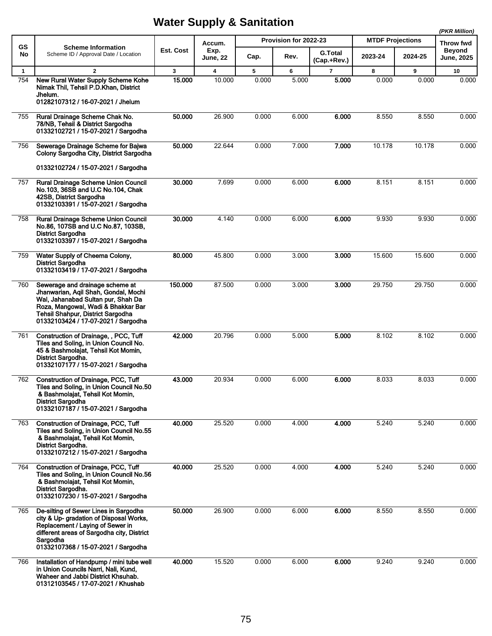|              |                                                                                                                                                                                                                                 |              |                         |       |                       |                               |                         |         | (PKR Million)                      |
|--------------|---------------------------------------------------------------------------------------------------------------------------------------------------------------------------------------------------------------------------------|--------------|-------------------------|-------|-----------------------|-------------------------------|-------------------------|---------|------------------------------------|
| GS           | <b>Scheme Information</b>                                                                                                                                                                                                       |              | Accum.                  |       | Provision for 2022-23 |                               | <b>MTDF Projections</b> |         | Throw fwd                          |
| No           | Scheme ID / Approval Date / Location                                                                                                                                                                                            | Est. Cost    | Exp.<br><b>June, 22</b> | Cap.  | Rev.                  | <b>G.Total</b><br>(Cap.+Rev.) | 2023-24                 | 2024-25 | <b>Beyond</b><br><b>June, 2025</b> |
| $\mathbf{1}$ | $\overline{2}$                                                                                                                                                                                                                  | $\mathbf{3}$ | 4                       | 5     | 6                     | $\overline{7}$                | 8                       | 9       | 10                                 |
| 754          | New Rural Water Supply Scheme Kohe<br>Nimak Thil, Tehsil P.D.Khan, District<br>Jhelum.<br>01282107312 / 16-07-2021 / Jhelum                                                                                                     | 15.000       | 10.000                  | 0.000 | 5.000                 | 5.000                         | 0.000                   | 0.000   | 0.000                              |
| 755          | Rural Drainage Scheme Chak No.<br>78/NB, Tehsil & District Sargodha<br>01332102721 / 15-07-2021 / Sargodha                                                                                                                      | 50.000       | 26.900                  | 0.000 | 6.000                 | 6.000                         | 8.550                   | 8.550   | 0.000                              |
| 756          | Sewerage Drainage Scheme for Bajwa<br>Colony Sargodha City, District Sargodha<br>01332102724 / 15-07-2021 / Sargodha                                                                                                            | 50.000       | 22.644                  | 0.000 | 7.000                 | 7.000                         | 10.178                  | 10.178  | 0.000                              |
| 757          | Rural Drainage Scheme Union Council<br>No.103, 36SB and U.C No.104, Chak<br>42SB, District Sargodha<br>01332103391 / 15-07-2021 / Sargodha                                                                                      | 30.000       | 7.699                   | 0.000 | 6.000                 | 6.000                         | 8.151                   | 8.151   | 0.000                              |
| 758          | <b>Rural Drainage Scheme Union Council</b><br>No.86, 107SB and U.C No.87, 103SB,<br><b>District Sargodha</b><br>01332103397 / 15-07-2021 / Sargodha                                                                             | 30.000       | 4.140                   | 0.000 | 6.000                 | 6.000                         | 9.930                   | 9.930   | 0.000                              |
| 759          | Water Supply of Cheema Colony,<br><b>District Sargodha</b><br>01332103419 / 17-07-2021 / Sargodha                                                                                                                               | 80.000       | 45.800                  | 0.000 | 3.000                 | 3.000                         | 15.600                  | 15.600  | 0.000                              |
| 760          | Sewerage and drainage scheme at<br>Jhanwarian, Aqil Shah, Gondal, Mochi<br>Wal, Jahanabad Sultan pur, Shah Da<br>Roza, Mangowal, Wadi & Bhakkar Bar<br>Tehsil Shahpur, District Sargodha<br>01332103424 / 17-07-2021 / Sargodha | 150.000      | 87.500                  | 0.000 | 3.000                 | 3.000                         | 29.750                  | 29.750  | 0.000                              |
| 761          | Construction of Drainage, , PCC, Tuff<br>Tiles and Soling, in Union Council No.<br>45 & Bashmolajat, Tehsil Kot Momin,<br>District Sargodha.<br>01332107177 / 15-07-2021 / Sargodha                                             | 42.000       | 20.796                  | 0.000 | 5.000                 | 5.000                         | 8.102                   | 8.102   | 0.000                              |
| 762          | <b>Construction of Drainage, PCC, Tuff</b><br>Tiles and Soling, in Union Council No.50<br>& Bashmolajat, Tehsil Kot Momin,<br><b>District Sargodha</b><br>01332107187 / 15-07-2021 / Sargodha                                   | 43.000       | 20.934                  | 0.000 | 6.000                 | 6.000                         | 8.033                   | 8.033   | 0.000                              |
| 763          | Construction of Drainage, PCC, Tuff<br>Tiles and Soling, in Union Council No.55<br>& Bashmolajat, Tehsil Kot Momin,<br>District Sargodha.<br>01332107212 / 15-07-2021 / Sargodha                                                | 40.000       | 25.520                  | 0.000 | 4.000                 | 4.000                         | 5.240                   | 5.240   | 0.000                              |
| 764          | Construction of Drainage, PCC, Tuff<br>Tiles and Soling, in Union Council No.56<br>& Bashmolajat, Tehsil Kot Momin,<br>District Sargodha.<br>01332107230 / 15-07-2021 / Sargodha                                                | 40.000       | 25.520                  | 0.000 | 4.000                 | 4.000                         | 5.240                   | 5.240   | 0.000                              |
| 765          | De-silting of Sewer Lines in Sargodha<br>city & Up- gradation of Disposal Works.<br>Replacement / Laying of Sewer in<br>different areas of Sargodha city, District<br>Sargodha<br>01332107368 / 15-07-2021 / Sargodha           | 50.000       | 26.900                  | 0.000 | 6.000                 | 6.000                         | 8.550                   | 8.550   | 0.000                              |
| 766          | Installation of Handpump / mini tube well<br>in Union Councils Narri, Nali, Kund,<br>Waheer and Jabbi District Khsuhab.<br>01312103545 / 17-07-2021 / Khushab                                                                   | 40.000       | 15.520                  | 0.000 | 6.000                 | 6.000                         | 9.240                   | 9.240   | 0.000                              |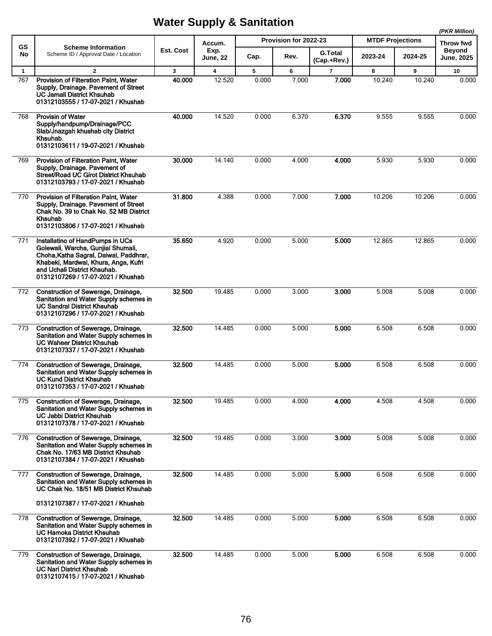|              |                                                                                                                                                                                                                                |              |                |       |                       |                |         | (PKR Million)<br><b>MTDF Projections</b> |                            |
|--------------|--------------------------------------------------------------------------------------------------------------------------------------------------------------------------------------------------------------------------------|--------------|----------------|-------|-----------------------|----------------|---------|------------------------------------------|----------------------------|
| <b>GS</b>    | <b>Scheme Information</b>                                                                                                                                                                                                      | Est. Cost    | Accum.<br>Exp. |       | Provision for 2022-23 | <b>G.Total</b> |         |                                          | Throw fwd<br><b>Beyond</b> |
| No           | Scheme ID / Approval Date / Location                                                                                                                                                                                           |              | June, 22       | Cap.  | Rev.                  | (Cap.+Rev.)    | 2023-24 | 2024-25                                  | <b>June, 2025</b>          |
| $\mathbf{1}$ | $\overline{2}$                                                                                                                                                                                                                 | $\mathbf{3}$ | 4              | 5     | 6                     | $\overline{7}$ | 8       | 9                                        | 10                         |
| 767          | Provision of Filteration Paint, Water<br>Supply, Drainage. Pavement of Street<br><b>UC Jamali District Khsuhab</b><br>01312103555 / 17-07-2021 / Khushab                                                                       | 40.000       | 12.520         | 0.000 | 7.000                 | 7.000          | 10.240  | 10.240                                   | 0.000                      |
| 768          | <b>Provisin of Water</b><br>Supply/handpump/Drainage/PCC<br>Slab/Jnazgah khushab city District<br>Khsuhab.<br>01312103611 / 19-07-2021 / Khushab                                                                               | 40.000       | 14.520         | 0.000 | 6.370                 | 6.370          | 9.555   | 9.555                                    | 0.000                      |
| 769          | Provision of Filteration Palnt, Water<br>Supply, Drainage. Pavement of<br>Street/Road UC Girot District Khsuhab<br>01312103793 / 17-07-2021 / Khushab                                                                          | 30.000       | 14.140         | 0.000 | 4.000                 | 4.000          | 5.930   | 5.930                                    | 0.000                      |
| 770          | Provision of Filteration Paint, Water<br>Supply, Drainage. Pavement of Street<br>Chak No. 39 to Chak No. 52 MB District<br>Khsuhab<br>01312103806 / 17-07-2021 / Khushab                                                       | 31.800       | 4.388          | 0.000 | 7.000                 | 7.000          | 10.206  | 10.206                                   | 0.000                      |
| 771          | Installatino of HandPumps in UCs<br>Golewali, Warcha, Gunjial Shumali,<br>Choha, Katha Sagral, Daiwal, Paddhrar,<br>Khabeki, Mardwal, Khura, Anga, Kufri<br>and Uchali District Khsuhab.<br>01312107269 / 17-07-2021 / Khushab | 35.650       | 4.920          | 0.000 | 5.000                 | 5.000          | 12.865  | 12.865                                   | 0.000                      |
| 772          | Construction of Sewerage, Drainage,<br>Sanitation and Water Supply schemes in<br><b>UC Sandral District Khsuhab</b><br>01312107296 / 17-07-2021 / Khushab                                                                      | 32.500       | 19.485         | 0.000 | 3.000                 | 3.000          | 5.008   | 5.008                                    | 0.000                      |
| 773          | Construction of Sewerage, Drainage,<br>Sanitation and Water Supply schemes in<br><b>UC Waheer District Khsuhab</b><br>01312107337 / 17-07-2021 / Khushab                                                                       | 32.500       | 14.485         | 0.000 | 5.000                 | 5.000          | 6.508   | 6.508                                    | 0.000                      |
| 774          | Construction of Sewerage, Drainage,<br>Sanitation and Water Supply schemes in<br><b>UC Kund District Khsuhab</b><br>01312107353 / 17-07-2021 / Khushab                                                                         | 32.500       | 14.485         | 0.000 | 5.000                 | 5.000          | 6.508   | 6.508                                    | 0.000                      |
| 775          | Construction of Sewerage, Drainage,<br>Sanitation and Water Supply schemes in<br>UC Jabbi District Khsuhab<br>01312107378 / 17-07-2021 / Khushab                                                                               | 32.500       | 19.485         | 0.000 | 4.000                 | 4.000          | 4.508   | 4.508                                    | 0.000                      |
| 776          | <b>Construction of Sewerage, Drainage,</b><br>Sanitation and Water Supply schemes in<br>Chak No. 17/63 MB District Khsuhab<br>01312107384 / 17-07-2021 / Khushab                                                               | 32.500       | 19.485         | 0.000 | 3.000                 | 3.000          | 5.008   | 5.008                                    | 0.000                      |
| 777          | Construction of Sewerage, Drainage,<br>Sanitation and Water Supply schemes in<br>UC Chak No. 18/51 MB District Khsuhab<br>01312107387 / 17-07-2021 / Khushab                                                                   | 32.500       | 14.485         | 0.000 | 5.000                 | 5.000          | 6.508   | 6.508                                    | 0.000                      |
| 778          | Construction of Sewerage, Drainage,<br>Sanitation and Water Supply schemes in<br><b>UC Hamoka District Khsuhab</b><br>01312107392 / 17-07-2021 / Khushab                                                                       | 32.500       | 14.485         | 0.000 | 5.000                 | 5.000          | 6.508   | 6.508                                    | 0.000                      |
| 779          | Construction of Sewerage, Drainage,<br>Sanitation and Water Supply schemes in<br><b>UC Nari District Khsuhab</b><br>01312107415 / 17-07-2021 / Khushab                                                                         | 32.500       | 14.485         | 0.000 | 5.000                 | 5.000          | 6.508   | 6.508                                    | 0.000                      |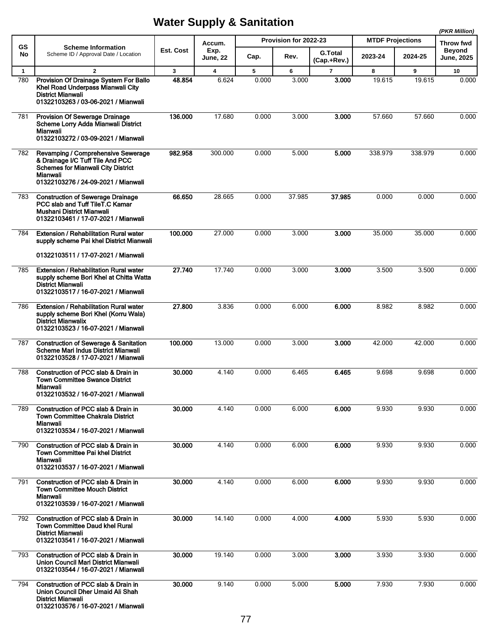|              |                                                                                                                                                                        |              |                         |       |                       |                |                         |         | (PKR Million)                     |
|--------------|------------------------------------------------------------------------------------------------------------------------------------------------------------------------|--------------|-------------------------|-------|-----------------------|----------------|-------------------------|---------|-----------------------------------|
| GS           | <b>Scheme Information</b>                                                                                                                                              | Est. Cost    | Accum.<br>Exp.          |       | Provision for 2022-23 | <b>G.Total</b> | <b>MTDF Projections</b> |         | <b>Throw fwd</b><br><b>Beyond</b> |
| No           | Scheme ID / Approval Date / Location                                                                                                                                   |              | June, 22                | Cap.  | Rev.                  | (Cap.+Rev.)    | 2023-24                 | 2024-25 | <b>June, 2025</b>                 |
| $\mathbf{1}$ | $\overline{2}$                                                                                                                                                         | $\mathbf{3}$ | $\overline{\mathbf{4}}$ | 5     | 6                     | $\overline{7}$ | 8                       | 9       | 10                                |
| 780          | Provision Of Drainage System For Ballo<br>Khel Road Underpass Mianwali City<br><b>District Mianwali</b><br>01322103263 / 03-06-2021 / Mianwali                         | 48.854       | 6.624                   | 0.000 | 3.000                 | 3.000          | 19.615                  | 19.615  | 0.000                             |
| 781          | <b>Provision Of Sewerage Drainage</b><br>Scheme Lorry Adda Mianwali District<br>Mianwali<br>01322103272 / 03-09-2021 / Mianwali                                        | 136.000      | 17.680                  | 0.000 | 3.000                 | 3.000          | 57.660                  | 57.660  | 0.000                             |
| 782          | Revamping / Comprehensive Sewerage<br>& Drainage I/C Tuff Tile And PCC<br><b>Schemes for Mianwali City District</b><br>Mianwali<br>01322103276 / 24-09-2021 / Mianwali | 982.958      | 300.000                 | 0.000 | 5.000                 | 5.000          | 338.979                 | 338.979 | 0.000                             |
| 783          | <b>Construction of Sewerage Drainage</b><br>PCC slab and Tuff TileT.C Kamar<br>Mushani District Mianwali<br>01322103461 / 17-07-2021 / Mianwali                        | 66.650       | 28.665                  | 0.000 | 37.985                | 37.985         | 0.000                   | 0.000   | 0.000                             |
| 784          | <b>Extension / Rehabilitation Rural water</b><br>supply scheme Pai khel District Mianwali                                                                              | 100.000      | 27.000                  | 0.000 | 3.000                 | 3.000          | 35.000                  | 35.000  | 0.000                             |
|              | 01322103511 / 17-07-2021 / Mianwali                                                                                                                                    |              |                         |       |                       |                |                         |         |                                   |
| 785          | <b>Extension / Rehabilitation Rural water</b><br>supply scheme Bori Khel at Chitta Watta<br><b>District Mianwali</b><br>01322103517 / 16-07-2021 / Mianwali            | 27.740       | 17.740                  | 0.000 | 3.000                 | 3.000          | 3.500                   | 3.500   | 0.000                             |
| 786          | <b>Extension / Rehabilitation Rural water</b><br>supply scheme Bori Khel (Korru Wala)<br><b>District Mianwalix</b><br>01322103523 / 16-07-2021 / Mianwali              | 27.800       | 3.836                   | 0.000 | 6.000                 | 6.000          | 8.982                   | 8.982   | 0.000                             |
| 787          | <b>Construction of Sewerage &amp; Sanitation</b><br>Scheme Mari Indus District Mianwali<br>01322103528 / 17-07-2021 / Mianwali                                         | 100.000      | 13.000                  | 0.000 | 3.000                 | 3.000          | 42.000                  | 42.000  | 0.000                             |
| 788          | Construction of PCC slab & Drain in<br><b>Town Committee Swance District</b><br>Mianwali<br>01322103532 / 16-07-2021 / Mianwali                                        | 30.000       | 4.140                   | 0.000 | 6.465                 | 6.465          | 9.698                   | 9.698   | 0.000                             |
| 789.         | Construction of PCC slab & Drain in<br><b>Town Committee Chakrala District</b><br>Mianwali<br>01322103534 / 16-07-2021 / Mianwali                                      | 30.000       | 4.140                   | 0.000 | 6.000                 | 6.000          | 9.930                   | 9.930   | 0.000                             |
| 790          | Construction of PCC slab & Drain in<br><b>Town Committee Pai khel District</b><br>Mianwali<br>01322103537 / 16-07-2021 / Mianwali                                      | 30.000       | 4.140                   | 0.000 | 6.000                 | 6.000          | 9.930                   | 9.930   | 0.000                             |
| 791          | Construction of PCC slab & Drain in<br><b>Town Committee Mouch District</b><br>Mianwali<br>01322103539 / 16-07-2021 / Mianwali                                         | 30.000       | 4.140                   | 0.000 | 6.000                 | 6.000          | 9.930                   | 9.930   | 0.000                             |
| 792          | Construction of PCC slab & Drain in<br>Town Committee Daud khel Rural<br><b>District Mianwali</b><br>01322103541 / 16-07-2021 / Mianwali                               | 30,000       | 14.140                  | 0.000 | 4.000                 | 4.000          | 5.930                   | 5.930   | 0.000                             |
| 793          | Construction of PCC slab & Drain in<br>Union Council Mari District Mianwali<br>01322103544 / 16-07-2021 / Mianwali                                                     | 30.000       | 19.140                  | 0.000 | 3.000                 | 3.000          | 3.930                   | 3.930   | 0.000                             |
| 794          | Construction of PCC slab & Drain in<br>Union Council Dher Umaid Ali Shah<br><b>District Mianwali</b><br>01322103576 / 16-07-2021 / Mianwali                            | 30.000       | 9.140                   | 0.000 | 5.000                 | 5.000          | 7.930                   | 7.930   | 0.000                             |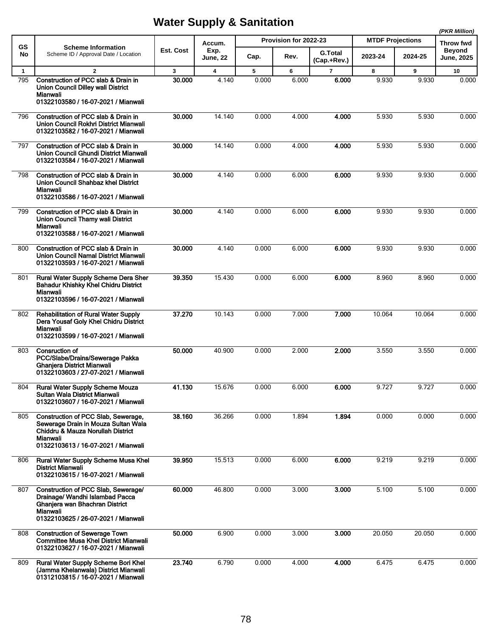|              |                                                                                                                                                                    |              |                         |       |                       |                               |                         |         | (PKR Million)              |
|--------------|--------------------------------------------------------------------------------------------------------------------------------------------------------------------|--------------|-------------------------|-------|-----------------------|-------------------------------|-------------------------|---------|----------------------------|
| GS           | <b>Scheme Information</b>                                                                                                                                          |              | Accum.                  |       | Provision for 2022-23 |                               | <b>MTDF Projections</b> |         | Throw fwd<br><b>Beyond</b> |
| No           | Scheme ID / Approval Date / Location                                                                                                                               | Est. Cost    | Exp.<br><b>June, 22</b> | Cap.  | Rev.                  | <b>G.Total</b><br>(Cap.+Rev.) | 2023-24                 | 2024-25 | <b>June, 2025</b>          |
| $\mathbf{1}$ | $\overline{2}$                                                                                                                                                     | $\mathbf{3}$ | $\overline{\mathbf{4}}$ | 5     | 6                     | $\overline{7}$                | 8                       | 9       | 10                         |
| 795          | Construction of PCC slab & Drain in<br>Union Council Dilley wali District<br>Mianwali<br>01322103580 / 16-07-2021 / Mianwali                                       | 30.000       | 4.140                   | 0.000 | 6.000                 | 6.000                         | 9.930                   | 9.930   | 0.000                      |
| 796          | Construction of PCC slab & Drain in<br>Union Council Rokhri District Mianwali<br>01322103582 / 16-07-2021 / Mianwali                                               | 30.000       | 14.140                  | 0.000 | 4.000                 | 4.000                         | 5.930                   | 5.930   | 0.000                      |
| 797          | Construction of PCC slab & Drain in<br>Union Council Ghundi District Mianwali<br>01322103584 / 16-07-2021 / Mianwali                                               | 30.000       | 14.140                  | 0.000 | 4.000                 | 4.000                         | 5.930                   | 5.930   | 0.000                      |
| 798          | Construction of PCC slab & Drain in<br>Union Council Shahbaz khel District<br>Mianwali<br>01322103586 / 16-07-2021 / Mianwali                                      | 30.000       | 4.140                   | 0.000 | 6.000                 | 6.000                         | 9.930                   | 9.930   | 0.000                      |
| 799          | Construction of PCC slab & Drain in<br>Union Council Thamy wall District<br><b>Mianwali</b><br>01322103588 / 16-07-2021 / Mianwali                                 | 30.000       | 4.140                   | 0.000 | 6.000                 | 6.000                         | 9.930                   | 9.930   | 0.000                      |
| 800          | Construction of PCC slab & Drain in<br>Union Council Namal District Mianwali<br>01322103593 / 16-07-2021 / Mianwali                                                | 30.000       | 4.140                   | 0.000 | 6.000                 | 6.000                         | 9.930                   | 9.930   | 0.000                      |
| 801          | Rural Water Supply Scheme Dera Sher<br><b>Bahadur Khishky Khel Chidru District</b><br>Mianwali<br>01322103596 / 16-07-2021 / Mianwali                              | 39.350       | 15.430                  | 0.000 | 6.000                 | 6.000                         | 8.960                   | 8.960   | 0.000                      |
| 802          | <b>Rehabilitation of Rural Water Supply</b><br>Dera Yousaf Goly Khel Chidru District<br>Mianwali<br>01322103599 / 16-07-2021 / Mianwali                            | 37.270       | 10.143                  | 0.000 | 7.000                 | 7.000                         | 10.064                  | 10.064  | 0.000                      |
| 803          | <b>Consruction of</b><br>PCC/Slabe/Drains/Sewerage Pakka<br><b>Ghaniera District Mianwali</b><br>01322103603 / 27-07-2021 / Mianwali                               | 50.000       | 40.900                  | 0.000 | 2.000                 | 2.000                         | 3.550                   | 3.550   | 0.000                      |
| 804          | <b>Rural Water Supply Scheme Mouza</b><br>Sultan Wala District Mianwali<br>01322103607 / 16-07-2021 / Mianwali                                                     | 41.130       | 15.676                  | 0.000 | 6.000                 | 6.000                         | 9.727                   | 9.727   | 0.000                      |
| 805          | Construction of PCC Slab, Sewerage,<br>Sewerage Drain in Mouza Sultan Wala<br>Chiddru & Mauza Norullah District<br>Mianwali<br>01322103613 / 16-07-2021 / Mianwali | 38.160       | 36.266                  | 0.000 | 1.894                 | 1.894                         | 0.000                   | 0.000   | 0.000                      |
| 806          | <b>Rural Water Supply Scheme Musa Khel</b><br><b>District Mianwali</b><br>01322103615 / 16-07-2021 / Mianwali                                                      | 39.950       | 15.513                  | 0.000 | 6.000                 | 6.000                         | 9.219                   | 9.219   | 0.000                      |
| 807          | Construction of PCC Slab, Sewerage/<br>Drainage/ Wandhi Islambad Pacca<br>Ghanjera wan Bhachran District<br>Mianwali<br>01322103625 / 26-07-2021 / Mianwali        | 60.000       | 46.800                  | 0.000 | 3.000                 | 3.000                         | 5.100                   | 5.100   | 0.000                      |
| 808          | <b>Construction of Sewerage Town</b><br><b>Committee Musa Khel District Mianwali</b><br>01322103627 / 16-07-2021 / Mianwali                                        | 50.000       | 6.900                   | 0.000 | 3.000                 | 3.000                         | 20.050                  | 20.050  | 0.000                      |
| 809          | Rural Water Supply Scheme Bori Khel<br>(Jamma Khelanwala) District Mianwali<br>01312103815 / 16-07-2021 / Mianwali                                                 | 23.740       | 6.790                   | 0.000 | 4.000                 | 4.000                         | 6.475                   | 6.475   | 0.000                      |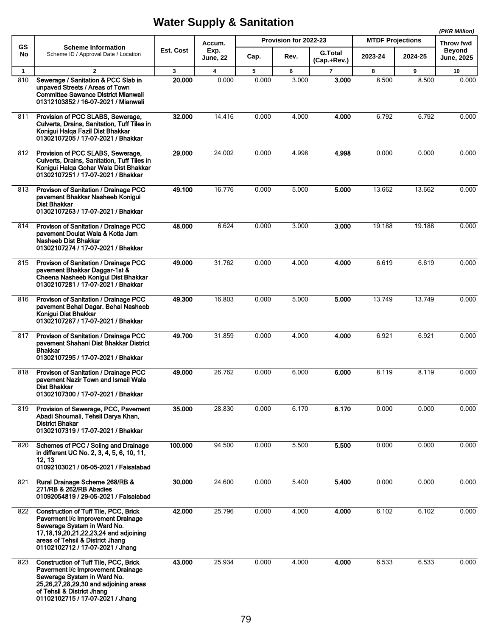|              |                                                                                                                                                                                                                                    |              |                         |       |                       |                               |                         |         | (PKR Million)                      |
|--------------|------------------------------------------------------------------------------------------------------------------------------------------------------------------------------------------------------------------------------------|--------------|-------------------------|-------|-----------------------|-------------------------------|-------------------------|---------|------------------------------------|
| <b>GS</b>    | <b>Scheme Information</b>                                                                                                                                                                                                          |              | Accum.                  |       | Provision for 2022-23 |                               | <b>MTDF Projections</b> |         | <b>Throw fwd</b>                   |
| No           | Scheme ID / Approval Date / Location                                                                                                                                                                                               | Est. Cost    | Exp.<br><b>June, 22</b> | Cap.  | Rev.                  | <b>G.Total</b><br>(Cap.+Rev.) | 2023-24                 | 2024-25 | <b>Beyond</b><br><b>June, 2025</b> |
| $\mathbf{1}$ | $\overline{2}$                                                                                                                                                                                                                     | $\mathbf{3}$ | $\overline{\mathbf{4}}$ | 5     | 6                     | $\overline{7}$                | 8                       | 9       | 10                                 |
| 810          | Sewerage / Sanitation & PCC Slab in<br>unpaved Streets / Areas of Town<br><b>Committee Sawance District Mianwali</b><br>01312103852 / 16-07-2021 / Mianwali                                                                        | 20.000       | 0.000                   | 0.000 | 3.000                 | 3.000                         | 8.500                   | 8.500   | 0.000                              |
| 811          | Provision of PCC SLABS, Sewerage,<br>Culverts, Drains, Sanitation, Tuff Tiles in<br>Konigui Halga Fazil Dist Bhakkar<br>01302107205 / 17-07-2021 / Bhakkar                                                                         | 32.000       | 14.416                  | 0.000 | 4.000                 | 4.000                         | 6.792                   | 6.792   | 0.000                              |
| 812          | Provision of PCC SLABS, Sewerage,<br>Culverts, Drains, Sanitation, Tuff Tiles in<br>Konigui Halga Gohar Wala Dist Bhakkar<br>01302107251 / 17-07-2021 / Bhakkar                                                                    | 29.000       | 24.002                  | 0.000 | 4.998                 | 4.998                         | 0.000                   | 0.000   | 0.000                              |
| 813          | Provison of Sanitation / Drainage PCC<br>pavement Bhakkar Nasheeb Konigui<br><b>Dist Bhakkar</b><br>01302107263 / 17-07-2021 / Bhakkar                                                                                             | 49.100       | 16.776                  | 0.000 | 5.000                 | 5.000                         | 13.662                  | 13.662  | 0.000                              |
| 814          | Provison of Sanitation / Drainage PCC<br>pavement Doulat Wala & Kotla Jam<br><b>Nasheeb Dist Bhakkar</b><br>01302107274 / 17-07-2021 / Bhakkar                                                                                     | 48.000       | 6.624                   | 0.000 | 3.000                 | 3.000                         | 19.188                  | 19.188  | 0.000                              |
| 815          | Provison of Sanitation / Drainage PCC<br>pavement Bhakkar Daggar-1st &<br>Cheena Nasheeb Konigui Dist Bhakkar<br>01302107281 / 17-07-2021 / Bhakkar                                                                                | 49.000       | 31.762                  | 0.000 | 4.000                 | 4.000                         | 6.619                   | 6.619   | 0.000                              |
| 816          | Provison of Sanitation / Drainage PCC<br>pavement Behal Dagar. Behal Nasheeb<br>Konigui Dist Bhakkar<br>01302107287 / 17-07-2021 / Bhakkar                                                                                         | 49.300       | 16.803                  | 0.000 | 5.000                 | 5.000                         | 13.749                  | 13.749  | 0.000                              |
| 817          | Provison of Sanitation / Drainage PCC<br>pavement Shahani Dist Bhakkar District<br><b>Bhakkar</b><br>01302107295 / 17-07-2021 / Bhakkar                                                                                            | 49.700       | 31.859                  | 0.000 | 4.000                 | 4.000                         | 6.921                   | 6.921   | 0.000                              |
| 818          | Provison of Sanitation / Drainage PCC<br>pavement Nazir Town and Ismail Wala<br>Dist Bhakkar<br>01302107300 / 17-07-2021 / Bhakkar                                                                                                 | 49.000       | 26.762                  | 0.000 | 6.000                 | 6.000                         | 8.119                   | 8.119   | 0.000                              |
| 819          | Provision of Sewerage, PCC, Pavement<br>Abadi Shoumali, Tehsil Darya Khan,<br><b>District Bhakar</b><br>01302107319 / 17-07-2021 / Bhakkar                                                                                         | 35.000       | 28.830                  | 0.000 | 6.170                 | 6.170                         | 0.000                   | 0.000   | 0.000                              |
| 820          | Schemes of PCC / Soling and Drainage<br>in different UC No. 2, 3, 4, 5, 6, 10, 11,<br>12, 13<br>01092103021 / 06-05-2021 / Faisalabad                                                                                              | 100.000      | 94.500                  | 0.000 | 5.500                 | 5.500                         | 0.000                   | 0.000   | 0.000                              |
| 821          | Rural Drainage Scheme 268/RB &<br>271/RB & 262/RB Abadies<br>01092054819 / 29-05-2021 / Faisalabad                                                                                                                                 | 30.000       | 24.600                  | 0.000 | 5.400                 | 5.400                         | 0.000                   | 0.000   | 0.000                              |
| 822          | <b>Construction of Tuff Tile, PCC, Brick</b><br>Paverment i/c Improvement Drainage<br>Sewerage System in Ward No.<br>17,18,19,20,21,22,23,24 and adjoining<br>areas of Tehsil & District Jhang<br>01102102712 / 17-07-2021 / Jhang | 42.000       | 25.796                  | 0.000 | 4.000                 | 4.000                         | 6.102                   | 6.102   | 0.000                              |
| 823          | Construction of Tuff Tile, PCC, Brick<br>Paverment i/c Improvement Drainage<br>Sewerage System in Ward No.<br>25, 26, 27, 28, 29, 30 and adjoining areas<br>of Tehsil & District Jhang<br>01102102715 / 17-07-2021 / Jhang         | 43.000       | 25.934                  | 0.000 | 4.000                 | 4.000                         | 6.533                   | 6.533   | 0.000                              |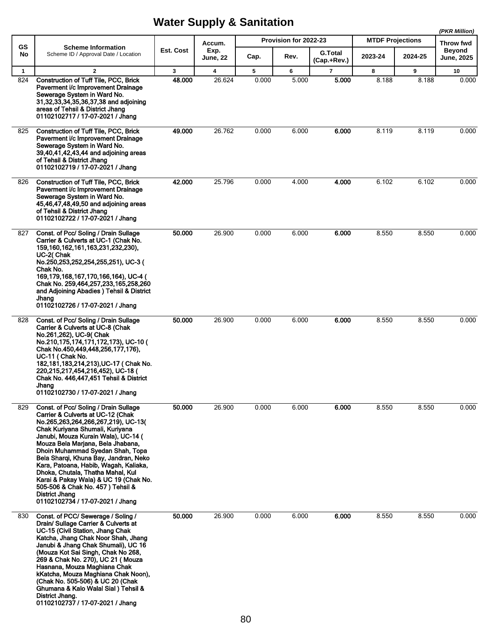|             |                                                                                                                                                                                                                                                                                                                                                                                                                                                                                                                                |              |                         |       |                       |                               |                         | (PKR Million) |                             |
|-------------|--------------------------------------------------------------------------------------------------------------------------------------------------------------------------------------------------------------------------------------------------------------------------------------------------------------------------------------------------------------------------------------------------------------------------------------------------------------------------------------------------------------------------------|--------------|-------------------------|-------|-----------------------|-------------------------------|-------------------------|---------------|-----------------------------|
| <b>GS</b>   | <b>Scheme Information</b>                                                                                                                                                                                                                                                                                                                                                                                                                                                                                                      |              | Accum.                  |       | Provision for 2022-23 |                               | <b>MTDF Projections</b> |               | Throw fwd                   |
| No          | Scheme ID / Approval Date / Location                                                                                                                                                                                                                                                                                                                                                                                                                                                                                           | Est. Cost    | Exp.<br>June, 22        | Cap.  | Rev.                  | <b>G.Total</b><br>(Cap.+Rev.) | 2023-24                 | 2024-25       | <b>Beyond</b><br>June, 2025 |
| $\mathbf 1$ | $\mathbf{2}$                                                                                                                                                                                                                                                                                                                                                                                                                                                                                                                   | $\mathbf{3}$ | $\overline{\mathbf{4}}$ | 5     | 6                     | $\overline{7}$                | 8                       | 9             | 10                          |
| 824         | <b>Construction of Tuff Tile, PCC, Brick</b><br>Paverment i/c Improvement Drainage<br>Sewerage System in Ward No.<br>31,32,33,34,35,36,37,38 and adjoining<br>areas of Tehsil & District Jhang<br>01102102717 / 17-07-2021 / Jhang                                                                                                                                                                                                                                                                                             | 48.000       | 26.624                  | 0.000 | 5.000                 | 5.000                         | 8.188                   | 8.188         | 0.000                       |
| 825         | <b>Construction of Tuff Tile, PCC, Brick</b><br>Paverment i/c Improvement Drainage<br>Sewerage System in Ward No.<br>39,40,41,42,43,44 and adjoining areas<br>of Tehsil & District Jhang<br>01102102719 / 17-07-2021 / Jhang                                                                                                                                                                                                                                                                                                   | 49.000       | 26.762                  | 0.000 | 6.000                 | 6.000                         | 8.119                   | 8.119         | 0.000                       |
| 826         | <b>Construction of Tuff Tile, PCC, Brick</b><br>Paverment i/c Improvement Drainage<br>Sewerage System in Ward No.<br>45,46,47,48,49,50 and adjoining areas<br>of Tehsil & District Jhang<br>01102102722 / 17-07-2021 / Jhang                                                                                                                                                                                                                                                                                                   | 42.000       | 25.796                  | 0.000 | 4.000                 | 4.000                         | 6.102                   | 6.102         | 0.000                       |
| 827         | Const. of Pcc/ Soling / Drain Sullage<br>Carrier & Culverts at UC-1 (Chak No.<br>159, 160, 162, 161, 163, 231, 232, 230),<br>UC-2(Chak<br>No.250,253,252,254,255,251), UC-3 (<br>Chak No.<br>169, 179, 168, 167, 170, 166, 164), UC-4 (<br>Chak No. 259,464,257,233,165,258,260<br>and Adjoining Abadies ) Tehsil & District<br>Jhang<br>01102102726 / 17-07-2021 / Jhang                                                                                                                                                      | 50.000       | 26.900                  | 0.000 | 6.000                 | 6.000                         | 8.550                   | 8.550         | 0.000                       |
| 828         | Const. of Pcc/ Soling / Drain Sullage<br>Carrier & Culverts at UC-8 (Chak<br>No.261,262), UC-9( Chak<br>No.210,175,174,171,172,173), UC-10 (<br>Chak No.450,449,448,256,177,176),<br>UC-11 (Chak No.<br>182, 181, 183, 214, 213), UC-17 (Chak No.<br>220,215,217,454,216,452), UC-18 (<br>Chak No. 446,447,451 Tehsil & District<br>Jhang<br>01102102730 / 17-07-2021 / Jhang                                                                                                                                                  | 50.000       | 26.900                  | 0.000 | 6.000                 | 6.000                         | 8.550                   | 8.550         | 0.000                       |
| 829         | Const. of Pcc/ Soling / Drain Sullage<br>Carrier & Culverts at UC-12 (Chak<br>No.265,263,264,266,267,219), UC-13(<br>Chak Kuriyana Shumali, Kuriyana<br>Janubi, Mouza Kurain Wala), UC-14 (<br>Mouza Bela Marjana, Bela Jhabana,<br>Dhoin Muhammad Syedan Shah, Topa<br>Bela Sharqi, Khuna Bay, Jandran, Neko<br>Kara, Patoana, Habib, Wagah, Kaliaka,<br>Dhoka, Chutala, Thatha Mahal, Kul<br>Karai & Pakay Wala) & UC 19 (Chak No.<br>505-506 & Chak No. 457) Tehsil &<br>District Jhang<br>01102102734 / 17-07-2021 / Jhang | 50.000       | 26.900                  | 0.000 | 6.000                 | 6.000                         | 8.550                   | 8.550         | 0.000                       |
| 830         | Const. of PCC/Sewerage / Soling /<br>Drain/ Sullage Carrier & Culverts at<br>UC-15 (Civil Station, Jhang Chak<br>Katcha, Jhang Chak Noor Shah, Jhang<br>Janubi & Jhang Chak Shumali), UC 16<br>(Mouza Kot Sai Singh, Chak No 268,<br>269 & Chak No. 270), UC 21 (Mouza<br>Hasnana, Mouza Maghiana Chak<br>kKatcha, Mouza Maghiana Chak Noon),<br>(Chak No. 505-506) & UC 20 (Chak<br>Ghumana & Kalo Walal Sial) Tehsil &<br>District Jhang.                                                                                    | 50.000       | 26.900                  | 0.000 | 6.000                 | 6.000                         | 8.550                   | 8.550         | 0.000                       |

01102102737 / 17-07-2021 / Jhang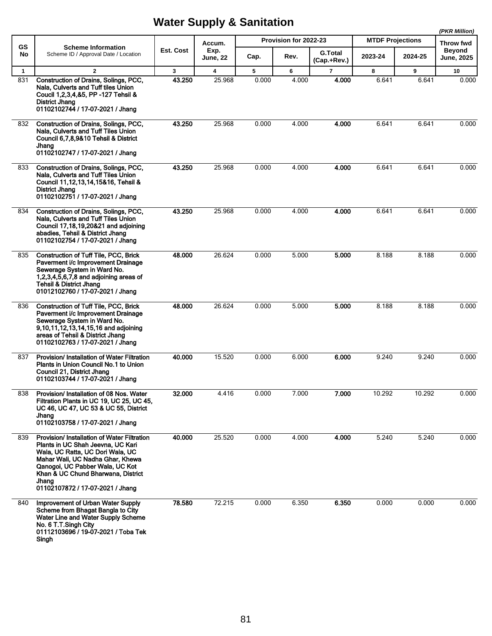|              |                                                                                                                                                                                                                                                                                      |              |                         |       |                       |                               |                         |         | (PKR Million)                      |  |
|--------------|--------------------------------------------------------------------------------------------------------------------------------------------------------------------------------------------------------------------------------------------------------------------------------------|--------------|-------------------------|-------|-----------------------|-------------------------------|-------------------------|---------|------------------------------------|--|
| GS           | <b>Scheme Information</b>                                                                                                                                                                                                                                                            |              | Accum.                  |       | Provision for 2022-23 |                               | <b>MTDF Projections</b> |         | Throw fwd                          |  |
| No           | Scheme ID / Approval Date / Location                                                                                                                                                                                                                                                 | Est. Cost    | Exp.<br><b>June, 22</b> | Cap.  | Rev.                  | <b>G.Total</b><br>(Cap.+Rev.) | 2023-24                 | 2024-25 | <b>Beyond</b><br><b>June, 2025</b> |  |
| $\mathbf{1}$ | $\overline{2}$                                                                                                                                                                                                                                                                       | $\mathbf{3}$ | $\overline{\mathbf{4}}$ | 5     | 6                     | $\overline{7}$                | 8                       | 9       | 10                                 |  |
| 831          | Construction of Drains, Solings, PCC,<br>Nala, Culverts and Tuff tiles Union<br>Coucil 1,2,3,4,&5, PP -127 Tehsil &<br>District Jhang<br>01102102744 / 17-07-2021 / Jhang                                                                                                            | 43.250       | 25.968                  | 0.000 | 4.000                 | 4.000                         | 6.641                   | 6.641   | 0.000                              |  |
| 832          | Construction of Drains, Solings, PCC,<br>Nala, Culverts and Tuff Tiles Union<br>Council 6,7,8,9&10 Tehsil & District<br>Jhang<br>01102102747 / 17-07-2021 / Jhang                                                                                                                    | 43.250       | 25.968                  | 0.000 | 4.000                 | 4.000                         | 6.641                   | 6.641   | 0.000                              |  |
| 833          | Construction of Drains, Solings, PCC,<br>Nala, Culverts and Tuff Tiles Union<br>Council 11,12,13,14,15&16, Tehsil &<br>District Jhang<br>01102102751 / 17-07-2021 / Jhang                                                                                                            | 43.250       | 25.968                  | 0.000 | 4.000                 | 4.000                         | 6.641                   | 6.641   | 0.000                              |  |
| 834          | Construction of Drains, Solings, PCC,<br>Nala, Culverts and Tuff Tiles Union<br>Council 17,18,19,20&21 and adjoining<br>abadies, Tehsil & District Jhang<br>01102102754 / 17-07-2021 / Jhang                                                                                         | 43.250       | 25.968                  | 0.000 | 4.000                 | 4.000                         | 6.641                   | 6.641   | 0.000                              |  |
| 835          | <b>Construction of Tuff Tile, PCC, Brick</b><br>Paverment i/c Improvement Drainage<br>Sewerage System in Ward No.<br>1,2,3,4,5,6,7,8 and adjoining areas of<br><b>Tehsil &amp; District Jhang</b><br>01012102760 / 17-07-2021 / Jhang                                                | 48.000       | 26.624                  | 0.000 | 5.000                 | 5.000                         | 8.188                   | 8.188   | 0.000                              |  |
| 836          | Construction of Tuff Tile, PCC, Brick<br>Paverment i/c Improvement Drainage<br>Sewerage System in Ward No.<br>9,10,11,12,13,14,15,16 and adjoining<br>areas of Tehsil & District Jhang<br>01102102763 / 17-07-2021 / Jhang                                                           | 48.000       | 26.624                  | 0.000 | 5.000                 | 5.000                         | 8.188                   | 8.188   | 0.000                              |  |
| 837          | Provision/ Installation of Water Filtration<br>Plants in Union Council No.1 to Union<br>Council 21, District Jhang<br>01102103744 / 17-07-2021 / Jhang                                                                                                                               | 40.000       | 15.520                  | 0.000 | 6.000                 | 6.000                         | 9.240                   | 9.240   | 0.000                              |  |
| 838          | Provision/ Installation of 08 Nos. Water<br>Filtration Plants in UC 19, UC 25, UC 45,<br>UC 46, UC 47, UC 53 & UC 55, District<br>Jhang<br>01102103758 / 17-07-2021 / Jhang                                                                                                          | 32.000       | 4.416                   | 0.000 | 7.000                 | 7.000                         | 10.292                  | 10.292  | 0.000                              |  |
| 839          | <b>Provision/Installation of Water Filtration</b><br>Plants in UC Shah Jeevna, UC Kari<br>Wala, UC Ratta, UC Dori Wala, UC<br>Mahar Wali, UC Nadha Ghar, Khewa<br>Qanogoi, UC Pabber Wala, UC Kot<br>Khan & UC Chund Bharwana, District<br>Jhang<br>01102107872 / 17-07-2021 / Jhang | 40.000       | 25.520                  | 0.000 | 4.000                 | 4.000                         | 5.240                   | 5.240   | 0.000                              |  |
| 840          | Improvement of Urban Water Supply<br>Scheme from Bhagat Bangla to City<br>Water Line and Water Supply Scheme<br>No. 6 T.T.Singh City<br>01112103696 / 19-07-2021 / Toba Tek<br>Singh                                                                                                 | 78.580       | 72.215                  | 0.000 | 6.350                 | 6.350                         | 0.000                   | 0.000   | 0.000                              |  |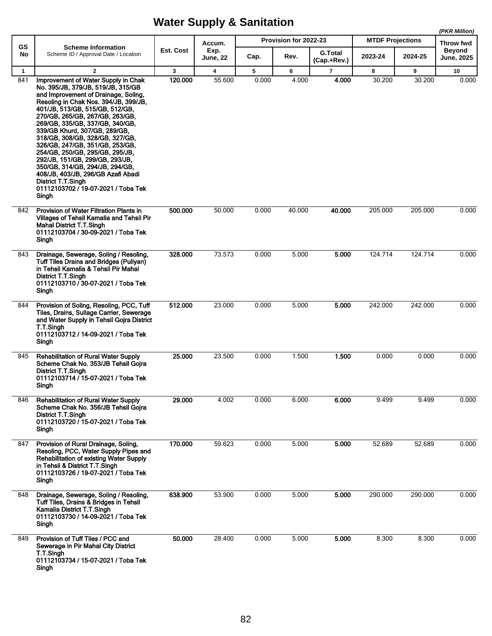**(PKR Million)**

|                 |                                                                                                                                                                                                                                                                                                                                                                                                                                                                                                                                                                                                 |           | Accum.                  |       | Provision for 2022-23 |                               | <b>MTDF Projections</b> |         | (PKR WIIIION)<br>Throw fwd         |
|-----------------|-------------------------------------------------------------------------------------------------------------------------------------------------------------------------------------------------------------------------------------------------------------------------------------------------------------------------------------------------------------------------------------------------------------------------------------------------------------------------------------------------------------------------------------------------------------------------------------------------|-----------|-------------------------|-------|-----------------------|-------------------------------|-------------------------|---------|------------------------------------|
| <b>GS</b><br>No | <b>Scheme Information</b><br>Scheme ID / Approval Date / Location                                                                                                                                                                                                                                                                                                                                                                                                                                                                                                                               | Est. Cost | Exp.<br><b>June, 22</b> | Cap.  | Rev.                  | <b>G.Total</b><br>(Cap.+Rev.) | 2023-24                 | 2024-25 | <b>Beyond</b><br><b>June, 2025</b> |
| $\mathbf{1}$    | $\mathbf{2}$                                                                                                                                                                                                                                                                                                                                                                                                                                                                                                                                                                                    | 3         | 4                       | 5     | 6                     | $\overline{\phantom{a}}$      | 8                       | 9       | 10                                 |
| 841             | Improvement of Water Supply in Chak<br>No. 395/JB, 379/JB, 519/JB, 315/GB<br>and Improvement of Drainage, Soling,<br>Resoling in Chak Nos. 394/JB, 399/JB,<br>401/JB, 513/GB, 515/GB, 512/GB,<br>270/GB, 265/GB, 267/GB, 263/GB,<br>269/GB, 335/GB, 337/GB, 340/GB,<br>339/GB Khurd, 307/GB, 289/GB,<br>318/GB, 308/GB, 328/GB, 327/GB,<br>326/GB, 247/GB, 351/GB, 253/GB,<br>254/GB, 250/GB, 295/GB, 295/JB,<br>292/JB, 151/GB, 299/GB, 293/JB,<br>350/GB, 314/GB, 294/JB, 294/GB,<br>408/JB, 403/JB, 296/GB Azafi Abadi<br>District T.T.Singh<br>01112103702 / 19-07-2021 / Toba Tek<br>Singh | 120.000   | 55.600                  | 0.000 | 4.000                 | 4.000                         | 30.200                  | 30.200  | 0.000                              |
| 842             | Provision of Water Filtration Plants in<br>Villages of Tehsil Kamalia and Tehsil Pir<br><b>Mahal District T.T.Singh</b><br>01112103704 / 30-09-2021 / Toba Tek<br>Singh                                                                                                                                                                                                                                                                                                                                                                                                                         | 500.000   | 50.000                  | 0.000 | 40.000                | 40.000                        | 205.000                 | 205.000 | 0.000                              |
| 843             | Drainage, Sewerage, Soling / Resoling,<br><b>Tuff Tiles Drains and Bridges (Puliyan)</b><br>in Tehsil Kamalia & Tehsil Pir Mahal<br>District T.T.Singh<br>01112103710 / 30-07-2021 / Toba Tek<br>Singh                                                                                                                                                                                                                                                                                                                                                                                          | 328.000   | 73.573                  | 0.000 | 5.000                 | 5.000                         | 124.714                 | 124.714 | 0.000                              |
| 844             | Provision of Soling, Resoling, PCC, Tuff<br>Tiles, Drains, Sullage Carrier, Sewerage<br>and Water Supply in Tehsil Gojra District<br>T.T.Singh<br>01112103712 / 14-09-2021 / Toba Tek<br>Singh                                                                                                                                                                                                                                                                                                                                                                                                  | 512.000   | 23.000                  | 0.000 | 5.000                 | 5.000                         | 242.000                 | 242.000 | 0.000                              |
| 845             | <b>Rehabilitation of Rural Water Supply</b><br>Scheme Chak No. 353/JB Tehsil Gojra<br>District T.T.Singh<br>01112103714 / 15-07-2021 / Toba Tek<br>Singh                                                                                                                                                                                                                                                                                                                                                                                                                                        | 25.000    | 23.500                  | 0.000 | 1.500                 | 1.500                         | 0.000                   | 0.000   | 0.000                              |
| 846             | <b>Rehabilitation of Rural Water Supply</b><br>Scheme Chak No. 356/JB Tehsil Gojra<br>District T.T.Singh<br>01112103720 / 15-07-2021 / Toba Tek<br>Singh                                                                                                                                                                                                                                                                                                                                                                                                                                        | 29.000    | 4.002                   | 0.000 | 6.000                 | 6.000                         | 9.499                   | 9.499   | 0.000                              |
| 847             | Provision of Rural Drainage, Soling,<br>Resoling, PCC, Water Supply Pipes and<br><b>Rehabilitation of existing Water Supply</b><br>in Tehsil & District T.T.Singh<br>01112103726 / 19-07-2021 / Toba Tek<br>Singh                                                                                                                                                                                                                                                                                                                                                                               | 170.000   | 59.623                  | 0.000 | 5.000                 | 5.000                         | 52.689                  | 52.689  | 0.000                              |
| 848             | Drainage, Sewerage, Soling / Resoling,<br>Tuff Tiles, Drains & Bridges in Tehsil<br>Kamalia District T.T.Singh<br>01112103730 / 14-09-2021 / Toba Tek<br>Singh                                                                                                                                                                                                                                                                                                                                                                                                                                  | 638.900   | 53.900                  | 0.000 | 5.000                 | 5.000                         | 290.000                 | 290.000 | 0.000                              |
| 849             | Provision of Tuff Tiles / PCC and<br>Sewerage in Pir Mahal City District<br>T.T.Singh<br>01112103734 / 15-07-2021 / Toba Tek<br>Singh                                                                                                                                                                                                                                                                                                                                                                                                                                                           | 50.000    | 28.400                  | 0.000 | 5.000                 | 5.000                         | 8.300                   | 8.300   | 0.000                              |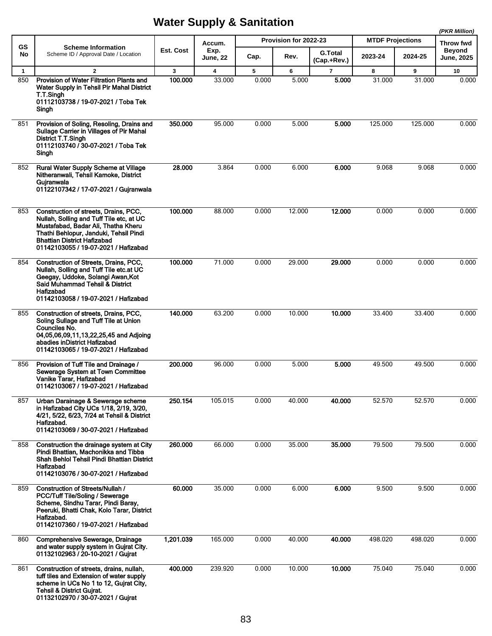|              |                                                                                                                                                                                                                                           |           |                  |       |                       |                               |         |                         | (PKR Million)               |
|--------------|-------------------------------------------------------------------------------------------------------------------------------------------------------------------------------------------------------------------------------------------|-----------|------------------|-------|-----------------------|-------------------------------|---------|-------------------------|-----------------------------|
| GS           | <b>Scheme Information</b>                                                                                                                                                                                                                 |           | Accum.           |       | Provision for 2022-23 |                               |         | <b>MTDF Projections</b> |                             |
| No           | Scheme ID / Approval Date / Location                                                                                                                                                                                                      | Est. Cost | Exp.<br>June, 22 | Cap.  | Rev.                  | <b>G.Total</b><br>(Cap.+Rev.) | 2023-24 | 2024-25                 | <b>Beyond</b><br>June, 2025 |
| $\mathbf{1}$ | $\overline{2}$                                                                                                                                                                                                                            | 3         | 4                | 5     | 6                     | $\overline{\mathbf{r}}$       | 8       | 9                       | 10                          |
| 850          | Provision of Water Filtration Plants and<br>Water Supply in Tehsil Pir Mahal District<br>T.T.Singh<br>01112103738 / 19-07-2021 / Toba Tek<br>Singh                                                                                        | 100.000   | 33.000           | 0.000 | 5.000                 | 5.000                         | 31.000  | 31.000                  | 0.000                       |
| 851          | Provision of Soling, Resoling, Drains and<br>Sullage Carrier in Villages of Pir Mahal<br>District T.T.Singh<br>01112103740 / 30-07-2021 / Toba Tek<br>Singh                                                                               | 350.000   | 95.000           | 0.000 | 5.000                 | 5.000                         | 125.000 | 125.000                 | 0.000                       |
| 852          | Rural Water Supply Scheme at Village<br>Nitheranwali, Tehsil Kamoke, District<br>Gujranwala<br>01122107342 / 17-07-2021 / Gujranwala                                                                                                      | 28.000    | 3.864            | 0.000 | 6.000                 | 6.000                         | 9.068   | 9.068                   | 0.000                       |
| 853          | Construction of streets, Drains, PCC,<br>Nullah, Solling and Tuff Tile etc, at UC<br>Mustafabad, Badar Ali, Thatha Kheru<br>Thathi Behlopur, Janduki, Tehsil Pindi<br>Bhattian District Hafizabad<br>01142103055 / 19-07-2021 / Hafizabad | 100.000   | 88.000           | 0.000 | 12.000                | 12.000                        | 0.000   | 0.000                   | 0.000                       |
| 854          | Construction of Streets, Drains, PCC,<br>Nullah, Solling and Tuff Tile etc.at UC<br>Geegay, Uddoke, Solangi Awan, Kot<br>Said Muhammad Tehsil & District<br>Hafizabad<br>01142103058 / 19-07-2021 / Hafizabad                             | 100.000   | 71.000           | 0.000 | 29.000                | 29.000                        | 0.000   | 0.000                   | 0.000                       |
| 855          | Construction of streets, Drains, PCC,<br>Soling Sullage and Tuff Tile at Union<br>Counciles No.<br>04,05,06,09,11,13,22,25,45 and Adjoing<br>abadies inDistrict Hafizabad<br>01142103065 / 19-07-2021 / Hafizabad                         | 140.000   | 63.200           | 0.000 | 10.000                | 10.000                        | 33.400  | 33.400                  | 0.000                       |
| 856          | Provision of Tuff Tile and Drainage /<br>Sewerage System at Town Committee<br>Vanike Tarar, Hafizabad<br>01142103067 / 19-07-2021 / Hafizabad                                                                                             | 200.000   | 96.000           | 0.000 | 5.000                 | 5.000                         | 49.500  | 49.500                  | 0.000                       |
| 857          | Urban Darainage & Sewerage scheme<br>in Hafizabad City UCs 1/18, 2/19, 3/20,<br>4/21, 5/22, 6/23, 7/24 at Tehsil & District<br>Hafizabad.<br>01142103069 / 30-07-2021 / Hafizabad                                                         | 250.154   | 105.015          | 0.000 | 40.000                | 40.000                        | 52.570  | 52.570                  | 0.000                       |
| 858          | Construction the drainage system at City<br>Pindi Bhattian, Machonikka and Tibba<br>Shah Behlol Tehsil Pindi Bhattian District<br>Hafizabad<br>01142103076 / 30-07-2021 / Hafizabad                                                       | 260.000   | 66.000           | 0.000 | 35.000                | 35.000                        | 79.500  | 79.500                  | 0.000                       |
| 859          | <b>Construction of Streets/Nullah /</b><br>PCC/Tuff Tile/Soling / Sewerage<br>Scheme, Sindhu Tarar, Pindi Baray,<br>Peeruki, Bhatti Chak, Kolo Tarar, District<br>Hafizabad.<br>01142107360 / 19-07-2021 / Hafizabad                      | 60.000    | 35.000           | 0.000 | 6.000                 | 6.000                         | 9.500   | 9.500                   | 0.000                       |
| 860          | Comprehensive Sewerage, Drainage<br>and water supply system in Gujrat City.<br>01132102963 / 20-10-2021 / Gujrat                                                                                                                          | 1,201 039 | 165.000          | 0.000 | 40.000                | 40.000                        | 498.020 | 498.020                 | 0.000                       |
| 861          | Construction of streets, drains, nullah,<br>tuff tiles and Extension of water supply<br>scheme in UCs No 1 to 12, Gujrat City,<br><b>Tehsil &amp; District Gujrat.</b><br>01132102970 / 30-07-2021 / Gujrat                               | 400.000   | 239.920          | 0.000 | 10.000                | 10.000                        | 75.040  | 75.040                  | 0.000                       |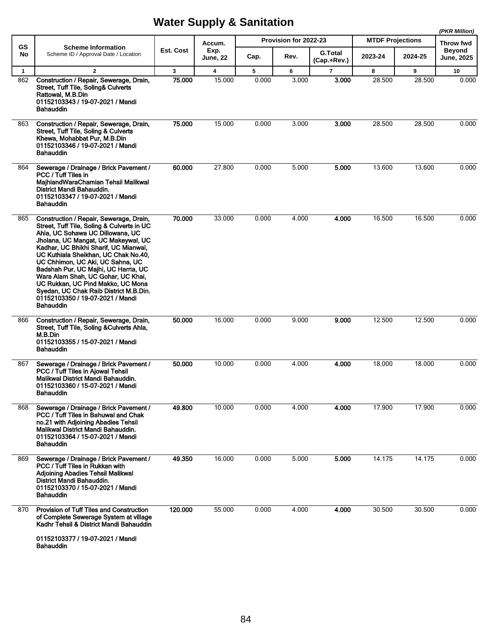|              |                                                                                                                                                                                                                                                                                                                                                                                                                                                                                                     |              |                         |       |                       |                               |                         |         | (PKR Million)               |
|--------------|-----------------------------------------------------------------------------------------------------------------------------------------------------------------------------------------------------------------------------------------------------------------------------------------------------------------------------------------------------------------------------------------------------------------------------------------------------------------------------------------------------|--------------|-------------------------|-------|-----------------------|-------------------------------|-------------------------|---------|-----------------------------|
| <b>GS</b>    | <b>Scheme Information</b>                                                                                                                                                                                                                                                                                                                                                                                                                                                                           |              | Accum.                  |       | Provision for 2022-23 |                               | <b>MTDF Projections</b> |         | Throw fwd                   |
| No           | Scheme ID / Approval Date / Location                                                                                                                                                                                                                                                                                                                                                                                                                                                                | Est. Cost    | Exp.<br><b>June, 22</b> | Cap.  | Rev.                  | <b>G.Total</b><br>(Cap.+Rev.) | 2023-24                 | 2024-25 | <b>Beyond</b><br>June, 2025 |
| $\mathbf{1}$ | $\overline{2}$                                                                                                                                                                                                                                                                                                                                                                                                                                                                                      | $\mathbf{3}$ | 4                       | 5     | 6                     | $\overline{7}$                | 8                       | 9       | 10                          |
| 862          | Construction / Repair, Sewerage, Drain,<br>Street, Tuff Tile, Soling& Culverts<br>Rattowal, M.B.Din<br>01152103343 / 19-07-2021 / Mandi<br>Bahauddin                                                                                                                                                                                                                                                                                                                                                | 75.000       | 15.000                  | 0.000 | 3.000                 | 3.000                         | 28.500                  | 28.500  | 0.000                       |
| 863          | Construction / Repair, Sewerage, Drain,<br>Street, Tuff Tile, Soling & Culverts<br>Khewa, Mohabbat Pur, M.B.Din<br>01152103346 / 19-07-2021 / Mandi<br>Bahauddin                                                                                                                                                                                                                                                                                                                                    | 75.000       | 15.000                  | 0.000 | 3.000                 | 3.000                         | 28.500                  | 28.500  | 0.000                       |
| 864          | Sewerage / Drainage / Brick Pavement /<br>PCC / Tuff Tiles in<br>MajhiandWaraChamian Tehsil Malikwal<br>District Mandi Bahauddin.<br>01152103347 / 19-07-2021 / Mandi<br>Bahauddin                                                                                                                                                                                                                                                                                                                  | 60.000       | 27.800                  | 0.000 | 5.000                 | 5.000                         | 13.600                  | 13.600  | 0.000                       |
| 865          | Construction / Repair, Sewerage, Drain,<br>Street, Tuff Tile, Soling & Culverts in UC<br>Ahla, UC Sohawa UC Dillowana, UC<br>Jholana, UC Mangat, UC Makeywal, UC<br>Kadhar, UC Bhikhi Sharif, UC Mianwal,<br>UC Kuthiala Sheikhan, UC Chak No.40,<br>UC Chhimon, UC Aki, UC Sahna, UC<br>Badshah Pur, UC Majhi, UC Harria, UC<br>Wara Alam Shah, UC Gohar, UC Khai,<br>UC Rukkan, UC Pind Makko, UC Mona<br>Syedan, UC Chak Raib District M.B.Din.<br>01152103350 / 19-07-2021 / Mandi<br>Bahauddin | 70.000       | 33.000                  | 0.000 | 4.000                 | 4.000                         | 16.500                  | 16.500  | 0.000                       |
| 866          | Construction / Repair, Sewerage, Drain,<br>Street, Tuff Tile, Soling & Culverts Ahla,<br>M.B.Din<br>01152103355 / 15-07-2021 / Mandi<br>Bahauddin                                                                                                                                                                                                                                                                                                                                                   | 50.000       | 16.000                  | 0.000 | 9.000                 | 9.000                         | 12.500                  | 12.500  | 0.000                       |
| 867          | Sewerage / Drainage / Brick Pavement /<br>PCC / Tuff Tiles in Ajowal Tehsil<br>Malikwal District Mandi Bahauddin.<br>01152103360 / 15-07-2021 / Mandi<br>Bahauddin                                                                                                                                                                                                                                                                                                                                  | 50.000       | 10.000                  | 0.000 | 4.000                 | 4.000                         | 18.000                  | 18.000  | 0.000                       |
| 868          | Sewerage / Drainage / Brick Pavement /<br>PCC / Tuff Tiles in Bahuwal and Chak<br>no.21 with Adjoining Abadies Tehsil<br>Malikwal District Mandi Bahauddin.<br>01152103364 / 15-07-2021 / Mandi<br>Bahauddin                                                                                                                                                                                                                                                                                        | 49.800       | 10.000                  | 0.000 | 4.000                 | 4.000                         | 17.900                  | 17.900  | 0.000                       |
| 869          | Sewerage / Drainage / Brick Pavement /<br>PCC / Tuff Tiles in Rukkan with<br><b>Adjoining Abadies Tehsil Malikwal</b><br>District Mandi Bahauddin.<br>01152103370 / 15-07-2021 / Mandi<br><b>Bahauddin</b>                                                                                                                                                                                                                                                                                          | 49.350       | 16.000                  | 0.000 | 5.000                 | 5.000                         | 14.175                  | 14.175  | 0.000                       |
| 870          | Provision of Tuff Tiles and Construction<br>of Complete Sewerage System at village<br>Kadhr Tehsil & District Mandi Bahauddin<br>01152103377 / 19-07-2021 / Mandi<br>Bahauddin                                                                                                                                                                                                                                                                                                                      | 120.000      | 55.000                  | 0.000 | 4.000                 | 4.000                         | 30.500                  | 30.500  | 0.000                       |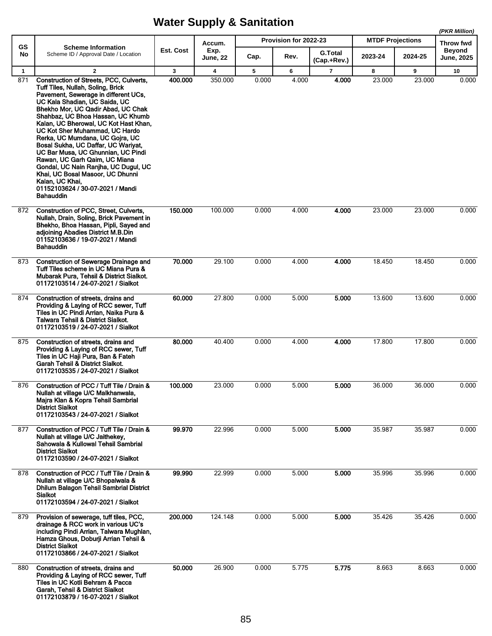**(PKR Million)**

|                 |                                                                                                                                                                                                                                                                                                                                                                                                                                                                                                                                                                                                                     |           | Accum.                  |       | Provision for 2022-23 |                               | <b>MTDF Projections</b> |         | (PKR Million)<br>Throw fwd  |
|-----------------|---------------------------------------------------------------------------------------------------------------------------------------------------------------------------------------------------------------------------------------------------------------------------------------------------------------------------------------------------------------------------------------------------------------------------------------------------------------------------------------------------------------------------------------------------------------------------------------------------------------------|-----------|-------------------------|-------|-----------------------|-------------------------------|-------------------------|---------|-----------------------------|
| <b>GS</b><br>No | <b>Scheme Information</b><br>Scheme ID / Approval Date / Location                                                                                                                                                                                                                                                                                                                                                                                                                                                                                                                                                   | Est. Cost | Exp.<br><b>June, 22</b> | Cap.  | Rev.                  | <b>G.Total</b><br>(Cap.+Rev.) | 2023-24                 | 2024-25 | Beyond<br><b>June, 2025</b> |
| $\mathbf{1}$    | $\mathbf{2}$                                                                                                                                                                                                                                                                                                                                                                                                                                                                                                                                                                                                        | 3         | 4                       | 5     | 6                     | 7                             | 8                       | 9       | 10                          |
| 871             | Construction of Streets, PCC, Culverts,<br>Tuff Tiles, Nullah, Soling, Brick<br>Pavement, Sewerage in different UCs,<br>UC Kala Shadian, UC Saida, UC<br>Bhekho Mor, UC Qadir Abad, UC Chak<br>Shahbaz, UC Bhoa Hassan, UC Khumb<br>Kalan, UC Bherowal, UC Kot Hast Khan,<br>UC Kot Sher Muhammad, UC Hardo<br>Rerka, UC Mumdana, UC Gojra, UC<br>Bosal Sukha, UC Daffar, UC Wariyat,<br>UC Bar Musa, UC Ghunnian, UC Pindi<br>Rawan, UC Garh Qaim, UC Miana<br>Gondal, UC Nain Ranjha, UC Dugul, UC<br>Khai, UC Bosal Masoor, UC Dhunni<br>Kalan, UC Khai,<br>01152103624 / 30-07-2021 / Mandi<br><b>Bahauddin</b> | 400.000   | 350.000                 | 0.000 | 4.000                 | 4.000                         | 23.000                  | 23.000  | 0.000                       |
| 872             | Construction of PCC, Street, Culverts,<br>Nullah, Drain, Soling, Brick Pavement in<br>Bhekho, Bhoa Hassan, Pipli, Sayed and<br>adjoining Abadies District M.B.Din<br>01152103636 / 19-07-2021 / Mandi<br>Bahauddin                                                                                                                                                                                                                                                                                                                                                                                                  | 150.000   | 100.000                 | 0.000 | 4.000                 | 4.000                         | 23.000                  | 23.000  | 0.000                       |
| 873             | <b>Construction of Sewerage Drainage and</b><br>Tuff Tiles scheme in UC Miana Pura &<br>Mubarak Pura, Tehsil & District Sialkot.<br>01172103514 / 24-07-2021 / Sialkot                                                                                                                                                                                                                                                                                                                                                                                                                                              | 70.000    | 29.100                  | 0.000 | 4.000                 | 4.000                         | 18.450                  | 18.450  | 0.000                       |
| 874             | Construction of streets, drains and<br>Providing & Laying of RCC sewer, Tuff<br>Tiles in UC Pindi Arrian, Naika Pura &<br>Talwara Tehsil & District Sialkot.<br>01172103519 / 24-07-2021 / Sialkot                                                                                                                                                                                                                                                                                                                                                                                                                  | 60.000    | 27.800                  | 0.000 | 5.000                 | 5.000                         | 13.600                  | 13.600  | 0.000                       |
| 875             | Construction of streets, drains and<br>Providing & Laying of RCC sewer, Tuff<br>Tiles in UC Haji Pura, Ban & Fateh<br><b>Garah Tehsil &amp; District Sialkot.</b><br>01172103535 / 24-07-2021 / Sialkot                                                                                                                                                                                                                                                                                                                                                                                                             | 80.000    | 40.400                  | 0.000 | 4.000                 | 4.000                         | 17.800                  | 17.800  | 0.000                       |
| 876             | Construction of PCC / Tuff Tile / Drain &<br>Nullah at village U/C Malkhanwala,<br>Majra Klan & Kopra Tehsil Sambrial<br><b>District Sialkot</b><br>01172103543 / 24-07-2021 / Sialkot                                                                                                                                                                                                                                                                                                                                                                                                                              | 100.000   | 23.000                  | 0.000 | 5.000                 | 5.000                         | 36.000                  | 36.000  | 0.000                       |
| 877             | Construction of PCC / Tuff Tile / Drain &<br>Nullah at village U/C Jaithekey,<br>Sahowala & Kullowal Tehsil Sambrial<br><b>District Sialkot</b><br>01172103590 / 24-07-2021 / Sialkot                                                                                                                                                                                                                                                                                                                                                                                                                               | 99.970    | 22.996                  | 0.000 | 5.000                 | 5.000                         | 35.987                  | 35.987  | 0.000                       |
| 878             | Construction of PCC / Tuff Tile / Drain &<br>Nullah at village U/C Bhopalwala &<br>Dhilum Balagon Tehsil Sambrial District<br>Sialkot<br>01172103594 / 24-07-2021 / Sialkot                                                                                                                                                                                                                                                                                                                                                                                                                                         | 99.990    | 22.999                  | 0.000 | 5.000                 | 5.000                         | 35.996                  | 35.996  | 0.000                       |
| 879             | Provision of sewerage, tuff tiles, PCC,<br>drainage & RCC work in various UC's<br>including Pindi Arrian, Talwara Mughlan,<br>Hamza Ghous, Doburji Arrian Tehsil &<br><b>District Sialkot</b><br>01172103866 / 24-07-2021 / Sialkot                                                                                                                                                                                                                                                                                                                                                                                 | 200.000   | 124.148                 | 0.000 | 5.000                 | 5.000                         | 35.426                  | 35.426  | 0.000                       |
| 880             | Construction of streets, drains and<br>Providing & Laying of RCC sewer, Tuff<br>Tiles in UC Kotli Behram & Pacca<br>Garah, Tehsil & District Sialkot<br>01172103879 / 16-07-2021 / Sialkot                                                                                                                                                                                                                                                                                                                                                                                                                          | 50.000    | 26.900                  | 0.000 | 5.775                 | 5.775                         | 8.663                   | 8.663   | 0.000                       |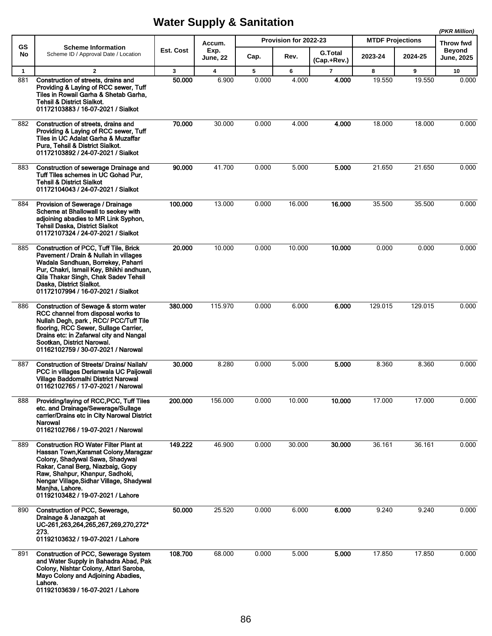|              |                                                                                                                                                                                                                                                                                                      |              |                         |       |                       |                               |                         |         | (PKR Million)               |
|--------------|------------------------------------------------------------------------------------------------------------------------------------------------------------------------------------------------------------------------------------------------------------------------------------------------------|--------------|-------------------------|-------|-----------------------|-------------------------------|-------------------------|---------|-----------------------------|
| <b>GS</b>    | <b>Scheme Information</b>                                                                                                                                                                                                                                                                            |              | Accum.                  |       | Provision for 2022-23 |                               | <b>MTDF Projections</b> |         | Throw fwd                   |
| No           | Scheme ID / Approval Date / Location                                                                                                                                                                                                                                                                 | Est. Cost    | Exp.<br><b>June, 22</b> | Cap.  | Rev.                  | <b>G.Total</b><br>(Cap.+Rev.) | 2023-24                 | 2024-25 | <b>Beyond</b><br>June, 2025 |
| $\mathbf{1}$ | $\overline{2}$                                                                                                                                                                                                                                                                                       | $\mathbf{3}$ | $\overline{4}$          | 5     | 6                     | $\overline{7}$                | 8                       | 9       | 10                          |
| 881          | Construction of streets, drains and<br>Providing & Laying of RCC sewer, Tuff<br>Tiles in Rowail Garha & Shetab Garha,<br>Tehsil & District Sialkot.<br>01172103883 / 16-07-2021 / Sialkot                                                                                                            | 50.000       | 6.900                   | 0.000 | 4.000                 | 4.000                         | 19.550                  | 19.550  | 0.000                       |
| 882          | Construction of streets, drains and<br>Providing & Laying of RCC sewer, Tuff<br>Tiles in UC Adalat Garha & Muzaffar<br>Pura, Tehsil & District Sialkot.<br>01172103892 / 24-07-2021 / Sialkot                                                                                                        | 70.000       | 30.000                  | 0.000 | 4.000                 | 4.000                         | 18.000                  | 18.000  | 0.000                       |
| 883          | Construction of sewerage Drainage and<br>Tuff Tiles schemes in UC Gohad Pur,<br>Tehsil & District Sialkot<br>01172104043 / 24-07-2021 / Sialkot                                                                                                                                                      | 90.000       | 41.700                  | 0.000 | 5.000                 | 5.000                         | 21.650                  | 21.650  | 0.000                       |
| 884          | Provision of Sewerage / Drainage<br>Scheme at Bhallowall to seokey with<br>adjoining abadies to MR Link Syphon,<br>Tehsil Daska, District Sialkot<br>01172107324 / 24-07-2021 / Sialkot                                                                                                              | 100.000      | 13.000                  | 0.000 | 16.000                | 16.000                        | 35.500                  | 35.500  | 0.000                       |
| 885          | Construction of PCC, Tuff Tile, Brick<br>Pavement / Drain & Nullah in villages<br>Wadala Sandhuan, Borrekey, Paharri<br>Pur, Chakri, Ismail Key, Bhikhi andhuan,<br>Qila Thakar Singh, Chak Sadev Tehsil<br>Daska, District Sialkot.<br>01172107994 / 16-07-2021 / Sialkot                           | 20.000       | 10.000                  | 0.000 | 10.000                | 10.000                        | 0.000                   | 0.000   | 0.000                       |
| 886          | Construction of Sewage & storm water<br>RCC channel from disposal works to<br>Nullah Degh, park, RCC/PCC/Tuff Tile<br>flooring, RCC Sewer, Sullage Carrier,<br>Drains etc: in Zafarwal city and Nangal<br>Sootkan, District Narowal.<br>01162102759 / 30-07-2021 / Narowal                           | 380,000      | 115.970                 | 0.000 | 6.000                 | 6.000                         | 129.015                 | 129.015 | 0.000                       |
| 887          | <b>Construction of Streets/ Drains/ Nallah/</b><br>PCC in villages Derianwala UC Paijowali<br>Village Baddomalhi District Narowal<br>01162102765 / 17-07-2021 / Narowal                                                                                                                              | 30,000       | 8.280                   | 0.000 | 5.000                 | 5.000                         | 8.360                   | 8.360   | 0.000                       |
| 888          | Providing/laying of RCC, PCC, Tuff Tiles<br>etc. and Drainage/Sewerage/Sullage<br>carrier/Drains etc in City Narowal District<br>Narowal<br>01162102766 / 19-07-2021 / Narowal                                                                                                                       | 200.000      | 156.000                 | 0.000 | 10.000                | 10.000                        | 17.000                  | 17.000  | 0.000                       |
| 889          | <b>Construction RO Water Filter Plant at</b><br>Hassan Town, Karamat Colony, Maragzar<br>Colony, Shadywal Sawa, Shadywal<br>Rakar, Canal Berg, Niazbaig, Gopy<br>Raw, Shahpur, Khanpur, Sadhoki,<br>Nengar Village, Sidhar Village, Shadywal<br>Manjha, Lahore.<br>01192103482 / 19-07-2021 / Lahore | 149.222      | 46.900                  | 0.000 | 30.000                | 30.000                        | 36.161                  | 36.161  | 0.000                       |
| 890          | Construction of PCC, Sewerage,<br>Drainage & Janazgah at<br>UC-261,263,264,265,267,269,270,272*<br>273.<br>01192103632 / 19-07-2021 / Lahore                                                                                                                                                         | 50.000       | 25.520                  | 0.000 | 6.000                 | 6.000                         | 9.240                   | 9.240   | 0.000                       |
| 891          | Construction of PCC, Sewerage System<br>and Water Supply in Bahadra Abad, Pak<br>Colony, Nishtar Colony, Attari Saroba,<br>Mayo Colony and Adjoining Abadies,<br>Lahore.<br>01192103639 / 16-07-2021 / Lahore                                                                                        | 108.700      | 68.000                  | 0.000 | 5.000                 | 5.000                         | 17.850                  | 17.850  | 0.000                       |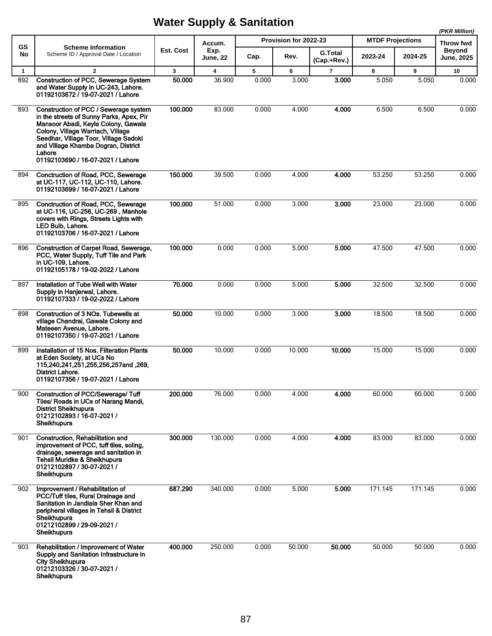|              |                                                                                                                                                                                                                                                                                              |              |                         |       |                       |                               |                         | (PKR Million) |                                    |
|--------------|----------------------------------------------------------------------------------------------------------------------------------------------------------------------------------------------------------------------------------------------------------------------------------------------|--------------|-------------------------|-------|-----------------------|-------------------------------|-------------------------|---------------|------------------------------------|
| <b>GS</b>    | <b>Scheme Information</b>                                                                                                                                                                                                                                                                    |              | Accum.                  |       | Provision for 2022-23 |                               | <b>MTDF Projections</b> |               | Throw fwd                          |
| No           | Scheme ID / Approval Date / Location                                                                                                                                                                                                                                                         | Est. Cost    | Exp.<br><b>June, 22</b> | Cap.  | Rev.                  | <b>G.Total</b><br>(Cap.+Rev.) | 2023-24                 | 2024-25       | <b>Beyond</b><br><b>June, 2025</b> |
| $\mathbf{1}$ | $\overline{2}$                                                                                                                                                                                                                                                                               | $\mathbf{3}$ | $\overline{\mathbf{4}}$ | 5     | 6                     | 7                             | 8                       | 9             | 10                                 |
| 892          | <b>Construction of PCC, Sewerage System</b><br>and Water Supply in UC-243, Lahore.<br>01192103672 / 19-07-2021 / Lahore                                                                                                                                                                      | 50.000       | 36.900                  | 0.000 | 3.000                 | 3.000                         | 5.050                   | 5.050         | 0.000                              |
| 893          | Construction of PCC / Sewerage system<br>in the streets of Sunny Parks, Apex, Pir<br>Mansoor Abadi, Keyla Colony, Gawala<br>Colony, Village Warriach, Village<br>Seedhar, Village Toor, Village Sadoki<br>and Village Khamba Dogran, District<br>Lahore<br>01192103690 / 16-07-2021 / Lahore | 100.000      | 83.000                  | 0.000 | 4.000                 | 4.000                         | 6.500                   | 6.500         | 0.000                              |
| 894          | Conctruction of Road, PCC, Sewerage<br>at UC-117, UC-112, UC-110, Lahore.<br>01192103699 / 16-07-2021 / Lahore                                                                                                                                                                               | 150.000      | 39.500                  | 0.000 | 4.000                 | 4.000                         | 53.250                  | 53.250        | 0.000                              |
| 895          | Conctruction of Road, PCC, Sewerage<br>at UC-116, UC-256, UC-269, Manhole<br>covers with Rings, Streets Lights with<br>LED Bulb, Lahore.<br>01192103706 / 16-07-2021 / Lahore                                                                                                                | 100.000      | 51.000                  | 0.000 | 3.000                 | 3.000                         | 23.000                  | 23.000        | 0.000                              |
| 896          | Construction of Carpet Road, Sewerage,<br>PCC, Water Supply, Tuff Tile and Park<br>in UC-109, Lahore.<br>01192105178 / 19-02-2022 / Lahore                                                                                                                                                   | 100.000      | 0.000                   | 0.000 | 5.000                 | 5.000                         | 47.500                  | 47.500        | 0.000                              |
| 897          | Installation of Tube Well with Water<br>Supply in Hanjerwal, Lahore.<br>01192107333 / 19-02-2022 / Lahore                                                                                                                                                                                    | 70.000       | 0.000                   | 0.000 | 5.000                 | 5.000                         | 32.500                  | 32.500        | 0.000                              |
| 898          | Construction of 3 NOs. Tubewells at<br>village Chandrai, Gawala Colony and<br>Mateeen Avenue, Lahore.<br>01192107350 / 19-07-2021 / Lahore                                                                                                                                                   | 50.000       | 10.000                  | 0.000 | 3.000                 | 3.000                         | 18.500                  | 18.500        | 0.000                              |
| 899          | Installation of 15 Nos. Filteration Plants<br>at Eden Society, at UCs No<br>115,240,241,251,255,256,257and,269,<br>District Lahore.<br>01192107356 / 19-07-2021 / Lahore                                                                                                                     | 50.000       | 10.000                  | 0.000 | 10.000                | 10.000                        | 15.000                  | 15.000        | 0.000                              |
| 900          | <b>Construction of PCC/Sewerage/ Tuff</b><br>Tiles/ Roads in UCs of Narang Mandi,<br><b>District Sheikhupura</b><br>01212102893 / 16-07-2021 /<br>Sheikhupura                                                                                                                                | 200.000      | 76.000                  | 0.000 | 4.000                 | 4.000                         | 60.000                  | 60.000        | 0.000                              |
| 901          | Construction, Rehabilitation and<br>improvement of PCC, tuff tiles, soling,<br>drainage, sewerage and sanitation in<br>Tehsil Muridke & Sheikhupura<br>01212102897 / 30-07-2021 /<br>Sheikhupura                                                                                             | 300.000      | 130.000                 | 0.000 | 4.000                 | 4.000                         | 83.000                  | 83.000        | 0.000                              |
| 902          | Improvement / Rehabilitation of<br>PCC/Tuff tiles, Rural Drainage and<br>Sanitation in Jandiala Sher Khan and<br>peripheral villages in Tehsil & District<br>Sheikhupura<br>01212102899 / 29-09-2021 /<br>Sheikhupura                                                                        | 687.290      | 340.000                 | 0.000 | 5.000                 | 5.000                         | 171.145                 | 171.145       | 0.000                              |
| 903          | Rehabilitation / Improvement of Water<br>Supply and Sanitation Infrastructure in<br><b>City Sheikhupura</b><br>01212103326 / 30-07-2021 /<br>Sheikhupura                                                                                                                                     | 400.000      | 250.000                 | 0.000 | 50.000                | 50.000                        | 50.000                  | 50.000        | 0.000                              |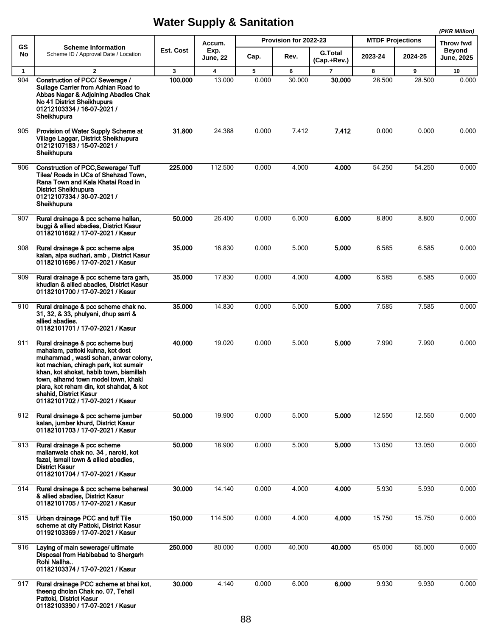|     |                                                                                                                                                                                                                                                                                                                                                   |           |                  |       |                       |                               |                         |         | (PKR Million)              |  |
|-----|---------------------------------------------------------------------------------------------------------------------------------------------------------------------------------------------------------------------------------------------------------------------------------------------------------------------------------------------------|-----------|------------------|-------|-----------------------|-------------------------------|-------------------------|---------|----------------------------|--|
| GS  | <b>Scheme Information</b>                                                                                                                                                                                                                                                                                                                         |           | Accum.           |       | Provision for 2022-23 |                               | <b>MTDF Projections</b> |         | Throw fwd<br><b>Bevond</b> |  |
| No  | Scheme ID / Approval Date / Location                                                                                                                                                                                                                                                                                                              | Est. Cost | Exp.<br>June, 22 | Cap.  | Rev.                  | <b>G.Total</b><br>(Cap.+Rev.) | 2023-24                 | 2024-25 | June, 2025                 |  |
| 1   | $\mathbf{2}$                                                                                                                                                                                                                                                                                                                                      | 3         | 4                | 5     | 6                     | 7                             | 8                       | 9       | 10                         |  |
| 904 | Construction of PCC/ Sewerage /<br>Sullage Carrier from Adhian Road to<br>Abbas Nagar & Adjoining Abadies Chak<br>No 41 District Sheikhupura<br>01212103334 / 16-07-2021 /<br>Sheikhupura                                                                                                                                                         | 100.000   | 13.000           | 0.000 | 30.000                | 30.000                        | 28.500                  | 28.500  | 0.000                      |  |
| 905 | Provision of Water Supply Scheme at<br>Village Laggar, District Sheikhupura<br>01212107183 / 15-07-2021 /<br>Sheikhupura                                                                                                                                                                                                                          | 31.800    | 24.388           | 0.000 | 7.412                 | 7.412                         | 0.000                   | 0.000   | 0.000                      |  |
| 906 | <b>Construction of PCC, Sewerage/Tuff</b><br>Tiles/ Roads in UCs of Shehzad Town.<br>Rana Town and Kala Khatai Road in<br><b>District Sheikhupura</b><br>01212107334 / 30-07-2021 /<br>Sheikhupura                                                                                                                                                | 225.000   | 112.500          | 0.000 | 4.000                 | 4.000                         | 54.250                  | 54.250  | 0.000                      |  |
| 907 | Rural drainage & pcc scheme hallan,<br>buggi & allied abadies, District Kasur<br>01182101692 / 17-07-2021 / Kasur                                                                                                                                                                                                                                 | 50.000    | 26.400           | 0.000 | 6.000                 | 6.000                         | 8.800                   | 8.800   | 0.000                      |  |
| 908 | Rural drainage & pcc scheme alpa<br>kalan, alpa sudhari, amb, District Kasur<br>01182101696 / 17-07-2021 / Kasur                                                                                                                                                                                                                                  | 35.000    | 16.830           | 0.000 | 5.000                 | 5.000                         | 6.585                   | 6.585   | 0.000                      |  |
| 909 | Rural drainage & pcc scheme tara garh,<br>khudian & allied abadies, District Kasur<br>01182101700 / 17-07-2021 / Kasur                                                                                                                                                                                                                            | 35.000    | 17.830           | 0.000 | 4.000                 | 4.000                         | 6.585                   | 6.585   | 0.000                      |  |
| 910 | Rural drainage & pcc scheme chak no.<br>31, 32, & 33, phulyani, dhup sarri &<br>allied abadies.<br>01182101701 / 17-07-2021 / Kasur                                                                                                                                                                                                               | 35,000    | 14.830           | 0.000 | 5.000                 | 5.000                         | 7.585                   | 7.585   | 0.000                      |  |
| 911 | Rural drainage & pcc scheme burj<br>mahalam, pattoki kuhna, kot dost<br>muhammad, wasti sohan, anwar colony,<br>kot machian, chiragh park, kot sumair<br>khan, kot shokat, habib town, bismillah<br>town, alhamd town model town, khaki<br>piara, kot reham din, kot shahdat, & kot<br>shahid, District Kasur<br>01182101702 / 17-07-2021 / Kasur | 40.000    | 19.020           | 0.000 | 5.000                 | 5.000                         | 7.990                   | 7.990   | 0.000                      |  |
| 912 | Rural drainage & pcc scheme jumber<br>kalan, jumber khurd, District Kasur<br>01182101703 / 17-07-2021 / Kasur                                                                                                                                                                                                                                     | 50.000    | 19.900           | 0.000 | 5.000                 | 5.000                         | 12.550                  | 12.550  | 0.000                      |  |
| 913 | Rural drainage & pcc scheme<br>mallanwala chak no. 34, naroki, kot<br>fazal, ismail town & allied abadies,<br><b>District Kasur</b><br>01182101704 / 17-07-2021 / Kasur                                                                                                                                                                           | 50.000    | 18.900           | 0.000 | 5.000                 | 5.000                         | 13.050                  | 13.050  | 0.000                      |  |
| 914 | Rural drainage & pcc scheme beharwal<br>& allied abadies, District Kasur<br>01182101705 / 17-07-2021 / Kasur                                                                                                                                                                                                                                      | 30.000    | 14.140           | 0.000 | 4.000                 | 4.000                         | 5.930                   | 5.930   | 0.000                      |  |
| 915 | Urban drainage PCC and tuff Tile<br>scheme at city Pattoki, District Kasur<br>01192103369 / 17-07-2021 / Kasur                                                                                                                                                                                                                                    | 150.000   | 114.500          | 0.000 | 4.000                 | 4.000                         | 15.750                  | 15.750  | 0.000                      |  |
| 916 | Laying of main sewerage/ ultimate<br>Disposal from Habibabad to Shergarh<br>Rohi Nallha<br>01182103374 / 17-07-2021 / Kasur                                                                                                                                                                                                                       | 250.000   | 80.000           | 0.000 | 40.000                | 40.000                        | 65.000                  | 65.000  | 0.000                      |  |
| 917 | Rural drainage PCC scheme at bhai kot,<br>theeng dholan Chak no. 07, Tehsil<br>Pattoki, District Kasur<br>01182103390 / 17-07-2021 / Kasur                                                                                                                                                                                                        | 30.000    | 4.140            | 0.000 | 6.000                 | 6.000                         | 9.930                   | 9.930   | 0.000                      |  |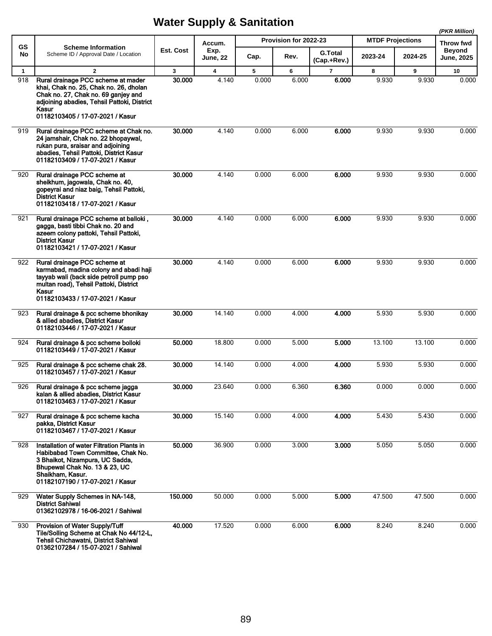|              |                                                                                                                                                                                                                 |              |                         |       |                       |                               |                         |         | (PKR Million)                      |
|--------------|-----------------------------------------------------------------------------------------------------------------------------------------------------------------------------------------------------------------|--------------|-------------------------|-------|-----------------------|-------------------------------|-------------------------|---------|------------------------------------|
| GS           | <b>Scheme Information</b>                                                                                                                                                                                       |              | Accum.                  |       | Provision for 2022-23 |                               | <b>MTDF Projections</b> |         | <b>Throw fwd</b>                   |
| No           | Scheme ID / Approval Date / Location                                                                                                                                                                            | Est. Cost    | Exp.<br><b>June, 22</b> | Cap.  | Rev.                  | <b>G.Total</b><br>(Cap.+Rev.) | 2023-24                 | 2024-25 | <b>Beyond</b><br><b>June, 2025</b> |
| $\mathbf{1}$ | $\overline{2}$                                                                                                                                                                                                  | $\mathbf{3}$ | 4                       | 5     | 6                     | $\overline{7}$                | 8                       | 9       | 10                                 |
| 918          | Rural drainage PCC scheme at mader<br>khai, Chak no. 25, Chak no. 26, dholan<br>Chak no. 27, Chak no. 69 ganjey and<br>adjoining abadies, Tehsil Pattoki, District<br>Kasur<br>01182103405 / 17-07-2021 / Kasur | 30,000       | 4.140                   | 0.000 | 6.000                 | 6.000                         | 9.930                   | 9.930   | 0.000                              |
| 919          | Rural drainage PCC scheme at Chak no.<br>24 jamshair, Chak no. 22 bhopaywal,<br>rukan pura, sraisar and adjoining<br>abadies, Tehsil Pattoki, District Kasur<br>01182103409 / 17-07-2021 / Kasur                | 30.000       | 4.140                   | 0.000 | 6.000                 | 6.000                         | 9.930                   | 9.930   | 0.000                              |
| 920          | Rural drainage PCC scheme at<br>sheikhum, jagowala, Chak no. 40,<br>gopeyrai and niaz baig, Tehsil Pattoki,<br><b>District Kasur</b><br>01182103418 / 17-07-2021 / Kasur                                        | 30.000       | 4.140                   | 0.000 | 6.000                 | 6.000                         | 9.930                   | 9.930   | 0.000                              |
| 921          | Rural drainage PCC scheme at balloki,<br>gagga, basti tibbi Chak no. 20 and<br>azeem colony pattoki, Tehsil Pattoki,<br><b>District Kasur</b><br>01182103421 / 17-07-2021 / Kasur                               | 30.000       | 4.140                   | 0.000 | 6.000                 | 6.000                         | 9.930                   | 9.930   | 0.000                              |
| 922          | Rural drainage PCC scheme at<br>karmabad, madina colony and abadi haji<br>tayyab wali (back side petroll pump pso<br>multan road), Tehsil Pattoki, District<br>Kasur<br>01182103433 / 17-07-2021 / Kasur        | 30.000       | 4.140                   | 0.000 | 6.000                 | 6.000                         | 9.930                   | 9.930   | 0.000                              |
| 923          | Rural drainage & pcc scheme bhonikay<br>& allied abadies, District Kasur<br>01182103446 / 17-07-2021 / Kasur                                                                                                    | 30.000       | 14.140                  | 0.000 | 4.000                 | 4.000                         | 5.930                   | 5.930   | 0.000                              |
| 924          | Rural drainage & pcc scheme bolloki<br>01182103449 / 17-07-2021 / Kasur                                                                                                                                         | 50.000       | 18.800                  | 0.000 | 5.000                 | 5.000                         | 13.100                  | 13.100  | 0.000                              |
| 925          | Rural drainage & pcc scheme chak 28.<br>01182103457 / 17-07-2021 / Kasur                                                                                                                                        | 30.000       | 14.140                  | 0.000 | 4.000                 | 4.000                         | 5.930                   | 5.930   | 0.000                              |
| 926          | Rural drainage & pcc scheme jagga<br>kalan & allied abadies, District Kasur<br>01182103463 / 17-07-2021 / Kasur                                                                                                 | 30.000       | 23.640                  | 0.000 | 6.360                 | 6.360                         | 0.000                   | 0.000   | 0.000                              |
| 927          | Rural drainage & pcc scheme kacha<br>pakka, District Kasur<br>01182103467 / 17-07-2021 / Kasur                                                                                                                  | 30.000       | 15.140                  | 0.000 | 4.000                 | 4.000                         | 5.430                   | 5.430   | 0.000                              |
| 928          | Installation of water Filtration Plants in<br>Habibabad Town Committee, Chak No.<br>3 Bhaikot, Nizampura, UC Sadda,<br>Bhupewal Chak No. 13 & 23, UC<br>Shaikham, Kasur.<br>01182107190 / 17-07-2021 / Kasur    | 50.000       | 36.900                  | 0.000 | 3.000                 | 3.000                         | 5.050                   | 5.050   | 0.000                              |
| 929          | Water Supply Schemes in NA-148,<br><b>District Sahiwal</b><br>01362102978 / 16-06-2021 / Sahiwal                                                                                                                | 150.000      | 50.000                  | 0.000 | 5.000                 | 5.000                         | 47.500                  | 47.500  | 0.000                              |
| 930          | Provision of Water Supply/Tuff<br>Tile/Solling Scheme at Chak No 44/12-L,<br>Tehsil Chichawatni, District Sahiwal<br>01362107284 / 15-07-2021 / Sahiwal                                                         | 40.000       | 17.520                  | 0.000 | 6.000                 | 6.000                         | 8.240                   | 8.240   | 0.000                              |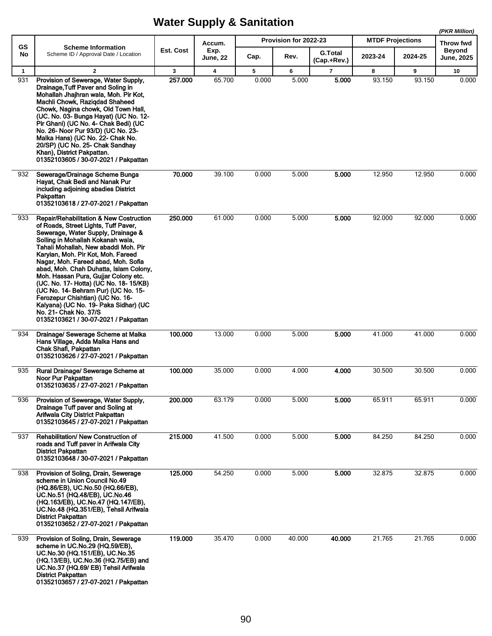**(PKR Million)**

|                 |                                                                                                                                                                                                                                                                                                                                                                                                                                                                                                                                                                                                  |           | Accum.           |       | Provision for 2022-23 |                               | <b>MTDF Projections</b> |         | (PKR WIIIION)<br><b>Throw fwd</b> |
|-----------------|--------------------------------------------------------------------------------------------------------------------------------------------------------------------------------------------------------------------------------------------------------------------------------------------------------------------------------------------------------------------------------------------------------------------------------------------------------------------------------------------------------------------------------------------------------------------------------------------------|-----------|------------------|-------|-----------------------|-------------------------------|-------------------------|---------|-----------------------------------|
| <b>GS</b><br>No | <b>Scheme Information</b><br>Scheme ID / Approval Date / Location                                                                                                                                                                                                                                                                                                                                                                                                                                                                                                                                | Est. Cost | Exp.<br>June, 22 | Cap.  | Rev.                  | <b>G.Total</b><br>(Cap.+Rev.) | 2023-24                 | 2024-25 | Beyond<br><b>June, 2025</b>       |
| $\mathbf{1}$    | $\mathbf{2}$                                                                                                                                                                                                                                                                                                                                                                                                                                                                                                                                                                                     | 3         | 4                | 5     | 6                     | $\overline{\mathbf{r}}$       | 8                       | 9       | 10                                |
| 931             | Provision of Sewerage, Water Supply,<br>Drainage, Tuff Paver and Soling in<br>Mohallah Jhajhran wala, Moh. Pir Kot,<br>Machli Chowk, Raziqdad Shaheed<br>Chowk, Nagina chowk, Old Town Hall,<br>(UC. No. 03- Bunga Hayat) (UC No. 12-<br>Pir Ghani) (UC No. 4- Chak Bedi) (UC<br>No. 26- Noor Pur 93/D) (UC No. 23-<br>Malka Hans) (UC No. 22- Chak No.<br>20/SP) (UC No. 25- Chak Sandhay<br>Khan), District Pakpattan.<br>01352103605 / 30-07-2021 / Pakpattan                                                                                                                                 | 257.000   | 65.700           | 0.000 | 5.000                 | 5.000                         | 93.150                  | 93.150  | 0.000                             |
| 932             | Sewerage/Drainage Scheme Bunga<br>Hayat, Chak Bedi and Nanak Pur<br>including adjoining abadies District<br>Pakpattan<br>01352103618 / 27-07-2021 / Pakpattan                                                                                                                                                                                                                                                                                                                                                                                                                                    | 70.000    | 39.100           | 0.000 | 5.000                 | 5.000                         | 12.950                  | 12.950  | 0.000                             |
| 933             | Repair/Rehabilitation & New Costruction<br>of Roads, Street Lights, Tuff Paver,<br>Sewerage, Water Supply, Drainage &<br>Solling in Mohallah Kokanah wala,<br>Tahali Mohallah, New abaddi Moh. Pir<br>Karyian, Moh. Pir Kot, Moh. Fareed<br>Nagar, Moh. Fareed abad, Moh. Sofia<br>abad, Moh. Chah Duhatta, Islam Colony,<br>Moh. Hassan Pura, Gujjar Colony etc.<br>(UC. No. 17- Hotta) (UC No. 18- 15/KB)<br>(UC No. 14- Behram Pur) (UC No. 15-<br>Ferozepur Chishtian) (UC No. 16-<br>Kalyana) (UC No. 19- Paka Sidhar) (UC<br>No. 21- Chak No. 37/S<br>01352103621 / 30-07-2021 / Pakpattan | 250.000   | 61.000           | 0.000 | 5.000                 | 5.000                         | 92.000                  | 92.000  | 0.000                             |
| 934             | Drainage/ Sewerage Scheme at Malka<br>Hans Village, Adda Malka Hans and<br>Chak Shafi, Pakpattan<br>01352103626 / 27-07-2021 / Pakpattan                                                                                                                                                                                                                                                                                                                                                                                                                                                         | 100.000   | 13.000           | 0.000 | 5.000                 | 5.000                         | 41.000                  | 41.000  | 0.000                             |
| 935             | Rural Drainage/ Sewerage Scheme at<br>Noor Pur Pakpattan<br>01352103635 / 27-07-2021 / Pakpattan                                                                                                                                                                                                                                                                                                                                                                                                                                                                                                 | 100.000   | 35.000           | 0.000 | 4.000                 | 4.000                         | 30.500                  | 30.500  | 0.000                             |
| 936             | Provision of Sewerage, Water Supply,<br>Drainage Tuff paver and Soling at<br>Arifwala City District Pakpattan<br>01352103645 / 27-07-2021 / Pakpattan                                                                                                                                                                                                                                                                                                                                                                                                                                            | 200.000   | 63.179           | 0.000 | 5.000                 | 5.000                         | 65.911                  | 65.911  | 0.000                             |
| 937             | Rehabilitation/ New Construction of<br>roads and Tuff paver in Arifwala City<br>District Pakpattan<br>01352103648 / 30-07-2021 / Pakpattan                                                                                                                                                                                                                                                                                                                                                                                                                                                       | 215.000   | 41.500           | 0.000 | 5.000                 | 5.000                         | 84.250                  | 84.250  | 0.000                             |
| 938             | Provision of Soling, Drain, Sewerage<br>scheme in Union Council No.49<br>(HQ.86/EB), UC.No.50 (HQ.66/EB),<br>UC.No.51 (HQ.48/EB), UC.No.46<br>(HQ.163/EB), UC.No.47 (HQ.147/EB),<br>UC.No.48 (HQ.351/EB), Tehsil Arifwala<br><b>District Pakpattan</b><br>01352103652 / 27-07-2021 / Pakpattan                                                                                                                                                                                                                                                                                                   | 125.000   | 54.250           | 0.000 | 5.000                 | 5.000                         | 32.875                  | 32.875  | 0.000                             |
| 939             | Provision of Soling, Drain, Sewerage<br>scheme in UC.No.29 (HQ.59/EB),<br>UC.No.30 (HQ.151/EB), UC.No.35<br>(HQ.13/EB), UC.No.36 (HQ.75/EB) and<br>UC.No.37 (HQ.69/ EB) Tehsil Arifwala<br><b>District Pakpattan</b><br>01352103657 / 27-07-2021 / Pakpattan                                                                                                                                                                                                                                                                                                                                     | 119.000   | 35.470           | 0.000 | 40.000                | 40.000                        | 21.765                  | 21.765  | 0.000                             |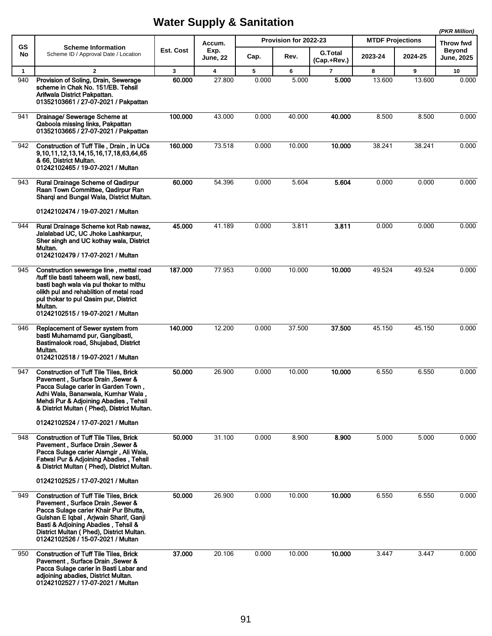|              |                                                                                                                                                                                                                                                                                              |           |                         |       |                       |                               |                         |         | (PKR Million)       |
|--------------|----------------------------------------------------------------------------------------------------------------------------------------------------------------------------------------------------------------------------------------------------------------------------------------------|-----------|-------------------------|-------|-----------------------|-------------------------------|-------------------------|---------|---------------------|
| GS           | <b>Scheme Information</b>                                                                                                                                                                                                                                                                    | Est. Cost | Accum.<br>Exp.          |       | Provision for 2022-23 |                               | <b>MTDF Projections</b> |         | Throw fwd<br>Beyond |
| No           | Scheme ID / Approval Date / Location                                                                                                                                                                                                                                                         |           | <b>June, 22</b>         | Cap.  | Rev.                  | <b>G.Total</b><br>(Cap.+Rev.) | 2023-24                 | 2024-25 | <b>June, 2025</b>   |
| $\mathbf{1}$ | $\overline{2}$                                                                                                                                                                                                                                                                               | 3         | $\overline{\mathbf{4}}$ | 5     | 6                     | $\overline{7}$                | 8                       | 9       | 10                  |
| 940          | Provision of Soling, Drain, Sewerage<br>scheme in Chak No. 151/EB. Tehsil<br>Arifwala District Pakpattan.<br>01352103661 / 27-07-2021 / Pakpattan                                                                                                                                            | 60.000    | 27.800                  | 0.000 | 5.000                 | 5.000                         | 13.600                  | 13.600  | 0.000               |
| 941          | Drainage/ Sewerage Scheme at<br>Qaboola missing links, Pakpattan<br>01352103665 / 27-07-2021 / Pakpattan                                                                                                                                                                                     | 100.000   | 43.000                  | 0.000 | 40.000                | 40.000                        | 8.500                   | 8.500   | 0.000               |
| 942          | Construction of Tuff Tile, Drain, in UCs<br>9, 10, 11, 12, 13, 14, 15, 16, 17, 18, 63, 64, 65<br>& 66, District Multan.<br>01242102465 / 19-07-2021 / Multan                                                                                                                                 | 160.000   | 73.518                  | 0.000 | 10.000                | 10.000                        | 38.241                  | 38.241  | 0.000               |
| 943          | <b>Rural Drainage Scheme of Qadirpur</b><br>Raan Town Committee, Qadirpur Ran<br>Sharqi and Bungal Wala, District Multan.                                                                                                                                                                    | 60.000    | 54.396                  | 0.000 | 5.604                 | 5.604                         | 0.000                   | 0.000   | 0.000               |
|              | 01242102474 / 19-07-2021 / Multan                                                                                                                                                                                                                                                            |           |                         |       |                       |                               |                         |         |                     |
| 944          | Rural Drainage Scheme kot Rab nawaz,<br>Jalalabad UC, UC Jhoke Lashkarpur,<br>Sher singh and UC kothay wala, District<br>Multan.<br>01242102479 / 17-07-2021 / Multan                                                                                                                        | 45.000    | 41.189                  | 0.000 | 3.811                 | 3.811                         | 0.000                   | 0.000   | 0.000               |
| 945          | Construction sewerage line, mettal road<br>/tuff tile basti taheem wali, new basti,<br>basti bagh wala via pul thokar to mithu<br>olikh pul and rehablition of metal road<br>pul thokar to pul Qasim pur, District<br>Multan.<br>01242102515 / 19-07-2021 / Multan                           | 187.000   | 77.953                  | 0.000 | 10.000                | 10.000                        | 49.524                  | 49.524  | 0.000               |
| 946          | Replacement of Sewer system from<br>basti Muhamamd pur, Gangibasti,<br>Bastimalook road, Shujabad, District<br>Multan.<br>01242102518 / 19-07-2021 / Multan                                                                                                                                  | 140.000   | 12.200                  | 0.000 | 37.500                | 37.500                        | 45.150                  | 45.150  | 0.000               |
| 947          | <b>Construction of Tuff Tile Tiles, Brick</b><br><b>Pavement, Surface Drain, Sewer &amp;</b><br>Pacca Sulage carier in Garden Town,<br>Adhi Wala, Bananwala, Kumhar Wala,<br>Mehdi Pur & Adjoining Abadies, Tehsil<br>& District Multan (Phed), District Multan.                             | 50.000    | 26.900                  | 0.000 | 10.000                | 10.000                        | 6.550                   | 6.550   | 0.000               |
|              | 01242102524 / 17-07-2021 / Multan                                                                                                                                                                                                                                                            |           |                         |       |                       |                               |                         |         |                     |
| 948          | <b>Construction of Tuff Tile Tiles, Brick</b><br><b>Pavement, Surface Drain, Sewer &amp;</b><br>Pacca Sulage carier Alamgir, Ali Wala,<br>Fatwal Pur & Adjoining Abadies, Tehsil<br>& District Multan (Phed), District Multan.                                                               | 50.000    | 31.100                  | 0.000 | 8.900                 | 8.900                         | 5.000                   | 5.000   | 0.000               |
|              | 01242102525 / 17-07-2021 / Multan                                                                                                                                                                                                                                                            |           |                         |       |                       |                               |                         |         |                     |
| 949          | <b>Construction of Tuff Tile Tiles, Brick</b><br>Pavement, Surface Drain, Sewer &<br>Pacca Sulage carier Khair Pur Bhutta,<br>Gulshan E Iqbal, Arjwain Sharif, Ganji<br>Basti & Adjoining Abadies, Tehsil &<br>District Multan (Phed), District Multan.<br>01242102526 / 15-07-2021 / Multan | 50.000    | 26.900                  | 0.000 | 10.000                | 10.000                        | 6.550                   | 6.550   | 0.000               |
| 950          | <b>Construction of Tuff Tile Tiles, Brick</b><br>Pavement, Surface Drain, Sewer &<br>Pacca Sulage carier in Basti Labar and<br>adjoining abadies, District Multan.<br>01242102527 / 17-07-2021 / Multan                                                                                      | 37.000    | 20.106                  | 0.000 | 10.000                | 10.000                        | 3.447                   | 3.447   | 0.000               |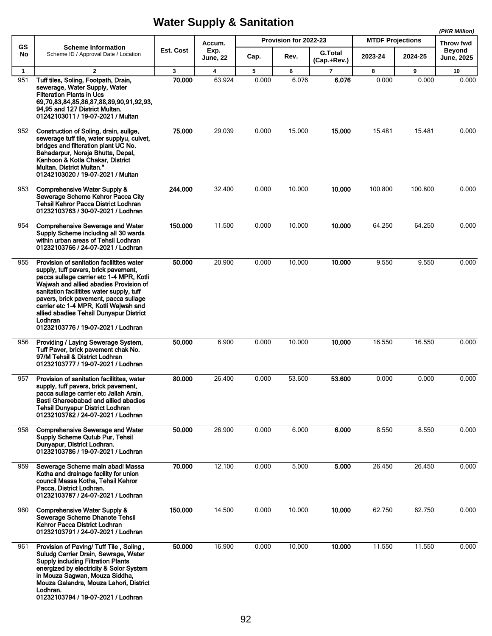|                     |                                                                                                                                                                                                                                                                                                                                                                                                    |                        |                |            |                       |                               |                         |            | (PKR Million)              |
|---------------------|----------------------------------------------------------------------------------------------------------------------------------------------------------------------------------------------------------------------------------------------------------------------------------------------------------------------------------------------------------------------------------------------------|------------------------|----------------|------------|-----------------------|-------------------------------|-------------------------|------------|----------------------------|
| <b>GS</b>           | <b>Scheme Information</b>                                                                                                                                                                                                                                                                                                                                                                          | Est. Cost              | Accum.<br>Exp. |            | Provision for 2022-23 |                               | <b>MTDF Projections</b> |            | Throw fwd<br><b>Beyond</b> |
| No                  | Scheme ID / Approval Date / Location                                                                                                                                                                                                                                                                                                                                                               |                        | June, 22       | Cap.       | Rev.                  | <b>G.Total</b><br>(Cap.+Rev.) | 2023-24                 | 2024-25    | <b>June, 2025</b>          |
| $\mathbf{1}$<br>951 | $\overline{2}$<br>Tuff tiles, Soling, Footpath, Drain,<br>sewerage, Water Supply, Water<br><b>Filteration Plants in Ucs</b><br>69,70,83,84,85,86,87,88,89,90,91,92,93,<br>94,95 and 127 District Multan.<br>01242103011 / 19-07-2021 / Multan                                                                                                                                                      | $\mathbf{3}$<br>70.000 | 4<br>63.924    | 5<br>0.000 | 6<br>6.076            | $\overline{7}$<br>6.076       | 8<br>0.000              | 9<br>0.000 | 10<br>0.000                |
| 952                 | Construction of Soling, drain, sullge,<br>sewerage tuff tile, water supplyu, culvet,<br>bridges and filteration plant UC No.<br>Bahadarpur, Noraja Bhutta, Depal,<br>Kanhoon & Kotla Chakar, District<br>Multan. District Multan."<br>01242103020 / 19-07-2021 / Multan                                                                                                                            | 75.000                 | 29.039         | 0.000      | 15.000                | 15.000                        | 15.481                  | 15.481     | 0.000                      |
| 953                 | <b>Comprehensive Water Supply &amp;</b><br>Sewerage Scheme Kehror Pacca City<br>Tehsil Kehror Pacca District Lodhran<br>01232103763 / 30-07-2021 / Lodhran                                                                                                                                                                                                                                         | 244.000                | 32.400         | 0.000      | 10.000                | 10.000                        | 100.800                 | 100.800    | 0.000                      |
| 954                 | <b>Comprehensive Sewerage and Water</b><br>Supply Scheme including all 30 wards<br>within urban areas of Tehsil Lodhran<br>01232103766 / 24-07-2021 / Lodhran                                                                                                                                                                                                                                      | 150.000                | 11.500         | 0.000      | 10.000                | 10.000                        | 64.250                  | 64.250     | 0.000                      |
| 955                 | Provision of sanitation facilitites water<br>supply, tuff pavers, brick pavement,<br>pacca sullage carrier etc 1-4 MPR, Kotli<br>Wajwah and allied abadies Provision of<br>sanitation facilitites water supply, tuff<br>pavers, brick pavement, pacca sullage<br>carrier etc 1-4 MPR, Kotli Wajwah and<br>allied abadies Tehsil Dunyapur District<br>Lodhran<br>01232103776 / 19-07-2021 / Lodhran | 50.000                 | 20.900         | 0.000      | 10.000                | 10.000                        | 9.550                   | 9.550      | 0.000                      |
| 956                 | Providing / Laying Sewerage System,<br>Tuff Paver, brick pavement chak No.<br>97/M Tehsil & District Lodhran<br>01232103777 / 19-07-2021 / Lodhran                                                                                                                                                                                                                                                 | 50.000                 | 6.900          | 0.000      | 10.000                | 10.000                        | 16.550                  | 16.550     | 0.000                      |
| 957                 | Provision of sanitation facilitites, water<br>supply, tuff pavers, brick pavement,<br>pacca sullage carrier etc Jallah Arain,<br>Basti Ghareebabad and allied abadies<br><b>Tehsil Dunyapur District Lodhran</b><br>01232103782 / 24-07-2021 / Lodhran                                                                                                                                             | 80.000                 | 26.400         | 0.000      | 53.600                | 53.600                        | 0.000                   | 0.000      | 0.000                      |
| 958                 | <b>Comprehensive Sewerage and Water</b><br>Supply Scheme Qutub Pur, Tehsil<br>Dunyapur, District Lodhran.<br>01232103786 / 19-07-2021 / Lodhran                                                                                                                                                                                                                                                    | 50.000                 | 26.900         | 0.000      | 6.000                 | 6.000                         | 8.550                   | 8.550      | 0.000                      |
| 959                 | Sewerage Scheme main abadi Massa<br>Kotha and drainage facility for union<br>council Massa Kotha, Tehsil Kehror<br>Pacca, District Lodhran.<br>01232103787 / 24-07-2021 / Lodhran                                                                                                                                                                                                                  | 70.000                 | 12.100         | 0.000      | 5.000                 | 5.000                         | 26.450                  | 26.450     | 0.000                      |
| 960                 | <b>Comprehensive Water Supply &amp;</b><br>Sewerage Scheme Dhanote Tehsil<br>Kehror Pacca District Lodhran<br>01232103791 / 24-07-2021 / Lodhran                                                                                                                                                                                                                                                   | 150.000                | 14.500         | 0.000      | 10.000                | 10.000                        | 62.750                  | 62.750     | 0.000                      |
| 961                 | Provision of Paving/Tuff Tile, Soling,<br>Suludg Carrier Drain, Sewrage, Water<br><b>Supply including Filtration Plants</b><br>energized by electricity & Solor System<br>in Mouza Sagwan, Mouza Siddha,<br>Mouza Galandra, Mouza Lahori, District<br>Lodhran.<br>01232103794 / 19-07-2021 / Lodhran                                                                                               | 50.000                 | 16.900         | 0.000      | 10.000                | 10.000                        | 11.550                  | 11.550     | 0.000                      |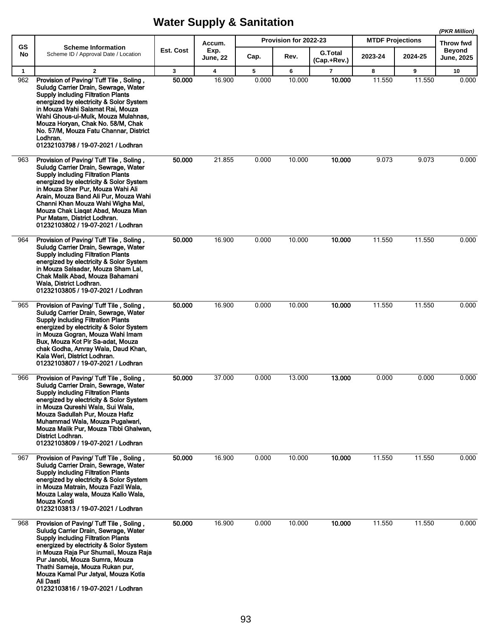|                     |                                                                                                                                                                                                                                                                                                                                                                                                       |                        |                                   |            | Provision for 2022-23 |                               | <b>MTDF Projections</b> |             | (PKR Million)                                   |
|---------------------|-------------------------------------------------------------------------------------------------------------------------------------------------------------------------------------------------------------------------------------------------------------------------------------------------------------------------------------------------------------------------------------------------------|------------------------|-----------------------------------|------------|-----------------------|-------------------------------|-------------------------|-------------|-------------------------------------------------|
| GS<br>No            | <b>Scheme Information</b><br>Scheme ID / Approval Date / Location                                                                                                                                                                                                                                                                                                                                     | Est. Cost              | Accum.<br>Exp.<br><b>June, 22</b> | Cap.       | Rev.                  | <b>G.Total</b>                | 2023-24                 | 2024-25     | Throw fwd<br><b>Beyond</b><br><b>June, 2025</b> |
|                     | $\overline{2}$                                                                                                                                                                                                                                                                                                                                                                                        |                        |                                   |            |                       | (Cap.+Rev.)<br>$\overline{7}$ |                         |             |                                                 |
| $\mathbf{1}$<br>962 | Provision of Paving/Tuff Tile, Soling,<br>Suludg Carrier Drain, Sewrage, Water<br><b>Supply including Filtration Plants</b><br>energized by electricity & Solor System<br>in Mouza Wahi Salamat Rai, Mouza<br>Wahi Ghous-ul-Mulk, Mouza Mulahnas,<br>Mouza Horyan, Chak No. 58/M, Chak<br>No. 57/M, Mouza Fatu Channar, District<br>Lodhran.<br>01232103798 / 19-07-2021 / Lodhran                    | $\mathbf{3}$<br>50.000 | 4<br>16.900                       | 5<br>0.000 | 6<br>10.000           | 10.000                        | 8<br>11.550             | 9<br>11.550 | 10<br>0.000                                     |
| 963                 | Provision of Paving/Tuff Tile, Soling,<br>Suludg Carrier Drain, Sewrage, Water<br><b>Supply including Filtration Plants</b><br>energized by electricity & Solor System<br>in Mouza Sher Pur, Mouza Wahi Ali<br>Arain, Mouza Band Ali Pur, Mouza Wahi<br>Channi Khan Mouza Wahi Wigha Mal,<br>Mouza Chak Liagat Abad, Mouza Mian<br>Pur Matam, District Lodhran.<br>01232103802 / 19-07-2021 / Lodhran | 50.000                 | 21.855                            | 0.000      | 10.000                | 10.000                        | 9.073                   | 9.073       | 0.000                                           |
| 964                 | Provision of Paving/Tuff Tile, Soling,<br>Suludg Carrier Drain, Sewrage, Water<br><b>Supply including Filtration Plants</b><br>energized by electricity & Solor System<br>in Mouza Salsadar, Mouza Sham Lal,<br>Chak Malik Abad, Mouza Bahamani<br>Wala, District Lodhran.<br>01232103805 / 19-07-2021 / Lodhran                                                                                      | 50.000                 | 16.900                            | 0.000      | 10.000                | 10.000                        | 11.550                  | 11.550      | 0.000                                           |
| 965                 | Provision of Paving/ Tuff Tile, Soling,<br>Suludg Carrier Drain, Sewrage, Water<br><b>Supply including Filtration Plants</b><br>energized by electricity & Solor System<br>in Mouza Gogran, Mouza Wahi Imam<br>Bux, Mouza Kot Pir Sa-adat, Mouza<br>chak Godha, Amray Wala, Daud Khan,<br>Kala Weri, District Lodhran.<br>01232103807 / 19-07-2021 / Lodhran                                          | 50.000                 | 16.900                            | 0.000      | 10.000                | 10.000                        | 11.550                  | 11.550      | 0.000                                           |
| 966                 | Provision of Paving/Tuff Tile, Soling,<br>Suludg Carrier Drain, Sewrage, Water<br><b>Supply including Filtration Plants</b><br>energized by electricity & Solor System<br>in Mouza Qureshi Wala, Sui Wala,<br>Mouza Sadullah Pur, Mouza Hafiz<br>Muhammad Wala, Mouza Pugalwari,<br>Mouza Malik Pur, Mouza Tibbi Ghalwan,<br>District Lodhran.<br>01232103809 / 19-07-2021 / Lodhran                  | 50.000                 | 37.000                            | 0.000      | 13.000                | 13.000                        | 0.000                   | 0.000       | 0.000                                           |
| 967                 | Provision of Paving/Tuff Tile, Soling,<br>Suludg Carrier Drain, Sewrage, Water<br><b>Supply including Filtration Plants</b><br>energized by electricity & Solor System<br>in Mouza Matrain, Mouza Fazil Wala.<br>Mouza Lalay wala, Mouza Kallo Wala,<br>Mouza Kondi<br>01232103813 / 19-07-2021 / Lodhran                                                                                             | 50.000                 | 16.900                            | 0.000      | 10.000                | 10.000                        | 11.550                  | 11.550      | 0.000                                           |
| 968                 | Provision of Paving/Tuff Tile, Soling,<br>Suludg Carrier Drain, Sewrage, Water<br><b>Supply including Filtration Plants</b><br>energized by electricity & Solor System<br>in Mouza Raja Pur Shumali, Mouza Raja<br>Pur Janobi, Mouza Sumra, Mouza<br>Thathi Sameja, Mouza Rukan pur,<br>Mouza Kamal Pur Jatyal, Mouza Kotla<br>Ali Dasti<br>01232103816 / 19-07-2021 / Lodhran                        | 50,000                 | 16.900                            | 0.000      | 10.000                | 10.000                        | 11.550                  | 11.550      | 0.000                                           |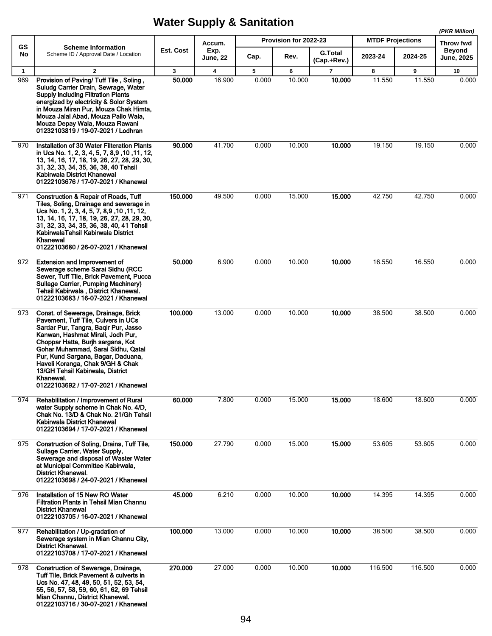|                     |                                                                                                                                                                                                                                                                                                                                                                                                      |                        |                                   |            |                       |                               |                         |             | (PKR Million)               |
|---------------------|------------------------------------------------------------------------------------------------------------------------------------------------------------------------------------------------------------------------------------------------------------------------------------------------------------------------------------------------------------------------------------------------------|------------------------|-----------------------------------|------------|-----------------------|-------------------------------|-------------------------|-------------|-----------------------------|
| GS                  | <b>Scheme Information</b>                                                                                                                                                                                                                                                                                                                                                                            |                        | Accum.                            |            | Provision for 2022-23 |                               | <b>MTDF Projections</b> |             | Throw fwd                   |
| No                  | Scheme ID / Approval Date / Location                                                                                                                                                                                                                                                                                                                                                                 | Est. Cost              | Exp.<br><b>June, 22</b>           | Cap.       | Rev.                  | <b>G.Total</b><br>(Cap.+Rev.) | 2023-24                 | 2024-25     | <b>Beyond</b><br>June, 2025 |
| $\mathbf{1}$<br>969 | $\overline{2}$<br>Provision of Paving/Tuff Tile, Soling,<br>Suludg Carrier Drain, Sewrage, Water<br><b>Supply including Filtration Plants</b><br>energized by electricity & Solor System<br>in Mouza Miran Pur, Mouza Chak Himta,<br>Mouza Jalal Abad, Mouza Pallo Wala,<br>Mouza Depay Wala, Mouza Rawani<br>01232103819 / 19-07-2021 / Lodhran                                                     | $\mathbf{3}$<br>50.000 | $\overline{\mathbf{4}}$<br>16.900 | 5<br>0.000 | 6<br>10.000           | $\overline{7}$<br>10.000      | 8<br>11.550             | 9<br>11.550 | 10<br>0.000                 |
| 970                 | Installation of 30 Water Filteration Plants<br>in Ucs No. 1, 2, 3, 4, 5, 7, 8,9, 10, 11, 12,<br>13, 14, 16, 17, 18, 19, 26, 27, 28, 29, 30,<br>31, 32, 33, 34, 35, 36, 38, 40 Tehsil<br>Kabirwala District Khanewal<br>01222103676 / 17-07-2021 / Khanewal                                                                                                                                           | 90.000                 | 41.700                            | 0.000      | 10.000                | 10.000                        | 19.150                  | 19.150      | 0.000                       |
| 971                 | <b>Construction &amp; Repair of Roads, Tuff</b><br>Tiles, Soling, Drainage and sewerage in<br>Ucs No. 1, 2, 3, 4, 5, 7, 8,9, 10, 11, 12,<br>13, 14, 16, 17, 18, 19, 26, 27, 28, 29, 30,<br>31, 32, 33, 34, 35, 36, 38, 40, 41 Tehsil<br>KabirwalaTehsil Kabirwala District<br>Khanewal<br>01222103680 / 26-07-2021 / Khanewal                                                                        | 150.000                | 49.500                            | 0.000      | 15.000                | 15.000                        | 42.750                  | 42.750      | 0.000                       |
| 972                 | <b>Extension and Improvement of</b><br>Sewerage scheme Sarai Sidhu (RCC<br>Sewer, Tuff Tile, Brick Pavement, Pucca<br>Sullage Carrier, Pumping Machinery)<br>Tehsil Kabirwala, District Khanewal.<br>01222103683 / 16-07-2021 / Khanewal                                                                                                                                                             | 50.000                 | 6.900                             | 0.000      | 10.000                | 10.000                        | 16.550                  | 16.550      | 0.000                       |
| 973                 | Const. of Sewerage, Drainage, Brick<br>Pavement, Tuff Tile, Culvers in UCs<br>Sardar Pur, Tangra, Baqir Pur, Jasso<br>Kanwan, Hashmat Mirali, Jodh Pur,<br>Choppar Hatta, Burjh sargana, Kot<br>Gohar Muhammad, Sarai Sidhu, Qatal<br>Pur, Kund Sargana, Bagar, Daduana,<br>Haveli Koranga, Chak 9/GH & Chak<br>13/GH Tehsil Kabirwala, District<br>Khanewal.<br>01222103692 / 17-07-2021 / Khanewal | 100.000                | 13.000                            | 0.000      | 10.000                | 10.000                        | 38.500                  | 38.500      | 0.000                       |
| 974                 | Rehabilitation / Improvement of Rural<br>water Supply scheme in Chak No. 4/D,<br>Chak No. 13/D & Chak No. 21/Gh Tehsil<br>Kabirwala District Khanewal<br>01222103694 / 17-07-2021 / Khanewal                                                                                                                                                                                                         | 60.000                 | 7.800                             | 0.000      | 15.000                | 15.000                        | 18.600                  | 18.600      | 0.000                       |
| 975                 | Construction of Soling, Drains, Tuff Tile,<br>Sullage Carrier, Water Supply,<br>Sewerage and disposal of Waster Water<br>at Municipal Committee Kabirwala,<br>District Khanewal.<br>01222103698 / 24-07-2021 / Khanewal                                                                                                                                                                              | 150.000                | 27.790                            | 0.000      | 15.000                | 15.000                        | 53.605                  | 53.605      | 0.000                       |
| 976                 | Installation of 15 New RO Water<br><b>Filtration Plants in Tehsil Mian Channu</b><br><b>District Khanewal</b><br>01222103705 / 16-07-2021 / Khanewal                                                                                                                                                                                                                                                 | 45.000                 | 6.210                             | 0.000      | 10.000                | 10.000                        | 14.395                  | 14.395      | 0.000                       |
| 977                 | Rehabilitation / Up-gradation of<br>Sewerage system in Mian Channu City,<br><b>District Khanewal.</b><br>01222103708 / 17-07-2021 / Khanewal                                                                                                                                                                                                                                                         | 100.000                | 13.000                            | 0.000      | 10.000                | 10.000                        | 38.500                  | 38.500      | 0.000                       |
| 978                 | Construction of Sewerage, Drainage,<br>Tuff Tile, Brick Pavement & culverts in<br>Ucs No. 47, 48, 49, 50, 51, 52, 53, 54,<br>55, 56, 57, 58, 59, 60, 61, 62, 69 Tehsil<br>Mian Channu, District Khanewal.<br>01222103716 / 30-07-2021 / Khanewal                                                                                                                                                     | 270.000                | 27.000                            | 0.000      | 10.000                | 10.000                        | 116.500                 | 116.500     | 0.000                       |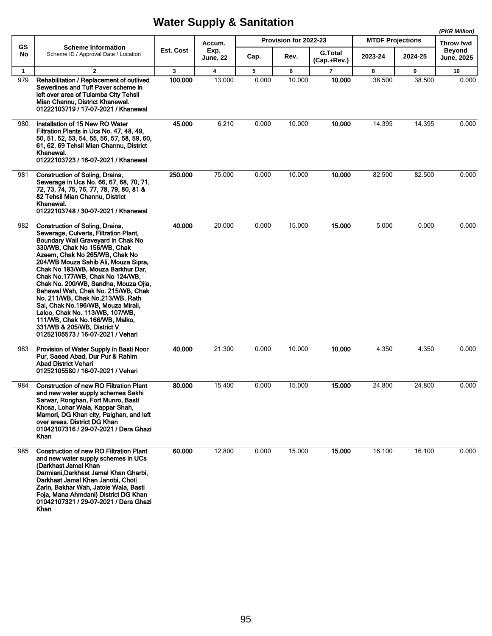|              |                                                                                                                                                                                                                                                                                                                                                                                                                                                                                                                                                                                                           |              |                         |       |                       |                               |                         |         | (PKR Million)               |
|--------------|-----------------------------------------------------------------------------------------------------------------------------------------------------------------------------------------------------------------------------------------------------------------------------------------------------------------------------------------------------------------------------------------------------------------------------------------------------------------------------------------------------------------------------------------------------------------------------------------------------------|--------------|-------------------------|-------|-----------------------|-------------------------------|-------------------------|---------|-----------------------------|
| <b>GS</b>    | <b>Scheme Information</b>                                                                                                                                                                                                                                                                                                                                                                                                                                                                                                                                                                                 |              | Accum.                  |       | Provision for 2022-23 |                               | <b>MTDF Projections</b> |         | Throw fwd                   |
| No           | Scheme ID / Approval Date / Location                                                                                                                                                                                                                                                                                                                                                                                                                                                                                                                                                                      | Est. Cost    | Exp.<br><b>June, 22</b> | Cap.  | Rev.                  | <b>G.Total</b><br>(Cap.+Rev.) | 2023-24                 | 2024-25 | <b>Beyond</b><br>June, 2025 |
| $\mathbf{1}$ | $\overline{2}$                                                                                                                                                                                                                                                                                                                                                                                                                                                                                                                                                                                            | $\mathbf{3}$ | 4                       | 5     | 6                     | $\overline{7}$                | 8                       | 9       | 10                          |
| 979          | Rehabilitation / Replacement of outlived<br>Sewerlines and Tuff Paver scheme in<br>left over area of Tulamba City Tehsil<br>Mian Channu, District Khanewal.<br>01222103719 / 17-07-2021 / Khanewal                                                                                                                                                                                                                                                                                                                                                                                                        | 100.000      | 13.000                  | 0.000 | 10.000                | 10.000                        | 38.500                  | 38.500  | 0.000                       |
| 980          | Installation of 15 New RO Water<br>Filtration Plants in Ucs No. 47, 48, 49,<br>50, 51, 52, 53, 54, 55, 56, 57, 58, 59, 60,<br>61, 62, 69 Tehsil Mian Channu, District<br>Khanewal.<br>01222103723 / 16-07-2021 / Khanewal                                                                                                                                                                                                                                                                                                                                                                                 | 45.000       | 6.210                   | 0.000 | 10.000                | 10.000                        | 14.395                  | 14.395  | 0.000                       |
| 981          | <b>Construction of Soling, Drains,</b><br>Sewerage in Ucs No. 66, 67, 68, 70, 71,<br>72, 73, 74, 75, 76, 77, 78, 79, 80, 81 &<br>82 Tehsil Mian Channu, District<br>Khanewal.<br>01222103748 / 30-07-2021 / Khanewal                                                                                                                                                                                                                                                                                                                                                                                      | 250.000      | 75.000                  | 0.000 | 10.000                | 10.000                        | 82.500                  | 82.500  | 0.000                       |
| 982          | <b>Construction of Soling, Drains,</b><br>Sewerage, Culverts, Filtration Plant,<br>Boundary Wall Graveyard in Chak No<br>330/WB, Chak No 156/WB, Chak<br>Azeem, Chak No 265/WB, Chak No<br>204/WB Mouza Sahib Ali, Mouza Sipra,<br>Chak No 183/WB, Mouza Barkhur Dar,<br>Chak No.177/WB, Chak No 124/WB,<br>Chak No. 200/WB, Sandha, Mouza Ojla,<br>Bahawal Wah, Chak No. 215/WB, Chak<br>No. 211/WB, Chak No.213/WB, Rath<br>Sai, Chak No.196/WB, Mouza Mirali,<br>Laloo, Chak No. 113/WB, 107/WB,<br>111/WB, Chak No.166/WB, Malko,<br>331/WB & 205/WB, District V<br>01252105573 / 16-07-2021 / Vehari | 40.000       | 20.000                  | 0.000 | 15.000                | 15.000                        | 5.000                   | 0.000   | 0.000                       |
| 983          | Provision of Water Supply in Basti Noor<br>Pur, Saeed Abad, Dur Pur & Rahim<br><b>Abad District Vehari</b><br>01252105580 / 16-07-2021 / Vehari                                                                                                                                                                                                                                                                                                                                                                                                                                                           | 40.000       | 21.300                  | 0.000 | 10.000                | 10.000                        | 4.350                   | 4.350   | 0.000                       |
| 984          | <b>Construction of new RO Filtration Plant</b><br>and new water supply schemes Sakhi<br>Sarwar, Ronghan, Fort Munro, Basti<br>Khosa, Lohar Wala, Kappar Shah,<br>Mamori, DG Khan city, Paighan, and left<br>over areas. District DG Khan<br>01042107316 / 29-07-2021 / Dera Ghazi<br>Khan                                                                                                                                                                                                                                                                                                                 | 80.000       | 15.400                  | 0.000 | 15.000                | 15.000                        | 24.800                  | 24.800  | 0.000                       |
| 985          | <b>Construction of new RO Filtration Plant</b><br>and new water supply schemes in UCs<br>(Darkhast Jamal Khan<br>Darmiani, Darkhast Jamal Khan Gharbi,<br>Darkhast Jamal Khan Janobi, Choti<br>Zarin, Bakhar Wah, Jatoie Wala, Basti<br>Foja, Mana Ahmdani) District DG Khan<br>01042107321 / 29-07-2021 / Dera Ghazi<br><b>Khan</b>                                                                                                                                                                                                                                                                      | 60,000       | 12.800                  | 0.000 | 15.000                | 15.000                        | 16.100                  | 16.100  | 0.000                       |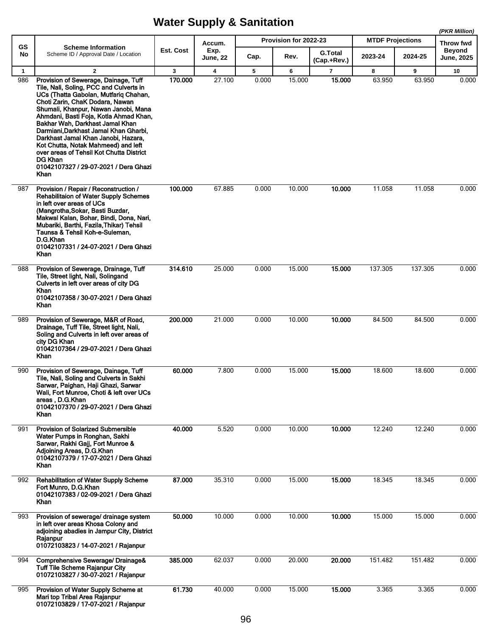|                     |                                                                                                                                                                                                                                                                                                                                                                                                                                                                                                                                          |                         |                         |            |                       |                               |                         |             | (PKR Million)              |
|---------------------|------------------------------------------------------------------------------------------------------------------------------------------------------------------------------------------------------------------------------------------------------------------------------------------------------------------------------------------------------------------------------------------------------------------------------------------------------------------------------------------------------------------------------------------|-------------------------|-------------------------|------------|-----------------------|-------------------------------|-------------------------|-------------|----------------------------|
| GS                  | <b>Scheme Information</b>                                                                                                                                                                                                                                                                                                                                                                                                                                                                                                                |                         | Accum.                  |            | Provision for 2022-23 |                               | <b>MTDF Projections</b> |             | Throw fwd<br><b>Beyond</b> |
| No                  | Scheme ID / Approval Date / Location                                                                                                                                                                                                                                                                                                                                                                                                                                                                                                     | Est. Cost               | Exp.<br><b>June, 22</b> | Cap.       | Rev.                  | <b>G.Total</b><br>(Cap.+Rev.) | 2023-24                 | 2024-25     | <b>June, 2025</b>          |
| $\mathbf{1}$<br>986 | $\overline{2}$<br>Provision of Sewerage, Dainage, Tuff<br>Tile, Nali, Soling, PCC and Culverts in<br>UCs (Thatta Gabolan, Mutfarig Chahan,<br>Choti Zarin, ChaK Dodara, Nawan<br>Shumali, Khanpur, Nawan Janobi, Mana<br>Ahmdani, Basti Foja, Kotla Ahmad Khan,<br>Bakhar Wah, Darkhast Jamal Khan<br>Darmiani, Darkhast Jamal Khan Gharbi,<br>Darkhast Jamal Khan Janobi, Hazara,<br>Kot Chutta, Notak Mahmeed) and left<br>over areas of Tehsil Kot Chutta District<br><b>DG Khan</b><br>01042107327 / 29-07-2021 / Dera Ghazi<br>Khan | $\mathbf{3}$<br>170.000 | 4<br>27.100             | 5<br>0.000 | 6<br>15.000           | $\overline{7}$<br>15.000      | 8<br>63.950             | 9<br>63.950 | 10<br>0.000                |
| 987                 | Provision / Repair / Reconstruction /<br><b>Rehabilitaion of Water Supply Schemes</b><br>in left over areas of UCs<br>(Mangrotha, Sokar, Basti Buzdar,<br>Makwal Kalan, Bohar, Bindi, Dona, Nari,<br>Mubariki, Barthi, Fazila, Thikar) Tehsil<br>Taunsa & Tehsil Koh-e-Suleman,<br>D.G.Khan<br>01042107331 / 24-07-2021 / Dera Ghazi<br>Khan                                                                                                                                                                                             | 100.000                 | 67.885                  | 0.000      | 10.000                | 10.000                        | 11.058                  | 11.058      | 0.000                      |
| 988                 | Provision of Sewerage, Drainage, Tuff<br>Tile, Street light, Nali, Solingand<br>Culverts in left over areas of city DG<br><b>Khan</b><br>01042107358 / 30-07-2021 / Dera Ghazi<br>Khan                                                                                                                                                                                                                                                                                                                                                   | 314.610                 | 25.000                  | 0.000      | 15.000                | 15.000                        | 137.305                 | 137.305     | 0.000                      |
| 989                 | Provision of Sewerage, M&R of Road,<br>Drainage, Tuff Tile, Street light, Nali,<br>Soling and Culverts in left over areas of<br>city DG Khan<br>01042107364 / 29-07-2021 / Dera Ghazi<br>Khan                                                                                                                                                                                                                                                                                                                                            | 200.000                 | 21.000                  | 0.000      | 10.000                | 10.000                        | 84.500                  | 84.500      | 0.000                      |
| 990                 | Provision of Sewerage, Dainage, Tuff<br>Tile, Nali, Soling and Culverts in Sakhi<br>Sarwar, Paighan, Haji Ghazi, Sarwar<br>Wali, Fort Munroe, Choti & left over UCs<br>areas, D.G.Khan<br>01042107370 / 29-07-2021 / Dera Ghazi<br>Khan                                                                                                                                                                                                                                                                                                  | 60.000                  | 7.800                   | 0.000      | 15.000                | 15.000                        | 18.600                  | 18.600      | 0.000                      |
| 991                 | <b>Provision of Solarized Submersible</b><br>Water Pumps in Ronghan, Sakhi<br>Sarwar, Rakhi Gajj, Fort Munroe &<br>Adjoining Areas, D.G.Khan<br>01042107379 / 17-07-2021 / Dera Ghazi<br>Khan                                                                                                                                                                                                                                                                                                                                            | 40.000                  | 5.520                   | 0.000      | 10.000                | 10.000                        | 12.240                  | 12.240      | 0.000                      |
| 992                 | <b>Rehabilitation of Water Supply Scheme</b><br>Fort Munro, D.G.Khan<br>01042107383 / 02-09-2021 / Dera Ghazi<br><b>Khan</b>                                                                                                                                                                                                                                                                                                                                                                                                             | 87.000                  | 35.310                  | 0.000      | 15.000                | 15.000                        | 18.345                  | 18.345      | 0.000                      |
| 993                 | Provision of sewerage/ drainage system<br>in left over areas Khosa Colony and<br>adjoining abadies in Jampur City, District<br>Rajanpur<br>01072103823 / 14-07-2021 / Rajanpur                                                                                                                                                                                                                                                                                                                                                           | 50.000                  | 10.000                  | 0.000      | 10.000                | 10.000                        | 15.000                  | 15.000      | 0.000                      |
| 994                 | Comprehensive Sewerage/ Drainage&<br><b>Tuff Tile Scheme Rajanpur City</b><br>01072103827 / 30-07-2021 / Rajanpur                                                                                                                                                                                                                                                                                                                                                                                                                        | 385.000                 | 62.037                  | 0.000      | 20.000                | 20.000                        | 151.482                 | 151.482     | 0.000                      |
| 995                 | Provision of Water Supply Scheme at<br>Mari top Tribal Area Rajanpur<br>01072103829 / 17-07-2021 / Rajanpur                                                                                                                                                                                                                                                                                                                                                                                                                              | 61.730                  | 40.000                  | 0.000      | 15.000                | 15.000                        | 3.365                   | 3.365       | 0.000                      |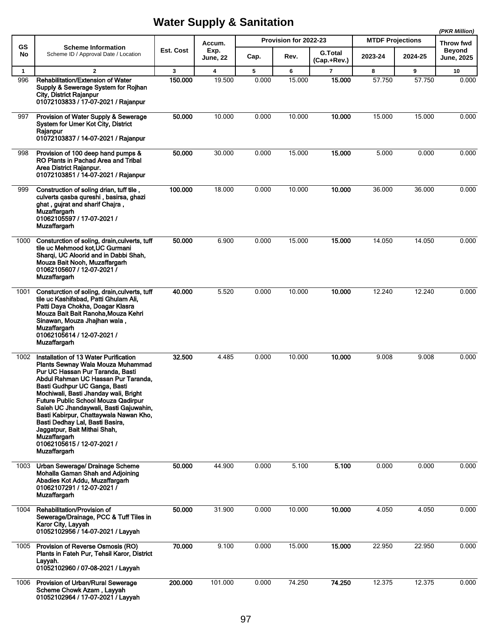|              |                                                                                                                                                                                                                                                                                                                                                                                                                                                                                                                  |           |                         |       |                       |                               |                         |         | (PKR Million)                      |
|--------------|------------------------------------------------------------------------------------------------------------------------------------------------------------------------------------------------------------------------------------------------------------------------------------------------------------------------------------------------------------------------------------------------------------------------------------------------------------------------------------------------------------------|-----------|-------------------------|-------|-----------------------|-------------------------------|-------------------------|---------|------------------------------------|
| GS           | <b>Scheme Information</b>                                                                                                                                                                                                                                                                                                                                                                                                                                                                                        |           | Accum.                  |       | Provision for 2022-23 |                               | <b>MTDF Projections</b> |         | Throw fwd                          |
| No           | Scheme ID / Approval Date / Location                                                                                                                                                                                                                                                                                                                                                                                                                                                                             | Est. Cost | Exp.<br><b>June, 22</b> | Cap.  | Rev.                  | <b>G.Total</b><br>(Cap.+Rev.) | 2023-24                 | 2024-25 | <b>Beyond</b><br><b>June, 2025</b> |
| $\mathbf{1}$ | $\overline{2}$                                                                                                                                                                                                                                                                                                                                                                                                                                                                                                   | 3         | 4                       | 5     | 6                     | $\overline{7}$                | 8                       | 9       | 10                                 |
| 996          | Rehabilitation/Extension of Water<br>Supply & Sewerage System for Rojhan<br>City, District Rajanpur<br>01072103833 / 17-07-2021 / Rajanpur                                                                                                                                                                                                                                                                                                                                                                       | 150.000   | 19.500                  | 0.000 | 15.000                | 15.000                        | 57.750                  | 57.750  | 0.000                              |
| 997          | Provision of Water Supply & Sewerage<br>System for Umer Kot City, District<br>Rajanpur<br>01072103837 / 14-07-2021 / Rajanpur                                                                                                                                                                                                                                                                                                                                                                                    | 50.000    | 10.000                  | 0.000 | 10.000                | 10.000                        | 15.000                  | 15.000  | 0.000                              |
| 998          | Provision of 100 deep hand pumps &<br>RO Plants in Pachad Area and Tribal<br>Area District Rajanpur.<br>01072103851 / 14-07-2021 / Rajanpur                                                                                                                                                                                                                                                                                                                                                                      | 50.000    | 30.000                  | 0.000 | 15.000                | 15.000                        | 5.000                   | 0.000   | 0.000                              |
| 999          | Construction of soling drian, tuff tile,<br>culverts qasba qureshi, basirsa, ghazi<br>ghat, gujrat and sharif Chajra,<br><b>Muzaffargarh</b><br>01062105597 / 17-07-2021 /<br><b>Muzaffargarh</b>                                                                                                                                                                                                                                                                                                                | 100.000   | 18.000                  | 0.000 | 10.000                | 10.000                        | 36.000                  | 36.000  | 0.000                              |
| 1000         | Consturction of soling, drain, culverts, tuff<br>tile uc Mehmood kot.UC Gurmani<br>Sharqi, UC Aloorid and in Dabbi Shah,<br>Mouza Bait Nooh, Muzaffargarh<br>01062105607 / 12-07-2021 /<br><b>Muzaffargarh</b>                                                                                                                                                                                                                                                                                                   | 50.000    | 6.900                   | 0.000 | 15.000                | 15.000                        | 14.050                  | 14.050  | 0.000                              |
| 1001         | Consturction of soling, drain, culverts, tuff<br>tile uc Kashifabad, Patti Ghulam Ali,<br>Patti Daya Chokha, Doagar Klasra<br>Mouza Bait Bait Ranoha, Mouza Kehri<br>Sinawan, Mouza Jhajhan wala,<br><b>Muzaffargarh</b><br>01062105614 / 12-07-2021 /<br><b>Muzaffargarh</b>                                                                                                                                                                                                                                    | 40.000    | 5.520                   | 0.000 | 10.000                | 10.000                        | 12.240                  | 12.240  | 0.000                              |
| 1002         | Installation of 13 Water Purification<br>Plants Sewnay Wala Mouza Muhammad<br>Pur UC Hassan Pur Taranda, Basti<br>Abdul Rahman UC Hassan Pur Taranda,<br>Basti Gudhpur UC Ganga, Basti<br>Mochiwali, Basti Jhanday wali, Bright<br><b>Future Public School Mouza Qadirpur</b><br>Saleh UC Jhandaywali, Basti Gajuwahin,<br>Basti Kabirpur, Chattaywala Nawan Kho,<br>Basti Dedhay Lal, Basti Basira,<br>Jaggatpur, Bait Mithai Shah,<br><b>Muzaffargarh</b><br>01062105615 / 12-07-2021 /<br><b>Muzaffargarh</b> | 32.500    | 4.485                   | 0.000 | 10.000                | 10.000                        | 9.008                   | 9.008   | 0.000                              |
| 1003         | Urban Sewerage/ Drainage Scheme<br>Mohalla Gaman Shah and Adjoining<br>Abadies Kot Addu, Muzaffargarh<br>01062107291 / 12-07-2021 /<br><b>Muzaffargarh</b>                                                                                                                                                                                                                                                                                                                                                       | 50.000    | 44.900                  | 0.000 | 5.100                 | 5.100                         | 0.000                   | 0.000   | 0.000                              |
| 1004         | Rehabilitation/Provision of<br>Sewerage/Drainage, PCC & Tuff Tiles in<br>Karor City, Layyah<br>01052102956 / 14-07-2021 / Layyah                                                                                                                                                                                                                                                                                                                                                                                 | 50.000    | 31.900                  | 0.000 | 10.000                | 10.000                        | 4.050                   | 4.050   | 0.000                              |
| 1005         | Provision of Reverse Osmosis (RO)<br>Plants in Fateh Pur, Tehsil Karor, District<br>Layyah.<br>01052102960 / 07-08-2021 / Layyah                                                                                                                                                                                                                                                                                                                                                                                 | 70.000    | 9.100                   | 0.000 | 15.000                | 15.000                        | 22.950                  | 22.950  | 0.000                              |
| 1006         | Provision of Urban/Rural Sewerage<br>Scheme Chowk Azam, Layyah<br>01052102964 / 17-07-2021 / Layyah                                                                                                                                                                                                                                                                                                                                                                                                              | 200.000   | 101.000                 | 0.000 | 74.250                | 74.250                        | 12.375                  | 12.375  | 0.000                              |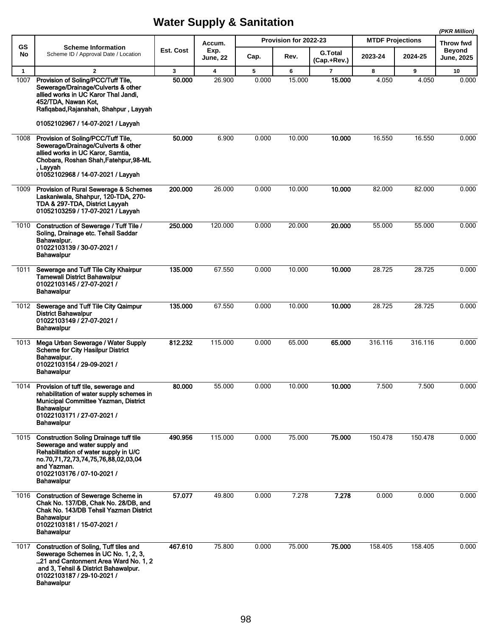|              |                                                                                                                                                                                                                                  |           |                         |       |                       |                               |                         |         | (PKR Million)                      |
|--------------|----------------------------------------------------------------------------------------------------------------------------------------------------------------------------------------------------------------------------------|-----------|-------------------------|-------|-----------------------|-------------------------------|-------------------------|---------|------------------------------------|
| GS           | <b>Scheme Information</b>                                                                                                                                                                                                        |           | Accum.                  |       | Provision for 2022-23 |                               | <b>MTDF Projections</b> |         | Throw fwd                          |
| No           | Scheme ID / Approval Date / Location                                                                                                                                                                                             | Est. Cost | Exp.<br><b>June, 22</b> | Cap.  | Rev.                  | <b>G.Total</b><br>(Cap.+Rev.) | 2023-24                 | 2024-25 | <b>Beyond</b><br><b>June, 2025</b> |
| $\mathbf{1}$ | $\overline{2}$                                                                                                                                                                                                                   | 3         | 4                       | 5     | 6                     | $\overline{7}$                | 8                       | 9       | 10                                 |
| 1007         | Provision of Soling/PCC/Tuff Tile,<br>Sewerage/Drainage/Culverts & other<br>allied works in UC Karor Thal Jandi,<br>452/TDA, Nawan Kot,<br>Rafiqabad, Rajanshah, Shahpur, Layyah<br>01052102967 / 14-07-2021 / Layyah            | 50.000    | 26.900                  | 0.000 | 15.000                | 15.000                        | 4.050                   | 4.050   | 0.000                              |
| 1008         | Provision of Soling/PCC/Tuff Tile,<br>Sewerage/Drainage/Culverts & other<br>allied works in UC Karor, Samtia,<br>Chobara, Roshan Shah, Fatehpur, 98-ML<br>, Layyah<br>01052102968 / 14-07-2021 / Layyah                          | 50.000    | 6.900                   | 0.000 | 10.000                | 10.000                        | 16.550                  | 16.550  | 0.000                              |
| 1009         | <b>Provision of Rural Sewerage &amp; Schemes</b><br>Laskaniwala, Shahpur, 120-TDA, 270-<br>TDA & 297-TDA, District Layyah<br>01052103259 / 17-07-2021 / Layyah                                                                   | 200.000   | 26.000                  | 0.000 | 10.000                | 10.000                        | 82.000                  | 82.000  | 0.000                              |
| 1010         | Construction of Sewerage / Tuff Tile /<br>Soling, Drainage etc. Tehsil Saddar<br>Bahawalpur.<br>01022103139 / 30-07-2021 /<br><b>Bahawalpur</b>                                                                                  | 250,000   | 120.000                 | 0.000 | 20.000                | 20.000                        | 55.000                  | 55.000  | 0.000                              |
| 1011         | Sewerage and Tuff Tile City Khairpur<br><b>Tamewali District Bahawalpur</b><br>01022103145 / 27-07-2021 /<br><b>Bahawalpur</b>                                                                                                   | 135.000   | 67.550                  | 0.000 | 10.000                | 10.000                        | 28.725                  | 28.725  | 0.000                              |
| 1012         | Sewerage and Tuff Tile City Qaimpur<br><b>District Bahawalpur</b><br>01022103149 / 27-07-2021 /<br><b>Bahawalpur</b>                                                                                                             | 135.000   | 67.550                  | 0.000 | 10.000                | 10.000                        | 28.725                  | 28.725  | 0.000                              |
| 1013         | Mega Urban Sewerage / Water Supply<br><b>Scheme for City Hasilpur District</b><br>Bahawalpur.<br>01022103154 / 29-09-2021 /<br><b>Bahawalpur</b>                                                                                 | 812.232   | 115.000                 | 0.000 | 65.000                | 65,000                        | 316.116                 | 316.116 | 0.000                              |
| 1014         | Provision of tuff tile, sewerage and<br>rehabilitation of water supply schemes in<br>Municipal Committee Yazman, District<br><b>Bahawalpur</b><br>01022103171 / 27-07-2021 /<br><b>Bahawalpur</b>                                | 80.000    | 55.000                  | 0.000 | 10.000                | 10.000                        | 7.500                   | 7.500   | 0.000                              |
| 1015         | <b>Construction Soling Drainage tuff tile</b><br>Sewerage and water supply and<br>Rehabilitation of water supply in U/C<br>no.70,71,72,73,74,75,76,88,02,03,04<br>and Yazman.<br>01022103176 / 07-10-2021 /<br><b>Bahawalpur</b> | 490.956   | 115.000                 | 0.000 | 75.000                | 75.000                        | 150.478                 | 150.478 | 0.000                              |
| 1016         | <b>Construction of Sewerage Scheme in</b><br>Chak No. 137/DB, Chak No. 28/DB, and<br>Chak No. 143/DB Tehsil Yazman District<br><b>Bahawalpur</b><br>01022103181 / 15-07-2021 /<br><b>Bahawalpur</b>                              | 57.077    | 49.800                  | 0.000 | 7.278                 | 7.278                         | 0.000                   | 0.000   | 0.000                              |
| 1017         | Construction of Soling, Tuff tiles and<br>Sewerage Schemes in UC No. 1, 2, 3,<br>21 and Cantonment Area Ward No. 1, 2<br>and 3, Tehsil & District Bahawalpur.<br>01022103187 / 29-10-2021 /<br><b>Bahawalpur</b>                 | 467.610   | 75.800                  | 0.000 | 75.000                | 75.000                        | 158.405                 | 158.405 | 0.000                              |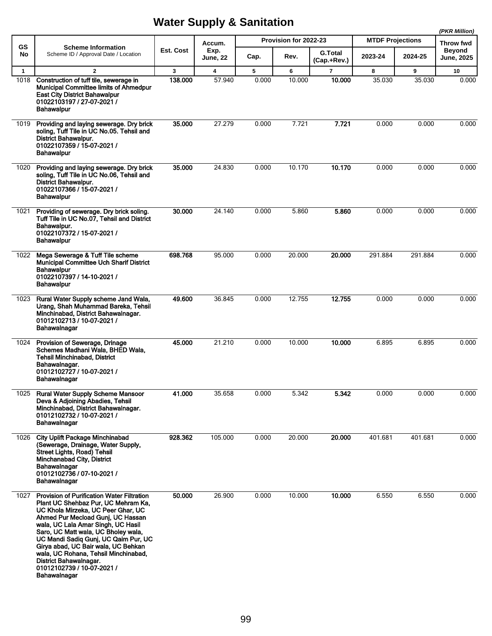|              |                                                                                                                                                                                                                                                                                                                                                                                                                                                 |           |                         |       |                       |                               |                         |         | (PKR Million)                      |
|--------------|-------------------------------------------------------------------------------------------------------------------------------------------------------------------------------------------------------------------------------------------------------------------------------------------------------------------------------------------------------------------------------------------------------------------------------------------------|-----------|-------------------------|-------|-----------------------|-------------------------------|-------------------------|---------|------------------------------------|
| <b>GS</b>    | <b>Scheme Information</b>                                                                                                                                                                                                                                                                                                                                                                                                                       |           | Accum.                  |       | Provision for 2022-23 |                               | <b>MTDF Projections</b> |         | Throw fwd                          |
| No           | Scheme ID / Approval Date / Location                                                                                                                                                                                                                                                                                                                                                                                                            | Est. Cost | Exp.<br><b>June, 22</b> | Cap.  | Rev.                  | <b>G.Total</b><br>(Cap.+Rev.) | 2023-24                 | 2024-25 | <b>Beyond</b><br><b>June, 2025</b> |
| $\mathbf{1}$ | $\overline{2}$                                                                                                                                                                                                                                                                                                                                                                                                                                  | 3         | 4                       | 5     | 6                     | $\overline{7}$                | 8                       | 9       | 10                                 |
| 1018         | Construction of tuff tile, sewerage in<br>Municipal Committee limits of Ahmedpur<br><b>East City District Bahawalpur</b><br>01022103197 / 27-07-2021 /<br>Bahawalpur                                                                                                                                                                                                                                                                            | 138.000   | 57.940                  | 0.000 | 10.000                | 10.000                        | 35.030                  | 35.030  | 0.000                              |
| 1019         | Providing and laying sewerage. Dry brick<br>soling, Tuff Tile in UC No.05. Tehsil and<br><b>District Bahawalpur.</b><br>01022107359 / 15-07-2021 /<br>Bahawalpur                                                                                                                                                                                                                                                                                | 35.000    | 27.279                  | 0.000 | 7.721                 | 7.721                         | 0.000                   | 0.000   | 0.000                              |
| 1020         | Providing and laying sewerage. Dry brick<br>soling, Tuff Tile in UC No.06, Tehsil and<br><b>District Bahawalpur.</b><br>01022107366 / 15-07-2021 /<br>Bahawalpur                                                                                                                                                                                                                                                                                | 35.000    | 24.830                  | 0.000 | 10.170                | 10.170                        | 0.000                   | 0.000   | 0.000                              |
| 1021         | Providing of sewerage. Dry brick soling.<br>Tuff Tile in UC No.07, Tehsil and District<br>Bahawalpur.<br>01022107372 / 15-07-2021 /<br><b>Bahawalpur</b>                                                                                                                                                                                                                                                                                        | 30.000    | 24.140                  | 0.000 | 5.860                 | 5.860                         | 0.000                   | 0.000   | 0.000                              |
| 1022         | Mega Sewerage & Tuff Tile scheme<br><b>Municipal Committee Uch Sharif District</b><br><b>Bahawalpur</b><br>01022107397 / 14-10-2021 /<br><b>Bahawalpur</b>                                                                                                                                                                                                                                                                                      | 698.768   | 95.000                  | 0.000 | 20.000                | 20.000                        | 291.884                 | 291.884 | 0.000                              |
| 1023         | Rural Water Supply scheme Jand Wala,<br>Urang, Shah Muhammad Bareka, Tehsil<br>Minchinabad, District Bahawalnagar.<br>01012102713 / 10-07-2021 /<br>Bahawalnagar                                                                                                                                                                                                                                                                                | 49.600    | 36.845                  | 0.000 | 12.755                | 12.755                        | 0.000                   | 0.000   | 0.000                              |
| 1024         | Provision of Sewerage, Drinage<br>Schemes Madhani Wala, BHED Wala,<br><b>Tehsil Minchinabad, District</b><br>Bahawalnagar.<br>01012102727 / 10-07-2021 /<br>Bahawalnagar                                                                                                                                                                                                                                                                        | 45.000    | 21.210                  | 0.000 | 10.000                | 10.000                        | 6.895                   | 6.895   | 0.000                              |
| 1025         | <b>Rural Water Supply Scheme Mansoor</b><br>Deva & Adjoining Abadies, Tehsil<br>Minchinabad, District Bahawalnagar.<br>01012102732 / 10-07-2021 /<br>Bahawalnagar                                                                                                                                                                                                                                                                               | 41.000    | 35.658                  | 0.000 | 5.342                 | 5.342                         | 0.000                   | 0.000   | 0.000                              |
| 1026         | <b>City Uplift Package Minchinabad</b><br>(Sewerage, Drainage, Water Supply,<br>Street Lights, Road) Tehsil<br><b>Minchanabad City, District</b><br>Bahawalnagar<br>01012102736 / 07-10-2021 /<br>Bahawalnagar                                                                                                                                                                                                                                  | 928.362   | 105.000                 | 0.000 | 20.000                | 20.000                        | 401.681                 | 401.681 | 0.000                              |
| 1027         | <b>Provision of Purification Water Filtration</b><br>Plant UC Shehbaz Pur, UC Mehram Ka,<br>UC Khola Mirzeka, UC Peer Ghar, UC<br>Ahmed Pur Mecload Gunj, UC Hassan<br>wala, UC Lala Amar Singh, UC Hasil<br>Saro, UC Matt wala, UC Bholey wala,<br>UC Mandi Sadiq Gunj, UC Qaim Pur, UC<br>Girya abad, UC Bair wala, UC Behkan<br>wala, UC Rohana, Tehsil Minchinabad,<br>District Bahawalnagar.<br>01012102739 / 10-07-2021 /<br>Bahawalnagar | 50.000    | 26.900                  | 0.000 | 10.000                | 10.000                        | 6.550                   | 6.550   | 0.000                              |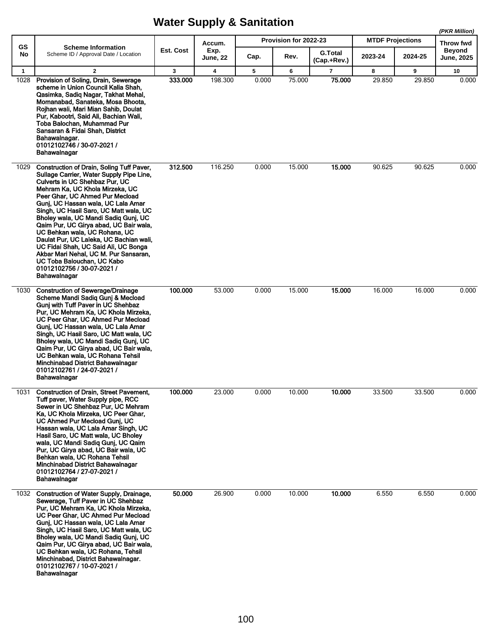|                      |                                                                                                                                                                                                                                                                                                                                                                                                                                                                                                                                                                                                          |              |                 |            | Provision for 2022-23 |                          | <b>MTDF Projections</b> |             | (PKR Million)              |
|----------------------|----------------------------------------------------------------------------------------------------------------------------------------------------------------------------------------------------------------------------------------------------------------------------------------------------------------------------------------------------------------------------------------------------------------------------------------------------------------------------------------------------------------------------------------------------------------------------------------------------------|--------------|-----------------|------------|-----------------------|--------------------------|-------------------------|-------------|----------------------------|
| GS<br>No             | <b>Scheme Information</b><br>Scheme ID / Approval Date / Location                                                                                                                                                                                                                                                                                                                                                                                                                                                                                                                                        | Est. Cost    | Accum.<br>Exp.  | Cap.       | Rev.                  | <b>G.Total</b>           | 2023-24                 | 2024-25     | Throw fwd<br><b>Beyond</b> |
|                      |                                                                                                                                                                                                                                                                                                                                                                                                                                                                                                                                                                                                          |              | <b>June, 22</b> |            |                       | (Cap.+Rev.)              |                         |             | June, 2025                 |
| $\mathbf{1}$<br>1028 | $\mathbf{2}$<br>Provision of Soling, Drain, Sewerage<br>scheme in Union Council Kalia Shah.<br>Qasimka, Sadiq Nagar, Takhat Mehal,<br>Momanabad, Sanateka, Mosa Bhoota,<br>Roihan wali, Mari Mian Sahib, Doulat<br>Pur, Kabootri, Said Ali, Bachian Wali,<br>Toba Balochan, Muhammad Pur<br>Sansaran & Fidai Shah, District<br>Bahawalnagar.<br>01012102746 / 30-07-2021 /<br>Bahawalnagar                                                                                                                                                                                                               | 3<br>333.000 | 4<br>198.300    | 5<br>0.000 | 6<br>75.000           | $\overline{7}$<br>75.000 | 8<br>29.850             | 9<br>29.850 | 10<br>0.000                |
| 1029                 | Construction of Drain, Soling Tuff Paver,<br>Sullage Carrier, Water Supply Pipe Line,<br>Culverts in UC Shehbaz Pur, UC<br>Mehram Ka, UC Khola Mirzeka, UC<br>Peer Ghar, UC Ahmed Pur Mecload<br>Gunj, UC Hassan wala, UC Lala Amar<br>Singh, UC Hasil Saro, UC Matt wala, UC<br>Bholey wala, UC Mandi Sadiq Gunj, UC<br>Qaim Pur, UC Girya abad, UC Bair wala,<br>UC Behkan wala, UC Rohana, UC<br>Daulat Pur, UC Laleka, UC Bachian wali,<br>UC Fidai Shah, UC Said Ali, UC Bonga<br>Akbar Mari Nehal, UC M. Pur Sansaran,<br>UC Toba Balouchan, UC Kabo<br>01012102756 / 30-07-2021 /<br>Bahawalnagar | 312.500      | 116.250         | 0.000      | 15.000                | 15.000                   | 90.625                  | 90.625      | 0.000                      |
| 1030                 | <b>Construction of Sewerage/Drainage</b><br>Scheme Mandi Sadiq Gunj & Mecload<br>Gunj with Tuff Paver in UC Shehbaz<br>Pur, UC Mehram Ka, UC Khola Mirzeka,<br>UC Peer Ghar, UC Ahmed Pur Mecload<br>Gunj, UC Hassan wala, UC Lala Amar<br>Singh, UC Hasil Saro, UC Matt wala, UC<br>Bholey wala, UC Mandi Sadiq Gunj, UC<br>Qaim Pur, UC Girva abad, UC Bair wala,<br>UC Behkan wala, UC Rohana Tehsil<br>Minchinabad District Bahawalnagar<br>01012102761 / 24-07-2021 /<br>Bahawalnagar                                                                                                               | 100.000      | 53.000          | 0.000      | 15.000                | 15.000                   | 16.000                  | 16.000      | 0.000                      |
| 1031                 | <b>Construction of Drain, Street Pavement,</b><br>Tuff paver, Water Supply pipe, RCC<br>Sewer in UC Shehbaz Pur, UC Mehram<br>Ka. UC Khola Mirzeka. UC Peer Ghar.<br>UC Ahmed Pur Mecload Gunj, UC<br>Hassan wala, UC Lala Amar Singh, UC<br>Hasil Saro, UC Matt wala, UC Bholey<br>wala, UC Mandi Sadiq Gunj, UC Qaim<br>Pur, UC Girya abad, UC Bair wala, UC<br>Behkan wala, UC Rohana Tehsil<br>Minchinabad District Bahawalnagar<br>01012102764 / 27-07-2021 /<br>Bahawalnagar                                                                                                                       | 100.000      | 23.000          | 0.000      | 10.000                | 10.000                   | 33.500                  | 33.500      | 0.000                      |
|                      | 1032 Construction of Water Supply, Drainage,<br>Sewerage, Tuff Paver in UC Shehbaz<br>Pur, UC Mehram Ka, UC Khola Mirzeka,<br>UC Peer Ghar, UC Ahmed Pur Mecload<br>Gunj, UC Hassan wala, UC Lala Amar<br>Singh, UC Hasil Saro, UC Matt wala, UC<br>Bholey wala, UC Mandi Sadiq Gunj, UC<br>Qaim Pur, UC Girya abad, UC Bair wala,<br>UC Behkan wala, UC Rohana, Tehsil<br>Minchinabad, District Bahawalnagar.<br>01012102767 / 10-07-2021 /<br>Bahawalnagar                                                                                                                                             | 50.000       | 26.900          | 0.000      | 10.000                | 10.000                   | 6.550                   | 6.550       | 0.000                      |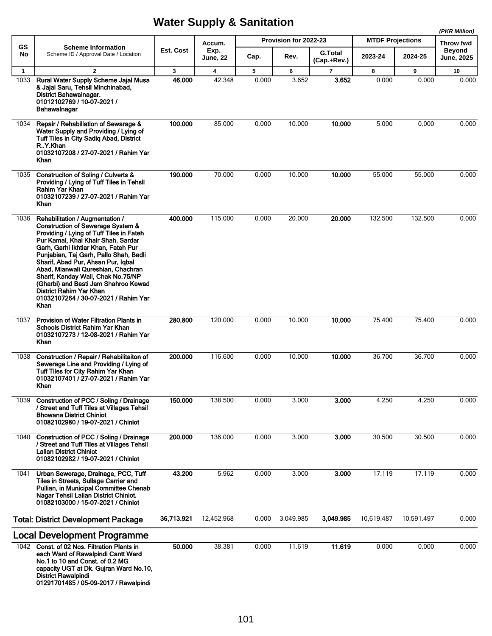|              |                                                                                                                                                                                                                                                                                                                                                                                                                                                                                         |            |                         |       |                       |                               |                         |            | (PKR Million)                      |
|--------------|-----------------------------------------------------------------------------------------------------------------------------------------------------------------------------------------------------------------------------------------------------------------------------------------------------------------------------------------------------------------------------------------------------------------------------------------------------------------------------------------|------------|-------------------------|-------|-----------------------|-------------------------------|-------------------------|------------|------------------------------------|
| GS           | <b>Scheme Information</b>                                                                                                                                                                                                                                                                                                                                                                                                                                                               |            | Accum.                  |       | Provision for 2022-23 |                               | <b>MTDF Projections</b> |            | Throw fwd                          |
| No           | Scheme ID / Approval Date / Location                                                                                                                                                                                                                                                                                                                                                                                                                                                    | Est. Cost  | Exp.<br><b>June, 22</b> | Cap.  | Rev.                  | <b>G.Total</b><br>(Cap.+Rev.) | 2023-24                 | 2024-25    | <b>Beyond</b><br><b>June, 2025</b> |
| $\mathbf{1}$ | $\overline{2}$                                                                                                                                                                                                                                                                                                                                                                                                                                                                          | 3          | $\overline{\mathbf{4}}$ | 5     | 6                     | $\overline{7}$                | 8                       | 9          | 10                                 |
| 1033         | Rural Water Supply Scheme Jajal Musa<br>& Jajal Saru, Tehsil Minchinabad,<br>District Bahawalnagar.<br>01012102769 / 10-07-2021 /<br>Bahawalnagar                                                                                                                                                                                                                                                                                                                                       | 46.000     | 42.348                  | 0.000 | 3.652                 | 3.652                         | 0.000                   | 0.000      | 0.000                              |
| 1034         | Repair / Rehabiliation of Sewarage &<br>Water Supply and Providing / Lying of<br>Tuff Tiles in City Sadiq Abad, District<br>R.Y.Khan<br>01032107208 / 27-07-2021 / Rahim Yar<br>Khan                                                                                                                                                                                                                                                                                                    | 100.000    | 85.000                  | 0.000 | 10.000                | 10.000                        | 5.000                   | 0.000      | 0.000                              |
| 1035         | Construciton of Soling / Culverts &<br>Providing / Lying of Tuff Tiles in Tehsil<br>Rahim Yar Khan<br>01032107239 / 27-07-2021 / Rahim Yar<br>Khan                                                                                                                                                                                                                                                                                                                                      | 190.000    | 70.000                  | 0.000 | 10.000                | 10.000                        | 55.000                  | 55.000     | 0.000                              |
| 1036         | Rehabilitation / Augmentation /<br><b>Construction of Sewerage System &amp;</b><br>Providing / Lying of Tuff Tiles in Fateh<br>Pur Kamal, Khai Khair Shah, Sardar<br>Garh, Garhi Ikhtiar Khan, Fateh Pur<br>Punjabian, Taj Garh, Pallo Shah, Badli<br>Sharif, Abad Pur, Ahsan Pur, Iqbal<br>Abad, Mianwali Qureshian, Chachran<br>Sharif, Kanday Wali, Chak No.75/NP<br>(Gharbi) and Basti Jam Shahroo Kewad<br>District Rahim Yar Khan<br>01032107264 / 30-07-2021 / Rahim Yar<br>Khan | 400.000    | 115.000                 | 0.000 | 20.000                | 20,000                        | 132.500                 | 132.500    | 0.000                              |
| 1037         | Provision of Water Filtration Plants in<br>Schools District Rahim Yar Khan<br>01032107273 / 12-08-2021 / Rahim Yar<br>Khan                                                                                                                                                                                                                                                                                                                                                              | 280.800    | 120.000                 | 0.000 | 10.000                | 10.000                        | 75.400                  | 75.400     | 0.000                              |
| 1038         | Construction / Repair / Rehabilitaiton of<br>Sewerage Line and Providing / Lying of<br>Tuff Tiles for City Rahim Yar Khan<br>01032107401 / 27-07-2021 / Rahim Yar<br>Khan                                                                                                                                                                                                                                                                                                               | 200.000    | 116.600                 | 0.000 | 10.000                | 10.000                        | 36.700                  | 36.700     | 0.000                              |
| 1039         | Construction of PCC / Soling / Drainage<br>/ Street and Tuff Tiles at Villages Tehsil<br><b>Bhowana District Chiniot</b><br>01082102980 / 19-07-2021 / Chiniot                                                                                                                                                                                                                                                                                                                          | 150.000    | 138.500                 | 0.000 | 3.000                 | 3.000                         | 4.250                   | 4.250      | 0.000                              |
| 1040         | Construction of PCC / Soling / Drainage<br>/ Street and Tuff Tiles at Villages Tehsil<br><b>Lalian District Chiniot</b><br>01082102982 / 19-07-2021 / Chiniot                                                                                                                                                                                                                                                                                                                           | 200.000    | 136.000                 | 0.000 | 3.000                 | 3.000                         | 30.500                  | 30.500     | 0.000                              |
| 1041         | Urban Sewerage, Drainage, PCC, Tuff<br>Tiles in Streets, Sullage Carrier and<br>Pullian, in Municipal Committee Chenab<br>Nagar Tehsil Lalian District Chiniot.<br>01082103000 / 15-07-2021 / Chiniot                                                                                                                                                                                                                                                                                   | 43.200     | 5.962                   | 0.000 | 3.000                 | 3.000                         | 17.119                  | 17.119     | 0.000                              |
|              | <b>Total: District Development Package</b>                                                                                                                                                                                                                                                                                                                                                                                                                                              | 36,713.921 | 12,452.968              | 0.000 | 3,049.985             | 3,049.985                     | 10,619.487              | 10,591.497 | 0.000                              |
|              | <b>Local Development Programme</b>                                                                                                                                                                                                                                                                                                                                                                                                                                                      |            |                         |       |                       |                               |                         |            |                                    |
|              | 1042 Const. of 02 Nos. Filtration Plants in<br>each Ward of Rawalpindi Cantt Ward<br>No.1 to 10 and Const. of 0.2 MG<br>capacity UGT at Dk. Guiran Ward No.10,<br><b>District Rawalpindi</b><br>01291701485 / 05-09-2017 / Rawalpindi                                                                                                                                                                                                                                                   | 50.000     | 38.381                  | 0.000 | 11.619                | 11.619                        | 0.000                   | 0.000      | 0.000                              |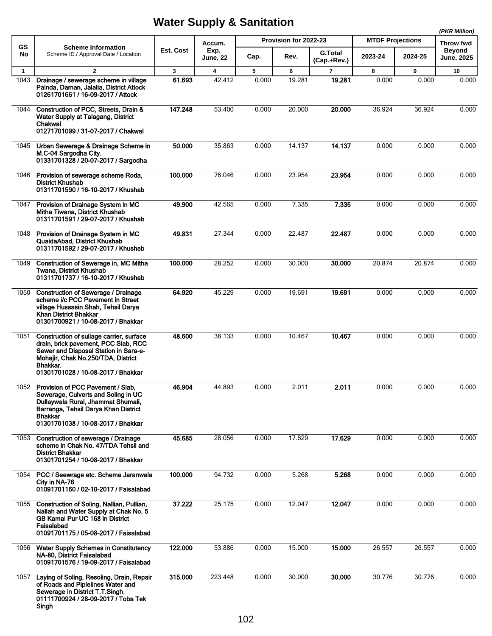|                 |                                                                                                                                                                                                                   |              |                                   |       | Provision for 2022-23 |                               | <b>MTDF Projections</b> |         | (PKR Million)                                   |
|-----------------|-------------------------------------------------------------------------------------------------------------------------------------------------------------------------------------------------------------------|--------------|-----------------------------------|-------|-----------------------|-------------------------------|-------------------------|---------|-------------------------------------------------|
| <b>GS</b><br>No | <b>Scheme Information</b><br>Scheme ID / Approval Date / Location                                                                                                                                                 | Est. Cost    | Accum.<br>Exp.<br><b>June, 22</b> | Cap.  | Rev.                  | <b>G.Total</b><br>(Cap.+Rev.) | 2023-24                 | 2024-25 | Throw fwd<br><b>Beyond</b><br><b>June, 2025</b> |
| $\mathbf{1}$    | $\overline{2}$                                                                                                                                                                                                    | $\mathbf{3}$ | $\overline{\mathbf{4}}$           | 5     | 6                     | $\overline{7}$                | 8                       | 9       | 10                                              |
| 1043            | Drainage / sewerage scheme in village<br>Painda, Daman, Jalalia, District Attock<br>01261701661 / 16-09-2017 / Attock                                                                                             | 61.693       | 42.412                            | 0.000 | 19.281                | 19.281                        | 0.000                   | 0.000   | 0.000                                           |
| 1044            | Construction of PCC, Streets, Drain &<br>Water Supply at Talagang, District<br>Chakwal<br>01271701099 / 31-07-2017 / Chakwal                                                                                      | 147.248      | 53.400                            | 0.000 | 20.000                | 20.000                        | 36.924                  | 36.924  | 0.000                                           |
| 1045            | Urban Sewerage & Drainage Scheme in<br>M.C-04 Sargodha City.<br>01331701328 / 20-07-2017 / Sargodha                                                                                                               | 50.000       | 35.863                            | 0.000 | 14.137                | 14.137                        | 0.000                   | 0.000   | 0.000                                           |
| 1046            | Provision of sewerage scheme Roda,<br><b>District Khushab</b><br>01311701590 / 16-10-2017 / Khushab                                                                                                               | 100.000      | 76.046                            | 0.000 | 23.954                | 23.954                        | 0.000                   | 0.000   | 0.000                                           |
| 1047            | Provision of Drainage System in MC<br>Mitha Tiwana, District Khushab<br>01311701591 / 29-07-2017 / Khushab                                                                                                        | 49.900       | 42.565                            | 0.000 | 7.335                 | 7.335                         | 0.000                   | 0.000   | 0.000                                           |
| 1048            | Provision of Drainage System in MC<br>QuaidaAbad, District Khushab<br>01311701592 / 29-07-2017 / Khushab                                                                                                          | 49.831       | 27.344                            | 0.000 | 22.487                | 22.487                        | 0.000                   | 0.000   | 0.000                                           |
| 1049            | Construction of Sewerage in, MC Mitha<br>Twana, District Khushab<br>01311701737 / 16-10-2017 / Khushab                                                                                                            | 100.000      | 28.252                            | 0.000 | 30.000                | 30,000                        | 20.874                  | 20.874  | 0.000                                           |
| 1050            | Construction of Sewerage / Drainage<br>scheme i/c PCC Pavement in Street<br>village Hussasin Shah, Tehsil Darya<br>Khan District Bhakkar<br>01301700921 / 10-08-2017 / Bhakkar                                    | 64.920       | 45.229                            | 0.000 | 19.691                | 19.691                        | 0.000                   | 0.000   | 0.000                                           |
| 1051            | Construction of sullage carrier, surface<br>drain, brick pavement, PCC Slab, RCC<br>Sewer and Disposal Station in Sara-e-<br>Mohajir, Chak No.250/TDA, District<br>Bhakkar.<br>01301701028 / 10-08-2017 / Bhakkar | 48.600       | 38.133                            | 0.000 | 10.467                | 10.467                        | 0.000                   | 0.000   | 0.000                                           |
| 1052            | Provision of PCC Pavement / Slab,<br>Sewerage, Culverts and Soling in UC<br>Dullaywala Rural, Jhammat Shumali,<br>Barranga, Tehsil Darya Khan District<br><b>Bhakkar</b><br>01301701038 / 10-08-2017 / Bhakkar    | 46.904       | 44.893                            | 0.000 | 2.011                 | 2.011                         | 0.000                   | 0.000   | 0.000                                           |
| 1053            | Construction of sewerage / Drainage<br>scheme in Chak No. 47/TDA Tehsil and<br><b>District Bhakkar</b><br>01301701254 / 10-08-2017 / Bhakkar                                                                      | 45.685       | 28.056                            | 0.000 | 17.629                | 17.629                        | 0.000                   | 0.000   | 0.000                                           |
| 1054            | PCC / Seewrage etc. Scheme Jaranwala<br>City in NA-76<br>01091701160 / 02-10-2017 / Faisalabad                                                                                                                    | 100.000      | 94.732                            | 0.000 | 5.268                 | 5.268                         | 0.000                   | 0.000   | 0.000                                           |
| 1055            | Construction of Soling, Nallian, Pullian,<br>Nallah and Water Supply at Chak No. 5<br>GB Kamal Pur UC 168 in District<br>Faisalabad<br>01091701175 / 05-08-2017 / Faisalabad                                      | 37.222       | 25.175                            | 0.000 | 12.047                | 12.047                        | 0.000                   | 0.000   | 0.000                                           |
| 1056            | <b>Water Supply Schemes in Constitutency</b><br>NA-80, District Faisalabad<br>01091701576 / 19-09-2017 / Faisalabad                                                                                               | 122.000      | 53.886                            | 0.000 | 15.000                | 15.000                        | 26.557                  | 26.557  | 0.000                                           |
| 1057            | Laying of Soling, Resoling, Drain, Repair<br>of Roads and Piplelines Water and<br>Sewerage in District T.T.Singh.<br>01111700924 / 28-09-2017 / Toba Tek<br>Singh                                                 | 315.000      | 223.448                           | 0.000 | 30.000                | 30.000                        | 30.776                  | 30.776  | 0.000                                           |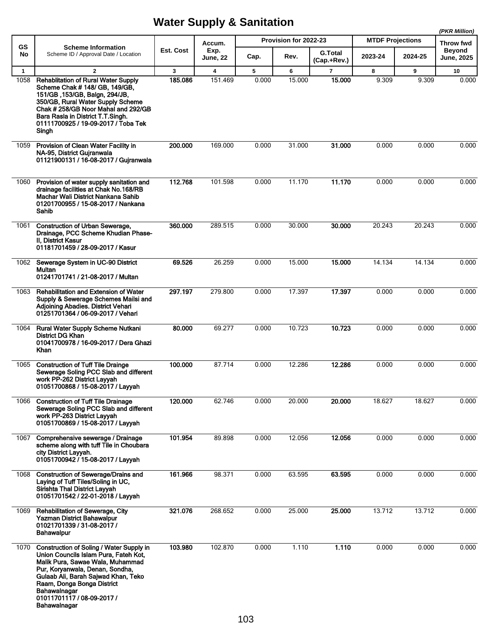|                      |                                                                                                                                                                                                                                                                                                   |              |                                    | (PKR Million) |                       |                               |                         |            |                            |
|----------------------|---------------------------------------------------------------------------------------------------------------------------------------------------------------------------------------------------------------------------------------------------------------------------------------------------|--------------|------------------------------------|---------------|-----------------------|-------------------------------|-------------------------|------------|----------------------------|
| <b>GS</b>            | <b>Scheme Information</b>                                                                                                                                                                                                                                                                         | Est. Cost    | Accum.<br>Exp.                     |               | Provision for 2022-23 |                               | <b>MTDF Projections</b> |            | Throw fwd<br><b>Beyond</b> |
| No                   | Scheme ID / Approval Date / Location                                                                                                                                                                                                                                                              |              | June, 22                           | Cap.          | Rev.                  | <b>G.Total</b><br>(Cap.+Rev.) | 2023-24                 | 2024-25    | <b>June, 2025</b>          |
| $\mathbf{1}$<br>1058 | $\overline{2}$<br><b>Rehablitation of Rural Water Supply</b><br>Scheme Chak # 148/ GB, 149/GB,<br>151/GB, 153/GB, Balgn, 294/JB,<br>350/GB, Rural Water Supply Scheme<br>Chak # 258/GB Noor Mahal and 292/GB<br>Bara Rasla in District T.T.Singh.<br>01111700925 / 19-09-2017 / Toba Tek<br>Singh | 3<br>185.086 | $\overline{\mathbf{4}}$<br>151.469 | 5<br>0.000    | 6<br>15.000           | $\overline{7}$<br>15.000      | 8<br>9.309              | 9<br>9.309 | 10<br>0.000                |
| 1059                 | Provision of Clean Water Facility in<br>NA-95, District Gujranwala<br>01121900131 / 16-08-2017 / Gujranwala                                                                                                                                                                                       | 200.000      | 169.000                            | 0.000         | 31.000                | 31.000                        | 0.000                   | 0.000      | 0.000                      |
| 1060                 | Provision of water supply sanitation and<br>drainage facilities at Chak No. 168/RB<br>Machar Wali District Nankana Sahib<br>01201700955 / 15-08-2017 / Nankana<br>Sahib                                                                                                                           | 112.768      | 101.598                            | 0.000         | 11.170                | 11.170                        | 0.000                   | 0.000      | 0.000                      |
| 1061                 | <b>Construction of Urban Sewerage,</b><br>Drainage, PCC Scheme Khudian Phase-<br>II. District Kasur<br>01181701459 / 28-09-2017 / Kasur                                                                                                                                                           | 360,000      | 289.515                            | 0.000         | 30.000                | 30,000                        | 20.243                  | 20.243     | 0.000                      |
| 1062                 | Sewerage System in UC-90 District<br>Multan<br>01241701741 / 21-08-2017 / Multan                                                                                                                                                                                                                  | 69.526       | 26.259                             | 0.000         | 15.000                | 15.000                        | 14.134                  | 14.134     | 0.000                      |
| 1063                 | Rehabilitation and Extension of Water<br>Supply & Sewerage Schemes Mailsi and<br>Adjoining Abadies. District Vehari<br>01251701364 / 06-09-2017 / Vehari                                                                                                                                          | 297.197      | 279.800                            | 0.000         | 17.397                | 17.397                        | 0.000                   | 0.000      | 0.000                      |
| 1064                 | Rural Water Supply Scheme Nutkani<br><b>District DG Khan</b><br>01041700978 / 16-09-2017 / Dera Ghazi<br>Khan                                                                                                                                                                                     | 80,000       | 69.277                             | 0.000         | 10.723                | 10.723                        | 0.000                   | 0.000      | 0.000                      |
| 1065                 | <b>Construction of Tuff Tile Drainge</b><br>Sewerage Soling PCC Slab and different<br>work PP-262 District Layyah<br>01051700868 / 15-08-2017 / Layyah                                                                                                                                            | 100.000      | 87.714                             | 0.000         | 12.286                | 12.286                        | 0.000                   | 0.000      | 0.000                      |
|                      | 1066 Construction of Tuff Tile Drainage<br>Sewerage Soling PCC Slab and different<br>work PP-263 District Layyah<br>01051700869 / 15-08-2017 / Layyah                                                                                                                                             | 120.000      | 62.746                             | 0.000         | 20.000                | 20.000                        | 18.627                  | 18.627     | 0.000                      |
| 1067                 | Comprehensive sewerage / Drainage<br>scheme along with tuff Tile in Choubara<br>city District Layyah.<br>01051700942 / 15-08-2017 / Layyah                                                                                                                                                        | 101.954      | 89.898                             | 0.000         | 12.056                | 12.056                        | 0.000                   | 0.000      | 0.000                      |
| 1068                 | <b>Construction of Sewerage/Drains and</b><br>Laying of Tuff Tiles/Soling in UC,<br>Sirishta Thal District Layyah<br>01051701542 / 22-01-2018 / Layyah                                                                                                                                            | 161.966      | 98.371                             | 0.000         | 63.595                | 63.595                        | 0.000                   | 0.000      | 0.000                      |
| 1069                 | Rehabilitation of Sewerage, City<br><b>Yazman District Bahawalpur</b><br>01021701339 / 31-08-2017 /<br>Bahawalpur                                                                                                                                                                                 | 321.076      | 268.652                            | 0.000         | 25.000                | 25.000                        | 13.712                  | 13.712     | 0.000                      |
| 1070                 | Construction of Soling / Water Supply in<br>Union Councils Islam Pura, Fateh Kot,<br>Malik Pura, Sawae Wala, Muhammad<br>Pur, Koryanwala, Denan, Sondha,<br>Gulaab Ali, Barah Sajwad Khan, Teko<br>Raam, Donga Bonga District<br>Bahawalnagar<br>01011701117 / 08-09-2017 /<br>Bahawalnagar       | 103.980      | 102.870                            | 0.000         | 1.110                 | 1.110                         | 0.000                   | 0.000      | 0.000                      |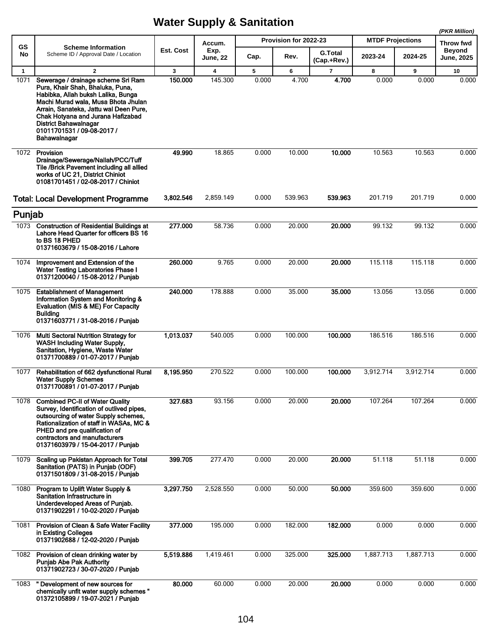|                      |                                                                                                                                                                                                                                                                               |              |                                    |            |                       |                               |                         |            | (PKR Million)       |
|----------------------|-------------------------------------------------------------------------------------------------------------------------------------------------------------------------------------------------------------------------------------------------------------------------------|--------------|------------------------------------|------------|-----------------------|-------------------------------|-------------------------|------------|---------------------|
| GS                   | <b>Scheme Information</b>                                                                                                                                                                                                                                                     | Est. Cost    | Accum.<br>Exp.                     |            | Provision for 2022-23 |                               | <b>MTDF Projections</b> |            | Throw fwd<br>Beyond |
| No                   | Scheme ID / Approval Date / Location                                                                                                                                                                                                                                          |              | <b>June, 22</b>                    | Cap.       | Rev.                  | <b>G.Total</b><br>(Cap.+Rev.) | 2023-24                 | 2024-25    | <b>June, 2025</b>   |
| $\mathbf{1}$<br>1071 | $\overline{2}$<br>Sewerage / drainage scheme Sri Ram                                                                                                                                                                                                                          | 3<br>150.000 | $\overline{\mathbf{4}}$<br>145.300 | 5<br>0.000 | 6<br>4.700            | $\overline{7}$<br>4.700       | 8<br>0.000              | 9<br>0.000 | 10<br>0.000         |
|                      | Pura, Khair Shah, Bhaluka, Puna,<br>Habibka, Allah buksh Lalika, Bunga<br>Machi Murad wala, Musa Bhota Jhulan<br>Arrain, Sanateka, Jattu wal Deen Pure,<br>Chak Hotyana and Jurana Hafizabad<br><b>District Bahawalnagar</b><br>01011701531 / 09-08-2017 /<br>Bahawalnagar    |              |                                    |            |                       |                               |                         |            |                     |
| 1072                 | Provision<br>Drainage/Sewerage/Nallah/PCC/Tuff<br>Tile /Brick Pavement including all allied<br>works of UC 21, District Chiniot<br>01081701451 / 02-08-2017 / Chiniot                                                                                                         | 49.990       | 18.865                             | 0.000      | 10.000                | 10.000                        | 10.563                  | 10.563     | 0.000               |
|                      | <b>Total: Local Development Programme</b>                                                                                                                                                                                                                                     | 3,802.546    | 2,859.149                          | 0.000      | 539.963               | 539.963                       | 201.719                 | 201.719    | 0.000               |
| Punjab               |                                                                                                                                                                                                                                                                               |              |                                    |            |                       |                               |                         |            |                     |
|                      | 1073 Construction of Residential Buildings at<br>Lahore Head Quarter for officers BS 16<br>to BS 18 PHED<br>01371603679 / 15-08-2016 / Lahore                                                                                                                                 | 277.000      | 58.736                             | 0.000      | 20.000                | 20.000                        | 99.132                  | 99.132     | 0.000               |
| 1074                 | Improvement and Extension of the<br><b>Water Testing Laboratories Phase I</b><br>01371200040 / 15-08-2012 / Punjab                                                                                                                                                            | 260,000      | 9.765                              | 0.000      | 20.000                | 20.000                        | 115.118                 | 115.118    | 0.000               |
| 1075                 | <b>Establishment of Management</b><br>Information System and Monitoring &<br>Evaluation (MIS & ME) For Capacity<br>Building<br>01371603771 / 31-08-2016 / Punjab                                                                                                              | 240.000      | 178.888                            | 0.000      | 35.000                | 35,000                        | 13.056                  | 13.056     | 0.000               |
| 1076                 | <b>Multi Sectoral Nutrition Strategy for</b><br><b>WASH Including Water Supply,</b><br>Sanitation, Hygiene, Waste Water<br>01371700889 / 01-07-2017 / Punjab                                                                                                                  | 1,013.037    | 540.005                            | 0.000      | 100.000               | 100.000                       | 186.516                 | 186.516    | 0.000               |
| 1077                 | Rehabilitation of 662 dysfunctional Rural<br><b>Water Supply Schemes</b><br>01371700891 / 01-07-2017 / Punjab                                                                                                                                                                 | 8,195.950    | 270.522                            | 0.000      | 100.000               | 100.000                       | 3,912.714               | 3,912.714  | 0.000               |
| 1078                 | <b>Combined PC-II of Water Quality</b><br>Survey, Identification of outlived pipes,<br>outsourcing of water Supply schemes,<br>Rationalization of staff in WASAs, MC &<br>PHED and pre qualification of<br>contractors and manufacturers<br>01371603979 / 15-04-2017 / Punjab | 327.683      | 93.156                             | 0.000      | 20.000                | 20.000                        | 107.264                 | 107.264    | 0.000               |
| 1079                 | Scaling up Pakistan Approach for Total<br>Sanitation (PATS) in Punjab (ODF)<br>01371501809 / 31-08-2015 / Punjab                                                                                                                                                              | 399.705      | 277.470                            | 0.000      | 20.000                | 20.000                        | 51.118                  | 51.118     | 0.000               |
| 1080                 | Program to Uplift Water Supply &<br>Sanitation Infrastructure in<br>Underdeveloped Areas of Punjab.<br>01371902291 / 10-02-2020 / Punjab                                                                                                                                      | 3,297.750    | 2,528.550                          | 0.000      | 50.000                | 50.000                        | 359.600                 | 359.600    | 0.000               |
| 1081                 | <b>Provision of Clean &amp; Safe Water Facility</b><br>in Existing Colleges<br>01371902688 / 12-02-2020 / Punjab                                                                                                                                                              | 377.000      | 195.000                            | 0.000      | 182.000               | 182.000                       | 0.000                   | 0.000      | 0.000               |
| 1082                 | Provision of clean drinking water by<br><b>Punjab Abe Pak Authority</b><br>01371902723 / 30-07-2020 / Punjab                                                                                                                                                                  | 5,519.886    | 1,419.461                          | 0.000      | 325.000               | 325.000                       | 1,887.713               | 1,887.713  | 0.000               |
| 1083                 | " Development of new sources for<br>chemically unfit water supply schemes "<br>01372105899 / 19-07-2021 / Punjab                                                                                                                                                              | 80.000       | 60.000                             | 0.000      | 20.000                | 20.000                        | 0.000                   | 0.000      | 0.000               |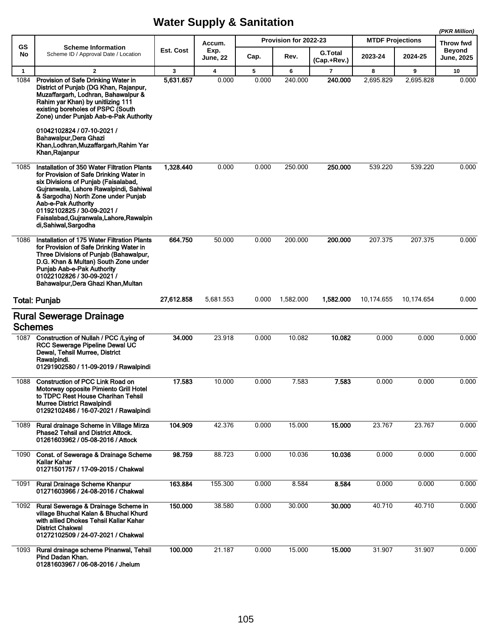|                |                                                                                                                                                                                                                                                                                                                                         |            |                         |       |                       |                               |                         |                    | (PKR Million)               |
|----------------|-----------------------------------------------------------------------------------------------------------------------------------------------------------------------------------------------------------------------------------------------------------------------------------------------------------------------------------------|------------|-------------------------|-------|-----------------------|-------------------------------|-------------------------|--------------------|-----------------------------|
| GS             | <b>Scheme Information</b>                                                                                                                                                                                                                                                                                                               |            | Accum.                  |       | Provision for 2022-23 |                               | <b>MTDF Projections</b> |                    | Throw fwd                   |
| No             | Scheme ID / Approval Date / Location                                                                                                                                                                                                                                                                                                    | Est. Cost  | Exp.<br><b>June, 22</b> | Cap.  | Rev.                  | <b>G.Total</b><br>(Cap.+Rev.) | 2023-24                 | 2024-25            | Beyond<br><b>June, 2025</b> |
| $\mathbf{1}$   | $\overline{2}$                                                                                                                                                                                                                                                                                                                          | 3          | 4                       | 5     | 6                     | $\overline{7}$                | 8                       | 9                  | 10                          |
| 1084           | Provision of Safe Drinking Water in<br>District of Punjab (DG Khan, Rajanpur,<br>Muzaffargarh, Lodhran, Bahawalpur &<br>Rahim yar Khan) by unitlizing 111<br>existing boreholes of PSPC (South<br>Zone) under Punjab Aab-e-Pak Authority<br>01042102824 / 07-10-2021 /                                                                  | 5,631.657  | 0.000                   | 0.000 | 240.000               | 240.000                       | 2,695.829               | 2,695.828          | 0.000                       |
|                | Bahawalpur Dera Ghazi<br>Khan, Lodhran, Muzaffargarh, Rahim Yar<br>Khan, Rajanpur                                                                                                                                                                                                                                                       |            |                         |       |                       |                               |                         |                    |                             |
| 1085           | Installation of 350 Water Filtration Plants<br>for Provision of Safe Drinking Water in<br>six Divisions of Punjab (Faisalabad,<br>Gujranwala, Lahore Rawalpindi, Sahiwal<br>& Sargodha) North Zone under Punjab<br>Aab-e-Pak Authority<br>01192102825 / 30-09-2021 /<br>Faisalabad, Gujranwala, Lahore, Rawalpin<br>di,Sahiwal,Sargodha | 1,328.440  | 0.000                   | 0.000 | 250.000               | 250.000                       | 539.220                 | 539.220            | 0.000                       |
| 1086           | Installation of 175 Water Filtration Plants<br>for Provision of Safe Drinking Water in<br>Three Divisions of Punjab (Bahawalpur,<br>D.G. Khan & Multan) South Zone under<br>Punjab Aab-e-Pak Authority<br>01022102826 / 30-09-2021 /<br>Bahawalpur, Dera Ghazi Khan, Multan                                                             | 664.750    | 50.000                  | 0.000 | 200.000               | 200.000                       | 207.375                 | 207.375            | 0.000                       |
|                | <b>Total: Punjab</b>                                                                                                                                                                                                                                                                                                                    | 27,612.858 | 5,681.553               | 0.000 | 1,582.000             | 1,582.000                     | 10,174.655              | 10,174.654         | 0.000                       |
| <b>Schemes</b> | <b>Rural Sewerage Drainage</b>                                                                                                                                                                                                                                                                                                          |            |                         |       |                       |                               |                         |                    |                             |
|                | 1087 Construction of Nullah / PCC / Lying of<br>RCC Sewerage Pipeline Dewal UC<br>Dewal, Tehsil Murree, District<br>Rawalpindi.<br>01291902580 / 11-09-2019 / Rawalpindi                                                                                                                                                                | 34.000     | 23.918                  | 0.000 | 10.082                | 10.082                        | 0.000                   | 0.000              | 0.000                       |
| 1088           | <b>Construction of PCC Link Road on</b><br>Motorway opposite Pimiento Grill Hotel<br>to TDPC Rest House Charihan Tehsil<br><b>Murree District Rawalpindi</b><br>01292102486 / 16-07-2021 / Rawalpindi                                                                                                                                   | 17.583     | 10.000                  | 0.000 | 7.583                 | 7.583                         | 0.000                   | 0.000              | 0.000                       |
| 1089           | Rural drainage Scheme in Village Mirza<br><b>Phase2 Tehsil and District Attock.</b><br>01261603962 / 05-08-2016 / Attock                                                                                                                                                                                                                | 104.909    | 42.376                  | 0.000 | 15.000                | 15.000                        | 23.767                  | 23.767             | 0.000                       |
| 1090           | Const. of Sewerage & Drainage Scheme<br>Kallar Kahar<br>01271501757 / 17-09-2015 / Chakwal                                                                                                                                                                                                                                              | 98.759     | 88.723                  | 0.000 | 10.036                | 10.036                        | 0.000                   | 0.000              | 0.000                       |
| 1091           | Rural Drainage Scheme Khanpur<br>01271603966 / 24-08-2016 / Chakwal                                                                                                                                                                                                                                                                     | 163.884    | 155.300                 | 0.000 | 8.584                 | 8.584                         | 0.000                   | 0.000              | 0.000                       |
| 1092           | Rural Sewerage & Drainage Scheme in<br>village Bhuchal Kalan & Bhuchal Khurd<br>with allied Dhokes Tehsil Kallar Kahar<br><b>District Chakwal</b><br>01272102509 / 24-07-2021 / Chakwal                                                                                                                                                 | 150.000    | 38.580                  | 0.000 | 30.000                | 30.000                        | 40.710                  | $\frac{1}{40.710}$ | 0.000                       |
| 1093           | Rural drainage scheme Pinanwal, Tehsil<br>Pind Dadan Khan.<br>01281603967 / 06-08-2016 / Jhelum                                                                                                                                                                                                                                         | 100.000    | 21.187                  | 0.000 | 15.000                | 15.000                        | 31.907                  | 31.907             | 0.000                       |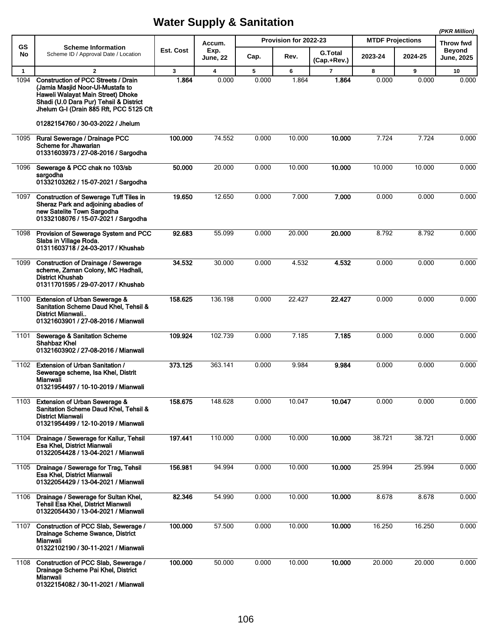|              |                                                                                                                                                                                                                                               |              |                         |       |                       |                               |                         |         | (PKR Million)              |
|--------------|-----------------------------------------------------------------------------------------------------------------------------------------------------------------------------------------------------------------------------------------------|--------------|-------------------------|-------|-----------------------|-------------------------------|-------------------------|---------|----------------------------|
| GS           | <b>Scheme Information</b>                                                                                                                                                                                                                     | Est. Cost    | Accum.<br>Exp.          |       | Provision for 2022-23 |                               | <b>MTDF Projections</b> |         | Throw fwd<br><b>Beyond</b> |
| No           | Scheme ID / Approval Date / Location                                                                                                                                                                                                          |              | <b>June, 22</b>         | Cap.  | Rev.                  | <b>G.Total</b><br>(Cap.+Rev.) | 2023-24                 | 2024-25 | <b>June, 2025</b>          |
| $\mathbf{1}$ | $\overline{2}$                                                                                                                                                                                                                                | $\mathbf{3}$ | $\overline{\mathbf{4}}$ | 5     | 6                     | $\overline{7}$                | 8                       | 9       | 10                         |
| 1094         | <b>Construction of PCC Streets / Drain</b><br>(Jamia Masjid Noor-UI-Mustafa to<br>Haweli Walayat Main Street) Dhoke<br>Shadi (U.0 Dara Pur) Tehsil & District<br>Jhelum G-I (Drain 885 Rft, PCC 5125 Cft<br>01282154760 / 30-03-2022 / Jhelum | 1.864        | 0.000                   | 0.000 | 1.864                 | 1.864                         | 0.000                   | 0.000   | 0.000                      |
| 1095         | Rural Sewerage / Drainage PCC<br>Scheme for Jhawarian<br>01331603973 / 27-08-2016 / Sargodha                                                                                                                                                  | 100.000      | 74.552                  | 0.000 | 10.000                | 10.000                        | 7.724                   | 7.724   | 0.000                      |
| 1096         | Sewerage & PCC chak no 103/sb<br>sargodha<br>01332103262 / 15-07-2021 / Sargodha                                                                                                                                                              | 50.000       | 20.000                  | 0.000 | 10.000                | 10.000                        | 10.000                  | 10.000  | 0.000                      |
| 1097         | <b>Construction of Sewerage Tuff Tiles in</b><br>Sheraz Park and adjoining abadies of<br>new Satelite Town Sargodha<br>01332108076 / 15-07-2021 / Sargodha                                                                                    | 19.650       | 12.650                  | 0.000 | 7.000                 | 7.000                         | 0.000                   | 0.000   | 0.000                      |
| 1098         | Provision of Sewerage System and PCC<br>Slabs in Village Roda.<br>01311603718 / 24-03-2017 / Khushab                                                                                                                                          | 92.683       | 55.099                  | 0.000 | 20.000                | 20.000                        | 8.792                   | 8.792   | 0.000                      |
| 1099         | <b>Construction of Drainage / Sewerage</b><br>scheme, Zaman Colony, MC Hadhali,<br><b>District Khushab</b><br>01311701595 / 29-07-2017 / Khushab                                                                                              | 34.532       | 30.000                  | 0.000 | 4.532                 | 4.532                         | 0.000                   | 0.000   | 0.000                      |
| 1100         | Extension of Urban Sewerage &<br>Sanitation Scheme Daud Khel, Tehsil &<br>District Mianwali<br>01321603901 / 27-08-2016 / Mianwali                                                                                                            | 158.625      | 136.198                 | 0.000 | 22.427                | 22.427                        | 0.000                   | 0.000   | 0.000                      |
| 1101         | Sewerage & Sanitation Scheme<br>Shahbaz Khel<br>01321603902 / 27-08-2016 / Mianwali                                                                                                                                                           | 109.924      | 102.739                 | 0.000 | 7.185                 | 7.185                         | 0.000                   | 0.000   | 0.000                      |
| 1102         | <b>Extension of Urban Sanitation /</b><br>Sewerage scheme, Isa Khel, Distrit<br>Mianwali<br>01321954497 / 10-10-2019 / Mianwali                                                                                                               | 373.125      | 363.141                 | 0.000 | 9.984                 | 9.984                         | 0.000                   | 0.000   | 0.000                      |
| 1103         | Extension of Urban Sewerage &<br>Sanitation Scheme Daud Khel, Tehsil &<br><b>District Mianwali</b><br>01321954499 / 12-10-2019 / Mianwali                                                                                                     | 158.675      | 148.628                 | 0.000 | 10.047                | 10.047                        | 0.000                   | 0.000   | 0.000                      |
| 1104         | Drainage / Sewerage for Kallur, Tehsil<br>Esa Khel, District Mianwali<br>01322054428 / 13-04-2021 / Mianwali                                                                                                                                  | 197.441      | 110.000                 | 0.000 | 10.000                | 10.000                        | 38.721                  | 38.721  | 0.000                      |
| 1105         | Drainage / Sewerage for Trag, Tehsil<br>Esa Khel, District Mianwali<br>01322054429 / 13-04-2021 / Mianwali                                                                                                                                    | 156.981      | 94.994                  | 0.000 | 10.000                | 10.000                        | 25.994                  | 25.994  | 0.000                      |
| 1106         | Drainage / Sewerage for Sultan Khel,<br>Tehsil Esa Khel, District Mianwali<br>01322054430 / 13-04-2021 / Mianwali                                                                                                                             | 82.346       | 54.990                  | 0.000 | 10.000                | 10.000                        | 8.678                   | 8.678   | 0.000                      |
| 1107         | Construction of PCC Slab, Sewerage /<br>Drainage Scheme Swance, District<br>Mianwali<br>01322102190 / 30-11-2021 / Mianwali                                                                                                                   | 100.000      | 57.500                  | 0.000 | 10.000                | 10.000                        | 16.250                  | 16.250  | 0.000                      |
| 1108         | Construction of PCC Slab, Sewerage /<br>Drainage Scheme Pai Khel, District<br>Mianwali<br>01322154082 / 30-11-2021 / Mianwali                                                                                                                 | 100.000      | 50.000                  | 0.000 | 10.000                | 10.000                        | 20.000                  | 20.000  | 0.000                      |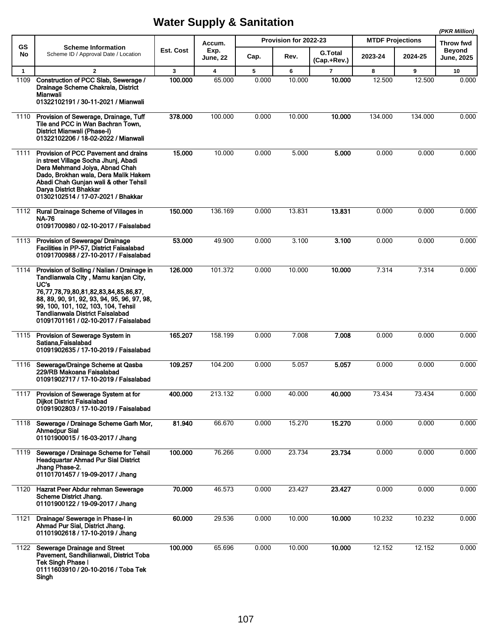|                      |                                                                                                                                                                                                                                                                                                               |              |                                            |            | Provision for 2022-23 |                               | <b>MTDF Projections</b> |         | (PKR Million)                                   |
|----------------------|---------------------------------------------------------------------------------------------------------------------------------------------------------------------------------------------------------------------------------------------------------------------------------------------------------------|--------------|--------------------------------------------|------------|-----------------------|-------------------------------|-------------------------|---------|-------------------------------------------------|
| <b>GS</b><br>No      | <b>Scheme Information</b><br>Scheme ID / Approval Date / Location                                                                                                                                                                                                                                             | Est. Cost    | Accum.<br>Exp.                             | Cap.       | Rev.                  | <b>G.Total</b>                | 2023-24                 | 2024-25 | Throw fwd<br><b>Beyond</b><br><b>June, 2025</b> |
|                      | $\overline{2}$                                                                                                                                                                                                                                                                                                |              | <b>June, 22</b><br>$\overline{\mathbf{4}}$ |            |                       | (Cap.+Rev.)<br>$\overline{7}$ |                         | 9       |                                                 |
| $\mathbf{1}$<br>1109 | Construction of PCC Slab, Sewerage /<br>Drainage Scheme Chakrala, District<br>Mianwali<br>01322102191 / 30-11-2021 / Mianwali                                                                                                                                                                                 | 3<br>100.000 | 65.000                                     | 5<br>0.000 | 6<br>10.000           | 10.000                        | 8<br>12.500             | 12.500  | 10<br>0.000                                     |
| 1110                 | Provision of Sewerage, Drainage, Tuff<br>Tile and PCC in Wan Bachran Town,<br>District Mianwali (Phase-I)<br>01322102206 / 18-02-2022 / Mianwali                                                                                                                                                              | 378.000      | 100.000                                    | 0.000      | 10.000                | 10.000                        | 134.000                 | 134.000 | 0.000                                           |
| 1111                 | Provision of PCC Pavement and drains<br>in street Village Socha Jhunj, Abadi<br>Dera Mehmand Joiya, Abnad Chah<br>Dado, Brokhan wala, Dera Malik Hakem<br>Abadi Chah Gunjan wali & other Tehsil<br>Darya District Bhakkar<br>01302102514 / 17-07-2021 / Bhakkar                                               | 15.000       | 10.000                                     | 0.000      | 5.000                 | 5.000                         | 0.000                   | 0.000   | 0.000                                           |
| 1112                 | Rural Drainage Scheme of Villages in<br><b>NA-76</b><br>01091700980 / 02-10-2017 / Faisalabad                                                                                                                                                                                                                 | 150.000      | 136.169                                    | 0.000      | 13.831                | 13.831                        | 0.000                   | 0.000   | 0.000                                           |
| 1113                 | Provision of Sewerage/ Drainage<br>Facilities in PP-57, District Faisalabad<br>01091700988 / 27-10-2017 / Faisalabad                                                                                                                                                                                          | 53.000       | 49.900                                     | 0.000      | 3.100                 | 3.100                         | 0.000                   | 0.000   | 0.000                                           |
| 1114                 | Provision of Solling / Nalian / Drainage in<br>Tandlianwala City, Mamu kanjan City,<br>UC's<br>76,77,78,79,80,81,82,83,84,85,86,87,<br>88, 89, 90, 91, 92, 93, 94, 95, 96, 97, 98,<br>99, 100, 101, 102, 103, 104, Tehsil<br><b>Tandlianwala District Faisalabad</b><br>01091701161 / 02-10-2017 / Faisalabad | 126.000      | 101.372                                    | 0.000      | 10.000                | 10.000                        | 7.314                   | 7.314   | 0.000                                           |
| 1115                 | Provision of Sewerage System in<br>Satiana, Faisalabad<br>01091902635 / 17-10-2019 / Faisalabad                                                                                                                                                                                                               | 165.207      | 158.199                                    | 0.000      | 7.008                 | 7.008                         | 0.000                   | 0.000   | 0.000                                           |
| 1116                 | Sewerage/Drainge Scheme at Qasba<br>229/RB Makoana Faisalabad<br>01091902717 / 17-10-2019 / Faisalabad                                                                                                                                                                                                        | 109.257      | 104.200                                    | 0.000      | 5.057                 | 5.057                         | 0.000                   | 0.000   | 0.000                                           |
| 1117                 | Provision of Sewerage System at for<br><b>Dijkot District Faisalabad</b><br>01091902803 / 17-10-2019 / Faisalabad                                                                                                                                                                                             | 400.000      | 213.132                                    | 0.000      | 40.000                | 40.000                        | 73.434                  | 73.434  | 0.000                                           |
| 1118                 | Sewerage / Drainage Scheme Garh Mor,<br>Ahmedpur Sial<br>01101900015 / 16-03-2017 / Jhang                                                                                                                                                                                                                     | 81.940       | 66.670                                     | 0.000      | 15.270                | 15.270                        | 0.000                   | 0.000   | 0.000                                           |
| 1119                 | Sewerage / Drainage Scheme for Tehsil<br><b>Headquartar Ahmad Pur Sial District</b><br>Jhang Phase-2.<br>01101701457 / 19-09-2017 / Jhang                                                                                                                                                                     | 100.000      | 76.266                                     | 0.000      | 23.734                | 23.734                        | 0.000                   | 0.000   | 0.000                                           |
| 1120                 | Hazrat Peer Abdur rehman Sewerage<br>Scheme District Jhang.<br>01101900122 / 19-09-2017 / Jhang                                                                                                                                                                                                               | 70.000       | 46.573                                     | 0.000      | 23.427                | 23.427                        | 0.000                   | 0.000   | 0.000                                           |
| 1121                 | Drainage/ Sewerage in Phase-I in<br>Ahmad Pur Sial, District Jhang.<br>01101902618 / 17-10-2019 / Jhang                                                                                                                                                                                                       | 60.000       | 29.536                                     | 0.000      | 10.000                | 10.000                        | 10.232                  | 10.232  | 0.000                                           |
| 1122                 | Sewerage Drainage and Street<br>Pavement, Sandhilianwali, District Toba<br><b>Tek Singh Phase I</b><br>01111603910 / 20-10-2016 / Toba Tek<br>Singh                                                                                                                                                           | 100.000      | 65.696                                     | 0.000      | 10.000                | 10.000                        | 12.152                  | 12.152  | 0.000                                           |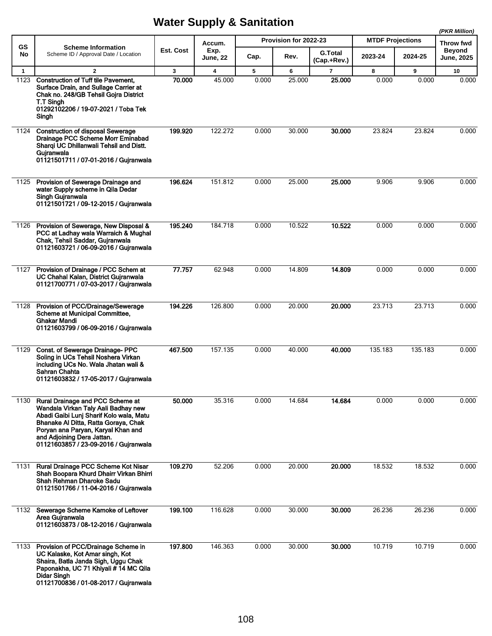|              |                                                                                                                                                                                                                                                                         |           |                         |       |                       |                |                         |         | (PKR Million)              |
|--------------|-------------------------------------------------------------------------------------------------------------------------------------------------------------------------------------------------------------------------------------------------------------------------|-----------|-------------------------|-------|-----------------------|----------------|-------------------------|---------|----------------------------|
| <b>GS</b>    | <b>Scheme Information</b>                                                                                                                                                                                                                                               | Est. Cost | Accum.<br>Exp.          |       | Provision for 2022-23 | <b>G.Total</b> | <b>MTDF Projections</b> |         | Throw fwd<br><b>Beyond</b> |
| No           | Scheme ID / Approval Date / Location                                                                                                                                                                                                                                    |           | June, 22                | Cap.  | Rev.                  | (Cap.+Rev.)    | 2023-24                 | 2024-25 | <b>June, 2025</b>          |
| $\mathbf{1}$ | $\overline{2}$                                                                                                                                                                                                                                                          | 3         | $\overline{\mathbf{4}}$ | 5     | 6                     | $\overline{7}$ | 8                       | 9       | 10                         |
| 1123         | <b>Construction of Tuff tile Pavement,</b><br>Surface Drain, and Sullage Carrier at<br>Chak no. 248/GB Tehsil Gojra District<br>T.T Singh<br>01292102206 / 19-07-2021 / Toba Tek<br>Singh                                                                               | 70.000    | 45.000                  | 0.000 | 25.000                | 25.000         | 0.000                   | 0.000   | 0.000                      |
| 1124         | <b>Construction of disposal Sewerage</b><br>Drainage PCC Scheme Morr Eminabad<br>Sharqi UC Dhillanwali Tehsil and Distt.<br>Gujranwala<br>01121501711 / 07-01-2016 / Gujranwala                                                                                         | 199.920   | 122.272                 | 0.000 | 30.000                | 30.000         | 23.824                  | 23.824  | 0.000                      |
| 1125         | Provision of Sewerage Drainage and<br>water Supply scheme in Qila Dedar<br>Singh Guiranwala<br>01121501721 / 09-12-2015 / Guiranwala                                                                                                                                    | 196.624   | 151.812                 | 0.000 | 25.000                | 25.000         | 9.906                   | 9.906   | 0.000                      |
| 1126         | Provision of Sewerage, New Disposal &<br>PCC at Ladhay wala Warraich & Mughal<br>Chak, Tehsil Saddar, Gujranwala<br>01121603721 / 06-09-2016 / Gujranwala                                                                                                               | 195.240   | 184.718                 | 0.000 | 10.522                | 10.522         | 0.000                   | 0.000   | 0.000                      |
| 1127         | Provision of Drainage / PCC Schem at<br>UC Chahal Kalan, District Gujranwala<br>01121700771 / 07-03-2017 / Gujranwala                                                                                                                                                   | 77.757    | 62.948                  | 0.000 | 14.809                | 14.809         | 0.000                   | 0.000   | 0.000                      |
| 1128         | Provision of PCC/Drainage/Sewerage<br>Scheme at Municipal Committee,<br>Ghakar Mandi<br>01121603799 / 06-09-2016 / Gujranwala                                                                                                                                           | 194.226   | 126.800                 | 0.000 | 20.000                | 20.000         | 23.713                  | 23.713  | 0.000                      |
| 1129         | Const. of Sewerage Drainage- PPC<br>Soling in UCs Tehsil Noshera Virkan<br>including UCs No. Wala Jhatan wali &<br>Sahran Chahta<br>01121603832 / 17-05-2017 / Gujranwala                                                                                               | 467.500   | 157.135                 | 0.000 | 40.000                | 40.000         | 135.183                 | 135.183 | 0.000                      |
| 1130         | Rural Drainage and PCC Scheme at<br>Wandala Virkan Taly Aali Badhay new<br>Abadi Gaibi Lunj Sharif Kolo wala, Matu<br>Bhanake Al Ditta, Ratta Goraya, Chak<br>Poryan ana Paryan, Karyal Khan and<br>and Adjoining Dera Jattan.<br>01121603857 / 23-09-2016 / Gujranwala | 50.000    | 35.316                  | 0.000 | 14.684                | 14.684         | 0.000                   | 0.000   | 0.000                      |
| 1131         | Rural Drainage PCC Scheme Kot Nisar<br>Shah Boopara Khurd Dhairr Virkan Bhirri<br>Shah Rehman Dharoke Sadu<br>01121501766 / 11-04-2016 / Gujranwala                                                                                                                     | 109.270   | 52.206                  | 0.000 | 20.000                | 20.000         | 18.532                  | 18.532  | 0.000                      |
| 1132         | Sewerage Scheme Kamoke of Leftover<br>Area Gujranwala<br>01121603873 / 08-12-2016 / Gujranwala                                                                                                                                                                          | 199.100   | 116.628                 | 0.000 | 30.000                | 30.000         | 26.236                  | 26.236  | 0.000                      |
| 1133         | Provision of PCC/Drainage Scheme in<br>UC Kalaske, Kot Amar singh, Kot<br>Shaira, Batla Janda Sigh, Uggu Chak<br>Paponakha, UC 71 Khiyali # 14 MC Qila<br><b>Didar Singh</b><br>01121700836 / 01-08-2017 / Gujranwala                                                   | 197.800   | 146.363                 | 0.000 | 30.000                | 30.000         | 10.719                  | 10.719  | 0.000                      |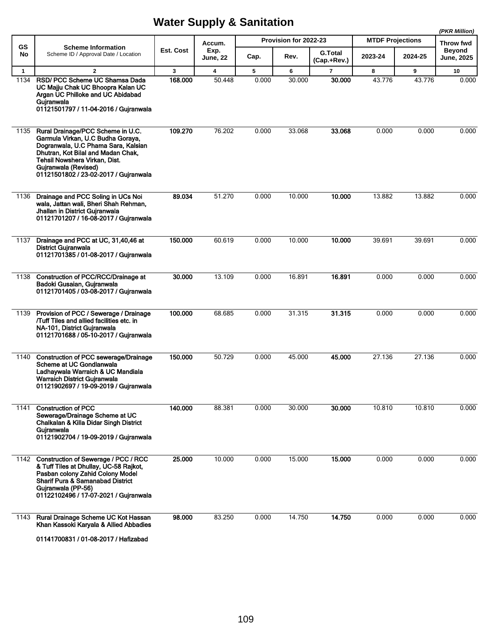|              |                                                                                                                                                                                                                                                       |           |                         |       |                       |                               |                         |         | (PKR Million)               |
|--------------|-------------------------------------------------------------------------------------------------------------------------------------------------------------------------------------------------------------------------------------------------------|-----------|-------------------------|-------|-----------------------|-------------------------------|-------------------------|---------|-----------------------------|
| GS           | <b>Scheme Information</b>                                                                                                                                                                                                                             |           | Accum.                  |       | Provision for 2022-23 |                               | <b>MTDF Projections</b> |         | Throw fwd                   |
| No           | Scheme ID / Approval Date / Location                                                                                                                                                                                                                  | Est. Cost | Exp.<br><b>June, 22</b> | Cap.  | Rev.                  | <b>G.Total</b><br>(Cap.+Rev.) | 2023-24                 | 2024-25 | Beyond<br><b>June, 2025</b> |
| $\mathbf{1}$ | $\overline{2}$                                                                                                                                                                                                                                        | 3         | $\overline{\mathbf{4}}$ | 5     | 6                     | 7                             | 8                       | 9       | 10                          |
| 1134         | RSD/ PCC Scheme UC Shamsa Dada<br>UC Majju Chak UC Bhoopra Kalan UC<br>Argan UC Philloke and UC Abidabad<br>Gujranwala<br>01121501797 / 11-04-2016 / Gujranwala                                                                                       | 168,000   | 50.448                  | 0.000 | 30.000                | 30.000                        | 43.776                  | 43.776  | 0.000                       |
| 1135         | Rural Drainage/PCC Scheme in U.C.<br>Garmula Virkan, U.C Budha Goraya,<br>Dogranwala, U.C Phama Sara, Kalsian<br>Dhutran, Kot Bilal and Madan Chak,<br>Tehsil Nowshera Virkan, Dist.<br>Gujranwala (Revised)<br>01121501802 / 23-02-2017 / Gujranwala | 109.270   | 76.202                  | 0.000 | 33.068                | 33.068                        | 0.000                   | 0.000   | 0.000                       |
| 1136         | Drainage and PCC Soling in UCs Noi<br>wala, Jattan wali, Bheri Shah Rehman,<br>Jhallan in District Gujranwala<br>01121701207 / 16-08-2017 / Gujranwala                                                                                                | 89.034    | 51.270                  | 0.000 | 10.000                | 10.000                        | 13.882                  | 13.882  | 0.000                       |
| 1137         | Drainage and PCC at UC, 31,40,46 at<br><b>District Gujranwala</b><br>01121701385 / 01-08-2017 / Gujranwala                                                                                                                                            | 150.000   | 60.619                  | 0.000 | 10.000                | 10.000                        | 39.691                  | 39.691  | 0.000                       |
| 1138         | <b>Construction of PCC/RCC/Drainage at</b><br>Badoki Gusaian, Gujranwala<br>01121701405 / 03-08-2017 / Gujranwala                                                                                                                                     | 30.000    | 13.109                  | 0.000 | 16.891                | 16.891                        | 0.000                   | 0.000   | 0.000                       |
| 1139         | Provision of PCC / Sewerage / Drainage<br>/Tuff Tiles and allied facilities etc. in<br>NA-101, District Gujranwala<br>01121701688 / 05-10-2017 / Gujranwala                                                                                           | 100.000   | 68.685                  | 0.000 | 31.315                | 31.315                        | 0.000                   | 0.000   | 0.000                       |
| 1140         | Construction of PCC sewerage/Drainage<br>Scheme at UC Gondlanwala<br>Ladhaywala Warraich & UC Mandiala<br><b>Warraich District Gujranwala</b><br>01121902697 / 19-09-2019 / Gujranwala                                                                | 150.000   | 50.729                  | 0.000 | 45.000                | 45.000                        | 27.136                  | 27.136  | 0.000                       |
| 1141         | <b>Construction of PCC</b><br>Sewerage/Drainage Scheme at UC<br>Chalkalan & Killa Didar Singh District<br>Guiranwala<br>01121902704 / 19-09-2019 / Gujranwala                                                                                         | 140.000   | 88.381                  | 0.000 | 30.000                | 30.000                        | 10.810                  | 10.810  | 0.000                       |
|              | 1142 Construction of Sewerage / PCC / RCC<br>& Tuff Tiles at Dhullay, UC-58 Rajkot,<br>Pasban colony Zahid Colony Model<br><b>Sharif Pura &amp; Samanabad District</b><br>Gujranwala (PP-56)<br>01122102496 / 17-07-2021 / Gujranwala                 | 25.000    | 10.000                  | 0.000 | 15.000                | 15.000                        | 0.000                   | 0.000   | 0.000                       |
| 1143         | Rural Drainage Scheme UC Kot Hassan<br>Khan Kassoki Karyala & Allied Abbadies                                                                                                                                                                         | 98.000    | 83.250                  | 0.000 | 14.750                | 14.750                        | 0.000                   | 0.000   | 0.000                       |

01141700831 / 01-08-2017 / Hafizabad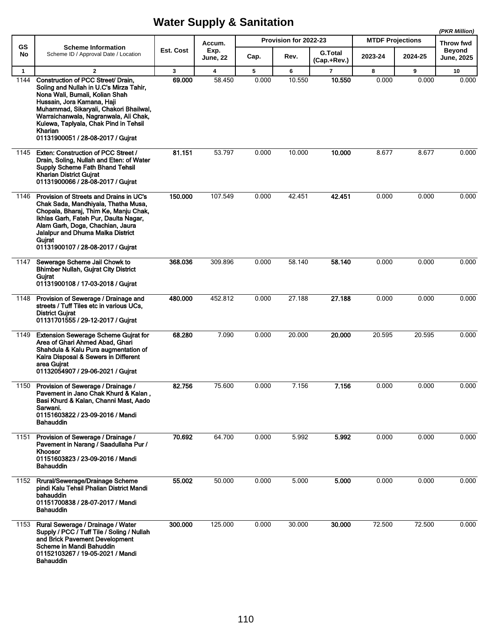|              |                                                                                                                                                                                                                                                                                                                           |              |                         |       |                              |                               |         |                         | (PKR Million)                      |
|--------------|---------------------------------------------------------------------------------------------------------------------------------------------------------------------------------------------------------------------------------------------------------------------------------------------------------------------------|--------------|-------------------------|-------|------------------------------|-------------------------------|---------|-------------------------|------------------------------------|
| GS           | <b>Scheme Information</b>                                                                                                                                                                                                                                                                                                 |              | Accum.                  |       | <b>Provision for 2022-23</b> |                               |         | <b>MTDF Projections</b> |                                    |
| No           | Scheme ID / Approval Date / Location                                                                                                                                                                                                                                                                                      | Est. Cost    | Exp.<br><b>June, 22</b> | Cap.  | Rev.                         | <b>G.Total</b><br>(Cap.+Rev.) | 2023-24 | 2024-25                 | <b>Beyond</b><br><b>June, 2025</b> |
| $\mathbf{1}$ | $\overline{2}$                                                                                                                                                                                                                                                                                                            | $\mathbf{3}$ | $\overline{\mathbf{4}}$ | 5     | 6                            | $\overline{7}$                | 8       | 9                       | 10                                 |
| 1144         | Construction of PCC Street/ Drain,<br>Soling and Nullah in U.C's Mirza Tahir,<br>Nona Wali, Bumali, Kolian Shah<br>Hussain, Jora Kamana, Haji<br>Muhammad, Sikaryali, Chakori Bhailwal,<br>Warraichanwala, Nagranwala, Ali Chak,<br>Kulewa, Tapiyala, Chak Pind in Tehsil<br>Kharian<br>01131900051 / 28-08-2017 / Gujrat | 69.000       | 58.450                  | 0.000 | 10.550                       | 10.550                        | 0.000   | 0.000                   | 0.000                              |
| 1145         | Exten: Construction of PCC Street /<br>Drain, Soling, Nullah and Eten: of Water<br><b>Supply Scheme Fath Bhand Tehsil</b><br><b>Kharian District Gujrat</b><br>01131900066 / 28-08-2017 / Gujrat                                                                                                                          | 81.151       | 53.797                  | 0.000 | 10.000                       | 10.000                        | 8.677   | 8.677                   | 0.000                              |
| 1146         | Provision of Streets and Drains in UC's<br>Chak Sada, Mandhiyala, Thatha Musa,<br>Chopala, Bharaj, Thim Ke, Manju Chak,<br>Ikhlas Garh, Fateh Pur, Daulta Nagar,<br>Alam Garh, Doga, Chachian, Jaura<br><b>Jalalpur and Dhuma Malka District</b><br>Gujrat<br>01131900107 / 28-08-2017 / Gujrat                           | 150.000      | 107.549                 | 0.000 | 42.451                       | 42.451                        | 0.000   | 0.000                   | 0.000                              |
| 1147         | Sewerage Scheme Jail Chowk to<br><b>Bhimber Nullah, Gujrat City District</b><br>Gujrat<br>01131900108 / 17-03-2018 / Gujrat                                                                                                                                                                                               | 368.036      | 309.896                 | 0.000 | 58.140                       | 58.140                        | 0.000   | 0.000                   | 0.000                              |
| 1148         | Provision of Sewerage / Drainage and<br>streets / Tuff Tiles etc in various UCs,<br><b>District Gujrat</b><br>01131701555 / 29-12-2017 / Gujrat                                                                                                                                                                           | 480.000      | 452.812                 | 0.000 | 27.188                       | 27.188                        | 0.000   | 0.000                   | 0.000                              |
| 1149         | <b>Extension Sewerage Scheme Gujrat for</b><br>Area of Ghari Ahmed Abad, Ghari<br>Shahdula & Kalu Pura augmentation of<br>Kalra Disposal & Sewers in Different<br>area Guirat<br>01132054907 / 29-06-2021 / Gujrat                                                                                                        | 68.280       | 7.090                   | 0.000 | 20.000                       | 20.000                        | 20.595  | 20.595                  | 0.000                              |
| 1150         | Provision of Sewerage / Drainage /<br>Pavement in Jano Chak Khurd & Kalan,<br>Basi Khurd & Kalan, Channi Mast, Aado<br>Sarwani.<br>01151603822 / 23-09-2016 / Mandi<br>Bahauddin                                                                                                                                          | 82.756       | 75.600                  | 0.000 | 7.156                        | 7.156                         | 0.000   | 0.000                   | 0.000                              |
| 1151         | Provision of Sewerage / Drainage /<br>Pavement in Narang / Saadullaha Pur /<br><b>Khoosor</b><br>01151603823 / 23-09-2016 / Mandi<br><b>Bahauddin</b>                                                                                                                                                                     | 70.692       | 64.700                  | 0.000 | 5.992                        | 5.992                         | 0.000   | 0.000                   | 0.000                              |
| 1152         | Rrural/Sewerage/Drainage Scheme<br>pindi Kalu Tehsil Phalian District Mandi<br>bahauddin<br>01151700838 / 28-07-2017 / Mandi<br>Bahauddin                                                                                                                                                                                 | 55.002       | 50.000                  | 0.000 | 5.000                        | 5.000                         | 0.000   | 0.000                   | 0.000                              |
| 1153         | Rural Sewerage / Drainage / Water<br>Supply / PCC / Tuff Tile / Soling / Nullah<br>and Brick Pavement Development<br>Scheme in Mandi Bahuddin<br>01152103267 / 19-05-2021 / Mandi<br><b>Bahauddin</b>                                                                                                                     | 300.000      | 125.000                 | 0.000 | 30.000                       | 30.000                        | 72.500  | 72.500                  | 0.000                              |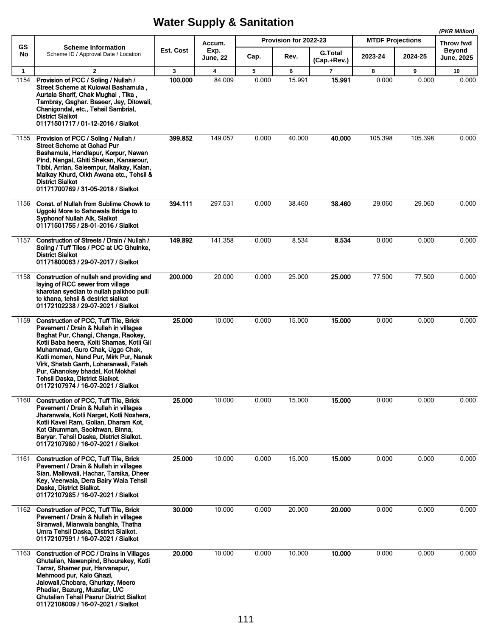|              |                                                                                                                                                                                                                                                                                                                                                                                                               |           |                                   |       | Provision for 2022-23 |                               | <b>MTDF Projections</b> |         | (PKR Million)                            |
|--------------|---------------------------------------------------------------------------------------------------------------------------------------------------------------------------------------------------------------------------------------------------------------------------------------------------------------------------------------------------------------------------------------------------------------|-----------|-----------------------------------|-------|-----------------------|-------------------------------|-------------------------|---------|------------------------------------------|
| GS<br>No     | <b>Scheme Information</b><br>Scheme ID / Approval Date / Location                                                                                                                                                                                                                                                                                                                                             | Est. Cost | Accum.<br>Exp.<br><b>June, 22</b> | Cap.  | Rev.                  | <b>G.Total</b><br>(Cap.+Rev.) | 2023-24                 | 2024-25 | Throw fwd<br><b>Beyond</b><br>June, 2025 |
| $\mathbf{1}$ | $\overline{2}$                                                                                                                                                                                                                                                                                                                                                                                                | 3         | 4                                 | 5     | 6                     | $\overline{7}$                | 8                       | 9       | 10                                       |
| 1154         | Provision of PCC / Soling / Nullah /<br>Street Scheme at Kulowal Bashamula.<br>Aurtala Sharif, Chak Mughal, Tika,<br>Tambray, Gaghar. Baseer, Jay, Ditowali,<br>Chanigondal, etc., Tehsil Sambrial,<br><b>District Sialkot</b><br>01171501717 / 01-12-2016 / Sialkot                                                                                                                                          | 100.000   | 84.009                            | 0.000 | 15.991                | 15.991                        | 0.000                   | 0.000   | 0.000                                    |
| 1155         | Provision of PCC / Soling / Nullah /<br><b>Street Scheme at Gohad Pur</b><br>Bashamula, Handlapur, Korpur, Nawan<br>Pind, Nangal, Ghiti Shekan, Kansarour,<br>Tibbi, Arrian, Saleempur, Malkay, Kalan,<br>Malkay Khurd, Olkh Awana etc., Tehsil &<br><b>District Sialkot</b><br>01171700769 / 31-05-2018 / Sialkot                                                                                            | 399.852   | 149.057                           | 0.000 | 40.000                | 40.000                        | 105.398                 | 105.398 | 0.000                                    |
| 1156         | Const. of Nullah from Sublime Chowk to<br>Uggoki More to Sahowala Bridge to<br>Syphonof Nullah Aik, Sialkot<br>01171501755 / 28-01-2016 / Sialkot                                                                                                                                                                                                                                                             | 394.111   | 297.531                           | 0.000 | 38.460                | 38.460                        | 29.060                  | 29.060  | 0.000                                    |
| 1157         | Construction of Streets / Drain / Nullah /<br>Soling / Tuff Tiles / PCC at UC Ghuinke,<br><b>District Sialkot</b><br>01171800063 / 29-07-2017 / Sialkot                                                                                                                                                                                                                                                       | 149.892   | 141.358                           | 0.000 | 8.534                 | 8.534                         | 0.000                   | 0.000   | 0.000                                    |
| 1158         | Construction of nullah and providing and<br>laying of RCC sewer from village<br>kharotan syedian to nullah palkhoo pulli<br>to khana, tehsil & destrict sialkot<br>01172102238 / 29-07-2021 / Sialkot                                                                                                                                                                                                         | 200.000   | 20.000                            | 0.000 | 25.000                | 25.000                        | 77.500                  | 77.500  | 0.000                                    |
| 1159         | <b>Construction of PCC, Tuff Tile, Brick</b><br>Pavement / Drain & Nullah in villages<br>Baghat Pur, Changi, Changa, Raokey,<br>Kotli Baba heera, Kolti Shamas, Kotli Gil<br>Muhammad, Guro Chak, Uggo Chak,<br>Kotli momen, Nand Pur, Mirk Pur, Nanak<br>Virk, Shatab Garrh, Loharanwali, Fateh<br>Pur, Ghanokey bhadal, Kot Mokhal<br>Tehsil Daska, District Sialkot.<br>01172107974 / 16-07-2021 / Sialkot | 25.000    | 10.000                            | 0.000 | 15.000                | 15.000                        | 0.000                   | 0.000   | 0.000                                    |
| 1160         | Construction of PCC, Tuff Tile, Brick<br>Pavement / Drain & Nullah in villages<br>Jharanwala, Kotli Narget, Kotli Noshera,<br>Kotli Kavel Ram, Golian, Dharam Kot,<br>Kot Ghumman, Seokhwan, Binna,<br>Baryar. Tehsil Daska, District Sialkot.<br>01172107980 / 16-07-2021 / Sialkot                                                                                                                          | 25.000    | 10.000                            | 0.000 | 15.000                | 15.000                        | 0.000                   | 0.000   | 0.000                                    |
| 1161         | <b>Construction of PCC, Tuff Tile, Brick</b><br>Pavement / Drain & Nullah in villages<br>Sian, Mallowali, Hachar, Tarsika, Dheer<br>Key, Veerwala, Dera Bairy Wala Tehsil<br>Daska, District Sialkot.<br>01172107985 / 16-07-2021 / Sialkot                                                                                                                                                                   | 25.000    | 10.000                            | 0.000 | 15.000                | 15.000                        | 0.000                   | 0.000   | 0.000                                    |
| 1162         | <b>Construction of PCC, Tuff Tile, Brick</b><br>Pavement / Drain & Nullah in villages<br>Siranwali, Mianwala banghla, Thatha<br>Umra Tehsil Daska, District Sialkot.<br>01172107991 / 16-07-2021 / Sialkot                                                                                                                                                                                                    | 30,000    | 10.000                            | 0.000 | 20.000                | 20.000                        | 0.000                   | 0.000   | 0.000                                    |
| 1163         | Construction of PCC / Drains in Villages<br>Ghutalian, Nawanpind, Bhourakey, Kotli<br>Tarrar, Shamer pur, Harvanspur,<br>Mehmood pur, Kalo Ghazi,<br>Jalowali, Chobara, Ghurkay, Meero<br>Phadiar, Bazurg, Muzafar, U/C<br><b>Ghutalian Tehsil Pasrur District Sialkot</b><br>01172108009 / 16-07-2021 / Sialkot                                                                                              | 20.000    | 10.000                            | 0.000 | 10.000                | 10.000                        | 0.000                   | 0.000   | 0.000                                    |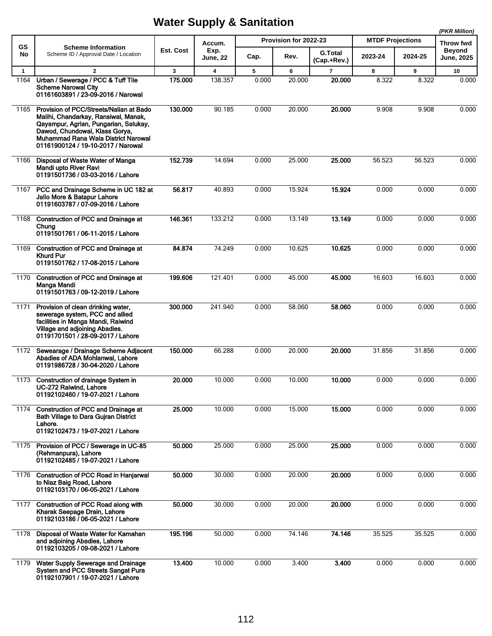|              |                                                                                                                                                                                                                                         |           |                         |       |                       |                               |                         |         | (PKR Million)               |
|--------------|-----------------------------------------------------------------------------------------------------------------------------------------------------------------------------------------------------------------------------------------|-----------|-------------------------|-------|-----------------------|-------------------------------|-------------------------|---------|-----------------------------|
| <b>GS</b>    | <b>Scheme Information</b>                                                                                                                                                                                                               |           | Accum.                  |       | Provision for 2022-23 |                               | <b>MTDF Projections</b> |         | Throw fwd                   |
| No           | Scheme ID / Approval Date / Location                                                                                                                                                                                                    | Est. Cost | Exp.<br><b>June, 22</b> | Cap.  | Rev.                  | <b>G.Total</b><br>(Cap.+Rev.) | 2023-24                 | 2024-25 | <b>Beyond</b><br>June, 2025 |
| $\mathbf{1}$ | $\overline{2}$                                                                                                                                                                                                                          | 3         | $\overline{\mathbf{4}}$ | 5     | 6                     | $\overline{7}$                | 8                       | 9       | 10                          |
| 1164         | Urban / Sewerage / PCC & Tuff Tile<br><b>Scheme Narowal City</b><br>01161603891 / 23-09-2016 / Narowal                                                                                                                                  | 175.000   | 138.357                 | 0.000 | 20.000                | 20.000                        | 8.322                   | 8.322   | 0.000                       |
| 1165         | Provision of PCC/Streets/Nalian at Bado<br>Malihi, Chandarkay, Ransiwal, Manak,<br>Qayampur, Agrian, Pungarian, Salukay,<br>Dawod, Chundowal, Klass Gorya,<br>Muhammad Rana Wala District Narowal<br>01161900124 / 19-10-2017 / Narowal | 130,000   | 90.185                  | 0.000 | 20.000                | 20.000                        | 9.908                   | 9.908   | 0.000                       |
| 1166         | Disposal of Waste Water of Manga<br>Mandi upto River Ravi<br>01191501736 / 03-03-2016 / Lahore                                                                                                                                          | 152.739   | 14.694                  | 0.000 | 25.000                | 25.000                        | 56.523                  | 56.523  | 0.000                       |
| 1167         | PCC and Drainage Scheme in UC 182 at<br>Jallo More & Batapur Lahore<br>01191603787 / 07-09-2016 / Lahore                                                                                                                                | 56.817    | 40.893                  | 0.000 | 15.924                | 15.924                        | 0.000                   | 0.000   | 0.000                       |
| 1168         | <b>Construction of PCC and Drainage at</b><br>Chung<br>01191501761 / 06-11-2015 / Lahore                                                                                                                                                | 146.361   | 133.212                 | 0.000 | 13.149                | 13.149                        | 0.000                   | 0.000   | 0.000                       |
| 1169         | <b>Construction of PCC and Drainage at</b><br><b>Khurd Pur</b><br>01191501762 / 17-08-2015 / Lahore                                                                                                                                     | 84.874    | 74.249                  | 0.000 | 10.625                | 10.625                        | 0.000                   | 0.000   | 0.000                       |
| 1170         | <b>Construction of PCC and Drainage at</b><br>Manga Mandi<br>01191501763 / 09-12-2019 / Lahore                                                                                                                                          | 199.606   | 121.401                 | 0.000 | 45.000                | 45.000                        | 16.603                  | 16.603  | 0.000                       |
| 1171         | Provision of clean drinking water,<br>sewerage system, PCC and allied<br>facilities in Manga Mandi, Raiwind<br>Village and adjoining Abadies.<br>01191701501 / 28-09-2017 / Lahore                                                      | 300.000   | 241.940                 | 0.000 | 58.060                | 58.060                        | 0.000                   | 0.000   | 0.000                       |
| 1172         | Sewearage / Drainage Scheme Adjacent<br>Abadies of ADA Mohlanwal, Lahore<br>01191986728 / 30-04-2020 / Lahore                                                                                                                           | 150.000   | 66.288                  | 0.000 | 20.000                | 20,000                        | 31.856                  | 31.856  | 0.000                       |
|              | 1173 Construction of drainage System in<br>UC-272 Raiwind, Lahore<br>01192102460 / 19-07-2021 / Lahore                                                                                                                                  | 20.000    | 10.000                  | 0.000 | 10.000                | 10.000                        | 0.000                   | 0.000   | 0.000                       |
| 1174         | <b>Construction of PCC and Drainage at</b><br><b>Bath Village to Dara Guiran District</b><br>Lahore.<br>01192102473 / 19-07-2021 / Lahore                                                                                               | 25.000    | 10.000                  | 0.000 | 15.000                | 15.000                        | 0.000                   | 0.000   | 0.000                       |
| 1175         | Provision of PCC / Sewerage in UC-85<br>(Rehmanpura), Lahore<br>01192102485 / 19-07-2021 / Lahore                                                                                                                                       | 50.000    | 25.000                  | 0.000 | 25.000                | 25.000                        | 0.000                   | 0.000   | 0.000                       |
| 1176         | <b>Construction of PCC Road in Hanjarwal</b><br>to Niaz Baig Road, Lahore<br>01192103170 / 06-05-2021 / Lahore                                                                                                                          | 50.000    | 30.000                  | 0.000 | 20.000                | 20.000                        | 0.000                   | 0.000   | 0.000                       |
| 1177         | Construction of PCC Road along with<br>Kharak Seepage Drain, Lahore<br>01192103186 / 06-05-2021 / Lahore                                                                                                                                | 50.000    | 30.000                  | 0.000 | 20.000                | 20.000                        | 0.000                   | 0.000   | 0.000                       |
| 1178         | Disposal of Waste Water for Kamahan<br>and adjoining Abadies, Lahore<br>01192103205 / 09-08-2021 / Lahore                                                                                                                               | 195.196   | 50.000                  | 0.000 | 74.146                | 74.146                        | 35.525                  | 35.525  | 0.000                       |
| 1179         | Water Supply Sewerage and Drainage<br><b>System and PCC Streets Sangat Pura</b><br>01192107901 / 19-07-2021 / Lahore                                                                                                                    | 13.400    | 10.000                  | 0.000 | 3.400                 | 3.400                         | 0.000                   | 0.000   | 0.000                       |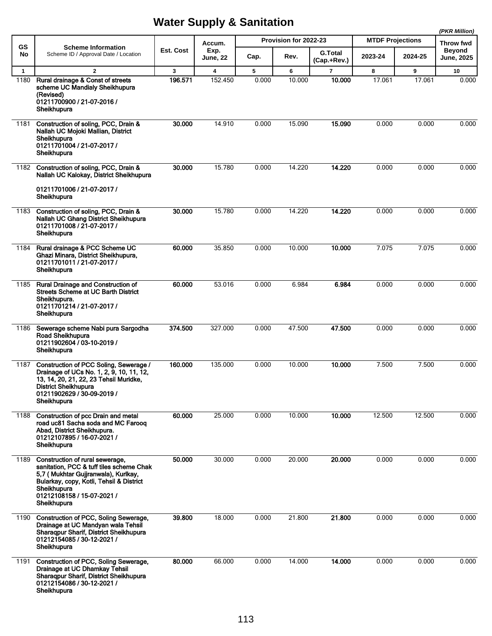|              |                                                                                                                                                                                                                            |           |                         |       |                       |                |                         |         | (PKR Million)              |
|--------------|----------------------------------------------------------------------------------------------------------------------------------------------------------------------------------------------------------------------------|-----------|-------------------------|-------|-----------------------|----------------|-------------------------|---------|----------------------------|
| GS<br>No     | <b>Scheme Information</b><br>Scheme ID / Approval Date / Location                                                                                                                                                          | Est. Cost | Accum.<br>Exp.          |       | Provision for 2022-23 | <b>G.Total</b> | <b>MTDF Projections</b> |         | Throw fwd<br><b>Beyond</b> |
|              |                                                                                                                                                                                                                            |           | <b>June, 22</b>         | Cap.  | Rev.                  | (Cap.+Rev.)    | 2023-24                 | 2024-25 | <b>June, 2025</b>          |
| $\mathbf{1}$ | $\overline{2}$                                                                                                                                                                                                             | 3         | $\overline{\mathbf{4}}$ | 5     | 6                     | $\overline{7}$ | 8                       | 9       | 10                         |
| 1180         | Rural drainage & Const of streets<br>scheme UC Mandialy Sheikhupura<br>(Revised)<br>01211700900 / 21-07-2016 /<br>Sheikhupura                                                                                              | 196.571   | 152.450                 | 0.000 | 10.000                | 10.000         | 17.061                  | 17.061  | 0.000                      |
| 1181         | Construction of soling, PCC, Drain &<br>Nallah UC Mojoki Mallian, District<br>Sheikhupura<br>01211701004 / 21-07-2017 /<br>Sheikhupura                                                                                     | 30.000    | 14.910                  | 0.000 | 15.090                | 15.090         | 0.000                   | 0.000   | 0.000                      |
| 1182         | Construction of soling, PCC, Drain &<br>Nallah UC Kalokay, District Sheikhupura<br>01211701006 / 21-07-2017 /<br>Sheikhupura                                                                                               | 30.000    | 15.780                  | 0.000 | 14.220                | 14.220         | 0.000                   | 0.000   | 0.000                      |
| 1183         | Construction of soling, PCC, Drain &<br>Nallah UC Ghang District Sheikhupura<br>01211701008 / 21-07-2017 /<br>Sheikhupura                                                                                                  | 30.000    | 15.780                  | 0.000 | 14.220                | 14.220         | 0.000                   | 0.000   | 0.000                      |
| 1184         | Rural drainage & PCC Scheme UC<br>Ghazi Minara, District Sheikhupura,<br>01211701011 / 21-07-2017 /<br>Sheikhupura                                                                                                         | 60.000    | 35.850                  | 0.000 | 10.000                | 10.000         | 7.075                   | 7.075   | 0.000                      |
| 1185         | <b>Rural Drainage and Construction of</b><br><b>Streets Scheme at UC Barth District</b><br>Sheikhupura.<br>01211701214 / 21-07-2017 /<br>Sheikhupura                                                                       | 60.000    | 53.016                  | 0.000 | 6.984                 | 6.984          | 0.000                   | 0.000   | 0.000                      |
| 1186         | Sewerage scheme Nabi pura Sargodha<br>Road Sheikhupura<br>01211902604 / 03-10-2019 /<br>Sheikhupura                                                                                                                        | 374.500   | 327.000                 | 0.000 | 47.500                | 47.500         | 0.000                   | 0.000   | 0.000                      |
| 1187         | Construction of PCC Soling, Sewerage /<br>Drainage of UCs No. 1, 2, 9, 10, 11, 12,<br>13, 14, 20, 21, 22, 23 Tehsil Muridke,<br><b>District Sheikhupura</b><br>01211902629 / 30-09-2019 /<br>Sheikhupura                   | 160.000   | 135.000                 | 0.000 | 10.000                | 10.000         | 7.500                   | 7.500   | 0.000                      |
| 1188         | Construction of pcc Drain and metal<br>road uc81 Sacha soda and MC Faroog<br>Abad, District Sheikhupura.<br>01212107895 / 16-07-2021 /<br>Sheikhupura                                                                      | 60.000    | 25.000                  | 0.000 | 10.000                | 10.000         | 12.500                  | 12.500  | 0.000                      |
| 1189         | Construction of rural sewerage,<br>sanitation, PCC & tuff tiles scheme Chak<br>5,7 (Mukhtar Gujjranwala), Kurlkay,<br>Bularkay, copy, Kotli, Tehsil & District<br>Sheikhupura<br>01212108158 / 15-07-2021 /<br>Sheikhupura | 50.000    | 30.000                  | 0.000 | 20.000                | 20.000         | 0.000                   | 0.000   | 0.000                      |
| 1190         | Construction of PCC, Soling Sewerage,<br>Drainage at UC Mandyan wala Tehsil<br>Sharaqpur Sharif, District Sheikhupura<br>01212154085 / 30-12-2021 /<br>Sheikhupura                                                         | 39.800    | 18.000                  | 0.000 | 21.800                | 21.800         | 0.000                   | 0.000   | 0.000                      |
| 1191         | Construction of PCC, Soling Sewerage,<br>Drainage at UC Dhamkay Tehsil<br>Sharaqpur Sharif, District Sheikhupura<br>01212154086 / 30-12-2021 /<br>Sheikhupura                                                              | 80.000    | 66.000                  | 0.000 | 14.000                | 14.000         | 0.000                   | 0.000   | 0.000                      |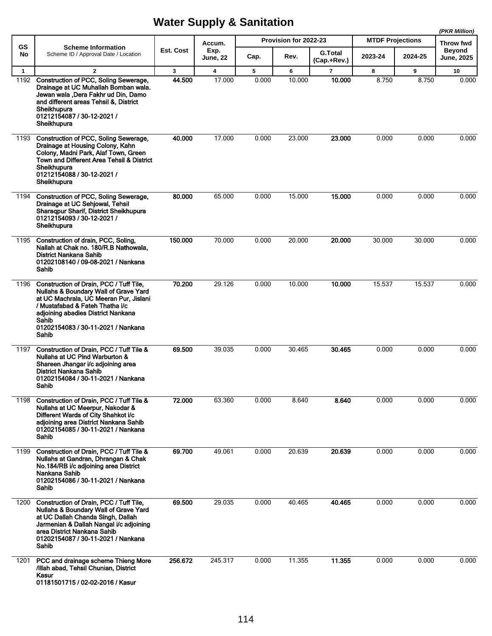|              |                                                                                                                                                                                                                                                             |              |                         |       |                       |                |                         |         | (PKR Million)              |
|--------------|-------------------------------------------------------------------------------------------------------------------------------------------------------------------------------------------------------------------------------------------------------------|--------------|-------------------------|-------|-----------------------|----------------|-------------------------|---------|----------------------------|
| <b>GS</b>    | <b>Scheme Information</b>                                                                                                                                                                                                                                   | Est. Cost    | Accum.<br>Exp.          |       | Provision for 2022-23 | <b>G.Total</b> | <b>MTDF Projections</b> |         | Throw fwd<br><b>Beyond</b> |
| No           | Scheme ID / Approval Date / Location                                                                                                                                                                                                                        |              | June, 22                | Cap.  | Rev.                  | (Cap.+Rev.)    | 2023-24                 | 2024-25 | <b>June, 2025</b>          |
| $\mathbf{1}$ | $\overline{2}$                                                                                                                                                                                                                                              | $\mathbf{3}$ | $\overline{\mathbf{4}}$ | 5     | 6                     | $\overline{7}$ | 8                       | 9       | 10                         |
| 1192         | Construction of PCC, Soling Sewerage,<br>Drainage at UC Muhallah Bomban wala.<br>Jewan wala ,Dera Fakhr ud Din, Damo<br>and different areas Tehsil &, District<br>Sheikhupura<br>01212154087 / 30-12-2021 /<br>Sheikhupura                                  | 44.500       | 17.000                  | 0.000 | 10.000                | 10.000         | 8.750                   | 8.750   | 0.000                      |
| 1193         | Construction of PCC, Soling Sewerage,<br>Drainage at Housing Colony, Kahn<br>Colony, Madni Park, Alaf Town, Green<br>Town and Different Area Tehsil & District<br>Sheikhupura<br>01212154088 / 30-12-2021 /<br>Sheikhupura                                  | 40.000       | 17.000                  | 0.000 | 23.000                | 23.000         | 0.000                   | 0.000   | 0.000                      |
| 1194         | Construction of PCC, Soling Sewerage,<br>Drainage at UC Sehjowal, Tehsil<br>Sharaqpur Sharif, District Sheikhupura<br>01212154093 / 30-12-2021 /<br>Sheikhupura                                                                                             | 80.000       | 65.000                  | 0.000 | 15.000                | 15.000         | 0.000                   | 0.000   | 0.000                      |
| 1195         | Construction of drain, PCC, Soling,<br>Nallah at Chak no. 180/R.B Nathowala.<br><b>District Nankana Sahib</b><br>01202108140 / 09-08-2021 / Nankana<br>Sahib                                                                                                | 150.000      | 70.000                  | 0.000 | 20.000                | 20,000         | 30.000                  | 30.000  | 0.000                      |
| 1196         | Construction of Drain, PCC / Tuff Tile,<br>Nullahs & Boundary Wall of Grave Yard<br>at UC Machrala, UC Meeran Pur, Jislani<br>/ Mustafabad & Fateh Thatha i/c<br>adjoining abadies District Nankana<br>Sahib<br>01202154083 / 30-11-2021 / Nankana<br>Sahib | 70.200       | 29.126                  | 0.000 | 10.000                | 10.000         | 15.537                  | 15.537  | 0.000                      |
| 1197         | Construction of Drain, PCC / Tuff Tile &<br>Nullahs at UC Pind Warburton &<br>Shareen Jhangar i/c adjoining area<br><b>District Nankana Sahib</b><br>01202154084 / 30-11-2021 / Nankana<br>Sahib                                                            | 69.500       | 39.035                  | 0.000 | 30.465                | 30.465         | 0.000                   | 0.000   | 0.000                      |
| 1198         | Construction of Drain, PCC / Tuff Tile &<br>Nullahs at UC Meerpur, Nakodar &<br>Different Wards of City Shahkot i/c<br>adioining area District Nankana Sahib<br>01202154085 / 30-11-2021 / Nankana<br>Sahib                                                 | 72.000       | 63.360                  | 0.000 | 8.640                 | 8.640          | 0.000                   | 0.000   | 0.000                      |
| 1199         | Construction of Drain, PCC / Tuff Tile &<br>Nullahs at Gandran, Dhrangan & Chak<br>No.184/RB i/c adjoining area District<br>Nankana Sahib<br>01202154086 / 30-11-2021 / Nankana<br>Sahib                                                                    | 69.700       | 49.061                  | 0.000 | 20.639                | 20.639         | 0.000                   | 0.000   | 0.000                      |
| 1200         | Construction of Drain, PCC / Tuff Tile,<br>Nullahs & Boundary Wall of Grave Yard<br>at UC Dallah Chanda Singh, Dallah<br>Jarmenian & Dallah Nangal i/c adjoining<br>area District Nankana Sahib<br>01202154087 / 30-11-2021 / Nankana<br>Sahib              | 69.500       | 29.035                  | 0.000 | 40.465                | 40.465         | 0.000                   | 0.000   | 0.000                      |
| 1201         | PCC and drainage scheme Thieng More<br>/Illah abad, Tehsil Chunian, District<br>Kasur<br>01181501715 / 02-02-2016 / Kasur                                                                                                                                   | 256.672      | 245.317                 | 0.000 | 11.355                | 11.355         | 0.000                   | 0.000   | 0.000                      |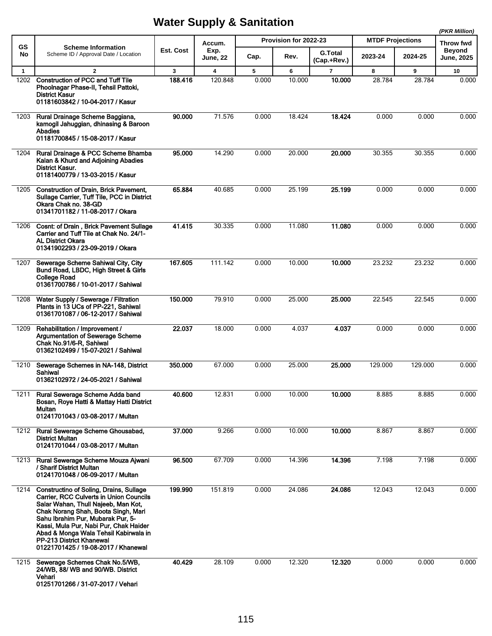|              |                                                                                                                                                                                                                                                                                                                                                                    |              |                         |       |                       |                |                         |         | (PKR Million)              |
|--------------|--------------------------------------------------------------------------------------------------------------------------------------------------------------------------------------------------------------------------------------------------------------------------------------------------------------------------------------------------------------------|--------------|-------------------------|-------|-----------------------|----------------|-------------------------|---------|----------------------------|
| <b>GS</b>    | <b>Scheme Information</b>                                                                                                                                                                                                                                                                                                                                          | Est. Cost    | Accum.<br>Exp.          |       | Provision for 2022-23 | <b>G.Total</b> | <b>MTDF Projections</b> |         | Throw fwd<br><b>Beyond</b> |
| No           | Scheme ID / Approval Date / Location                                                                                                                                                                                                                                                                                                                               |              | <b>June, 22</b>         | Cap.  | Rev.                  | (Cap.+Rev.)    | 2023-24                 | 2024-25 | <b>June, 2025</b>          |
| $\mathbf{1}$ | $\overline{2}$                                                                                                                                                                                                                                                                                                                                                     | $\mathbf{3}$ | $\overline{\mathbf{4}}$ | 5     | 6                     | $\overline{7}$ | 8                       | 9       | 10                         |
| 1202         | <b>Construction of PCC and Tuff Tile</b><br>Phoolnagar Phase-II, Tehsil Pattoki,<br>District Kasur<br>01181603842 / 10-04-2017 / Kasur                                                                                                                                                                                                                             | 188.416      | 120.848                 | 0.000 | 10.000                | 10.000         | 28.784                  | 28.784  | 0.000                      |
| 1203         | Rural Drainage Scheme Baggiana,<br>kamogil Jahuggian, dhinasing & Baroon<br><b>Abadies</b><br>01181700845 / 15-08-2017 / Kasur                                                                                                                                                                                                                                     | 90.000       | 71.576                  | 0.000 | 18.424                | 18.424         | 0.000                   | 0.000   | 0.000                      |
| 1204         | Rural Drainage & PCC Scheme Bhamba<br>Kalan & Khurd and Adjoining Abadies<br><b>District Kasur.</b><br>01181400779 / 13-03-2015 / Kasur                                                                                                                                                                                                                            | 95.000       | 14.290                  | 0.000 | 20.000                | 20.000         | 30.355                  | 30.355  | 0.000                      |
| 1205         | <b>Construction of Drain, Brick Pavement,</b><br>Sullage Carrier, Tuff Tile, PCC in District<br>Okara Chak no. 38-GD<br>01341701182 / 11-08-2017 / Okara                                                                                                                                                                                                           | 65.884       | 40.685                  | 0.000 | 25.199                | 25.199         | 0.000                   | 0.000   | 0.000                      |
| 1206         | <b>Cosnt: of Drain, Brick Pavement Sullage</b><br>Carrier and Tuff Tile at Chak No. 24/1-<br><b>AL District Okara</b><br>01341902293 / 23-09-2019 / Okara                                                                                                                                                                                                          | 41.415       | 30.335                  | 0.000 | 11.080                | 11.080         | 0.000                   | 0.000   | 0.000                      |
| 1207         | Sewerage Scheme Sahiwal City, City<br>Bund Road, LBDC, High Street & Girls<br><b>College Road</b><br>01361700786 / 10-01-2017 / Sahiwal                                                                                                                                                                                                                            | 167.605      | 111.142                 | 0.000 | 10.000                | 10.000         | 23.232                  | 23.232  | 0.000                      |
| 1208         | Water Supply / Sewerage / Filtration<br>Plants in 13 UCs of PP-221, Sahiwal<br>01361701087 / 06-12-2017 / Sahiwal                                                                                                                                                                                                                                                  | 150.000      | 79.910                  | 0.000 | 25.000                | 25,000         | 22.545                  | 22.545  | 0.000                      |
| 1209         | Rehabilitation / Improvement /<br><b>Argumentation of Sewerage Scheme</b><br>Chak No.91/6-R, Sahiwal<br>01362102499 / 15-07-2021 / Sahiwal                                                                                                                                                                                                                         | 22.037       | 18.000                  | 0.000 | 4.037                 | 4.037          | 0.000                   | 0.000   | 0.000                      |
| 1210         | Sewerage Schemes in NA-148, District<br>Sahiwal<br>01362102972 / 24-05-2021 / Sahiwal                                                                                                                                                                                                                                                                              | 350.000      | 67.000                  | 0.000 | 25.000                | 25.000         | 129.000                 | 129.000 | 0.000                      |
| 1211         | Rural Sewerage Scheme Adda band<br>Bosan, Roye Hatti & Mattay Hatti District<br>Multan<br>01241701043 / 03-08-2017 / Multan                                                                                                                                                                                                                                        | 40.600       | 12.831                  | 0.000 | 10.000                | 10.000         | 8.885                   | 8.885   | 0.000                      |
| 1212         | Rural Sewerage Scheme Ghousabad,<br>District Multan<br>01241701044 / 03-08-2017 / Multan                                                                                                                                                                                                                                                                           | 37.000       | 9.266                   | 0.000 | 10.000                | 10.000         | 8.867                   | 8.867   | 0.000                      |
| 1213         | Rural Sewerage Scheme Mouza Ajwani<br>/ Sharif District Multan<br>01241701048 / 06-09-2017 / Multan                                                                                                                                                                                                                                                                | 96.500       | 67.709                  | 0.000 | 14.396                | 14.396         | 7.198                   | 7.198   | 0.000                      |
| 1214         | <b>Constructino of Soling, Drains, Sullage</b><br>Carrier, RCC Culverts in Union Councils<br>Salar Wahan, Thull Najeeb, Man Kot,<br>Chak Norang Shah, Boota Singh, Mari<br>Sahu Ibrahim Pur, Mubarak Pur, 5-<br>Kassi, Mula Pur, Nabi Pur, Chak Haider<br>Abad & Monga Wala Tehsil Kabirwala in<br>PP-213 District Khanewal<br>01221701425 / 19-08-2017 / Khanewal | 199.990      | 151.819                 | 0.000 | 24.086                | 24.086         | 12.043                  | 12.043  | 0.000                      |
| 1215         | Sewerage Schemes Chak No.5/WB,<br>24/WB, 88/ WB and 90/WB. District<br>Vehari<br>01251701266 / 31-07-2017 / Vehari                                                                                                                                                                                                                                                 | 40.429       | 28.109                  | 0.000 | 12.320                | 12.320         | 0.000                   | 0.000   | 0.000                      |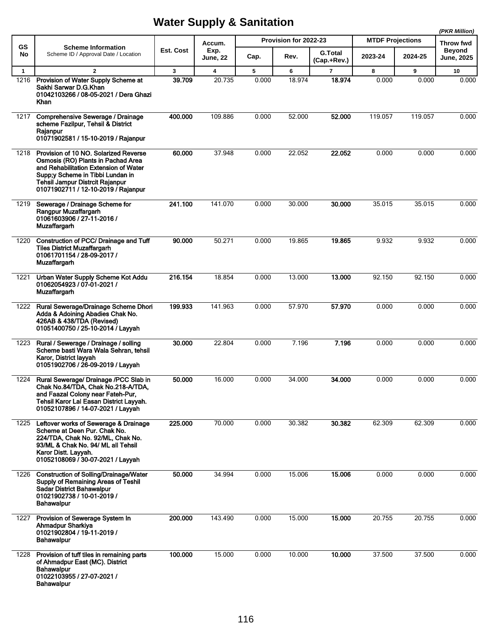|              |                                                                                                                                                                                                                                           |           |                |       |                       |                |                         |         | (PKR Million)              |
|--------------|-------------------------------------------------------------------------------------------------------------------------------------------------------------------------------------------------------------------------------------------|-----------|----------------|-------|-----------------------|----------------|-------------------------|---------|----------------------------|
| GS<br>No     | <b>Scheme Information</b><br>Scheme ID / Approval Date / Location                                                                                                                                                                         | Est. Cost | Accum.<br>Exp. |       | Provision for 2022-23 | <b>G.Total</b> | <b>MTDF Projections</b> |         | Throw fwd<br><b>Beyond</b> |
|              |                                                                                                                                                                                                                                           |           | June, 22       | Cap.  | Rev.                  | (Cap.+Rev.)    | 2023-24                 | 2024-25 | <b>June, 2025</b>          |
| $\mathbf{1}$ | $\overline{2}$                                                                                                                                                                                                                            | 3         | 4              | 5     | 6                     | 7              | 8                       | 9       | 10                         |
| 1216         | Provision of Water Supply Scheme at<br>Sakhi Sarwar D.G.Khan<br>01042103266 / 08-05-2021 / Dera Ghazi<br>Khan                                                                                                                             | 39.709    | 20.735         | 0.000 | 18.974                | 18.974         | 0.000                   | 0.000   | 0.000                      |
| 1217         | Comprehensive Sewerage / Drainage<br>scheme Fazilpur, Tehsil & District<br>Rajanpur<br>01071902581 / 15-10-2019 / Rajanpur                                                                                                                | 400.000   | 109.886        | 0.000 | 52.000                | 52.000         | 119.057                 | 119.057 | 0.000                      |
| 1218         | Provision of 10 NO. Solarized Reverse<br>Osmosis (RO) Plants in Pachad Area<br>and Rehabilitation Extension of Water<br>Supp;y Scheme in Tibbi Lundan in<br><b>Tehsil Jampur Distrcit Rajanpur</b><br>01071902711 / 12-10-2019 / Rajanpur | 60.000    | 37.948         | 0.000 | 22.052                | 22.052         | 0.000                   | 0.000   | 0.000                      |
| 1219         | Sewerage / Drainage Scheme for<br>Rangpur Muzaffargarh<br>01061603906 / 27-11-2016 /<br><b>Muzaffargarh</b>                                                                                                                               | 241.100   | 141.070        | 0.000 | 30.000                | 30.000         | 35.015                  | 35.015  | 0.000                      |
| 1220         | Construction of PCC/ Drainage and Tuff<br><b>Tiles District Muzaffargarh</b><br>01061701154 / 28-09-2017 /<br><b>Muzaffargarh</b>                                                                                                         | 90.000    | 50.271         | 0.000 | 19.865                | 19.865         | 9.932                   | 9.932   | 0.000                      |
| 1221         | Urban Water Supply Scheme Kot Addu<br>01062054923 / 07-01-2021 /<br><b>Muzaffargarh</b>                                                                                                                                                   | 216.154   | 18.854         | 0.000 | 13.000                | 13.000         | 92.150                  | 92.150  | 0.000                      |
| 1222         | Rural Sewerage/Drainage Scheme Dhori<br>Adda & Adoining Abadies Chak No.<br>426AB & 438/TDA (Revised)<br>01051400750 / 25-10-2014 / Layyah                                                                                                | 199.933   | 141.963        | 0.000 | 57.970                | 57.970         | 0.000                   | 0.000   | 0.000                      |
| 1223         | Rural / Sewerage / Drainage / solling<br>Scheme basti Wara Wala Sehran, tehsil<br>Karor, District layyah<br>01051902706 / 26-09-2019 / Layyah                                                                                             | 30.000    | 22.804         | 0.000 | 7.196                 | 7.196          | 0.000                   | 0.000   | 0.000                      |
| 1224         | Rural Sewerage/ Drainage /PCC Slab in<br>Chak No.84/TDA, Chak No.218-A/TDA,<br>and Faazal Colony near Fateh-Pur,<br>Tehsil Karor Lal Easan District Layyah.<br>01052107896 / 14-07-2021 / Lavvah                                          | 50.000    | 16.000         | 0.000 | 34.000                | 34.000         | 0.000                   | 0.000   | 0.000                      |
| 1225         | Leftover works of Sewerage & Drainage<br>Scheme at Deen Pur. Chak No.<br>224/TDA, Chak No. 92/ML, Chak No.<br>93/ML & Chak No. 94/ ML all Tehsil<br>Karor Distt. Layyah.<br>01052108069 / 30-07-2021 / Layyah                             | 225.000   | 70.000         | 0.000 | 30.382                | 30.382         | 62.309                  | 62.309  | 0.000                      |
| 1226         | <b>Construction of Solling/Drainage/Water</b><br>Supply of Remaining Areas of Teshil<br><b>Sadar District Bahawalpur</b><br>01021902738 / 10-01-2019 /<br>Bahawalpur                                                                      | 50.000    | 34.994         | 0.000 | 15.006                | 15.006         | 0.000                   | 0.000   | 0.000                      |
| 1227         | Provision of Sewerage System In<br><b>Ahmadpur Sharkiya</b><br>01021902804 / 19-11-2019 /<br>Bahawalpur                                                                                                                                   | 200.000   | 143.490        | 0.000 | 15.000                | 15.000         | 20.755                  | 20.755  | 0.000                      |
| 1228         | Provision of tuff tiles in remaining parts<br>of Ahmadpur East (MC). District<br>Bahawalpur<br>01022103955 / 27-07-2021 /<br><b>Bahawalpur</b>                                                                                            | 100.000   | 15.000         | 0.000 | 10.000                | 10.000         | 37.500                  | 37.500  | 0.000                      |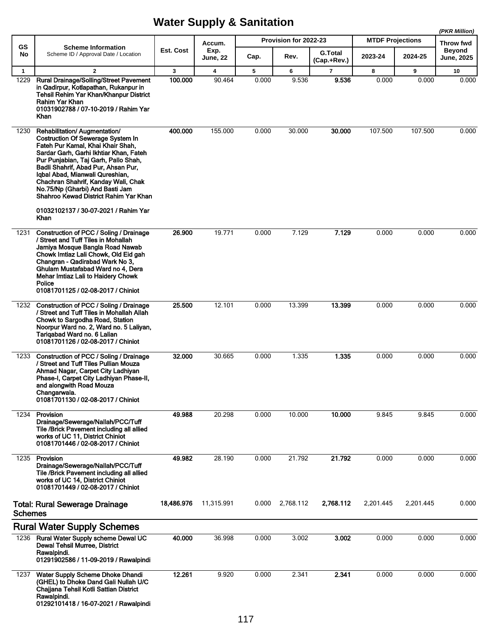|                      |                                                                                                                                                                                                                                                                                                                                                                                                                                       |              |                 |            |                       |                               |                         |            | (PKR Million)              |
|----------------------|---------------------------------------------------------------------------------------------------------------------------------------------------------------------------------------------------------------------------------------------------------------------------------------------------------------------------------------------------------------------------------------------------------------------------------------|--------------|-----------------|------------|-----------------------|-------------------------------|-------------------------|------------|----------------------------|
| <b>GS</b>            | <b>Scheme Information</b>                                                                                                                                                                                                                                                                                                                                                                                                             | Est. Cost    | Accum.<br>Exp.  |            | Provision for 2022-23 |                               | <b>MTDF Projections</b> |            | Throw fwd<br><b>Beyond</b> |
| No                   | Scheme ID / Approval Date / Location                                                                                                                                                                                                                                                                                                                                                                                                  |              | <b>June, 22</b> | Cap.       | Rev.                  | <b>G.Total</b><br>(Cap.+Rev.) | 2023-24                 | 2024-25    | <b>June, 2025</b>          |
| $\mathbf{1}$<br>1229 | $\overline{2}$<br><b>Rural Drainage/Solling/Street Pavement</b><br>in Qadirpur, Kotlapathan, Rukanpur in<br>Tehsil Rehim Yar Khan/Khanpur District<br>Rahim Yar Khan<br>01031902788 / 07-10-2019 / Rahim Yar<br>Khan                                                                                                                                                                                                                  | 3<br>100.000 | 4<br>90.464     | 5<br>0.000 | 6<br>9.536            | $\overline{7}$<br>9.536       | 8<br>0.000              | 9<br>0.000 | 10<br>0.000                |
| 1230                 | Rehabilitation/ Augmentation/<br><b>Costruction Of Sewerage System In</b><br>Fateh Pur Kamal, Khai Khair Shah,<br>Sardar Garh, Garhi Ikhtiar Khan, Fateh<br>Pur Punjabian, Taj Garh, Pallo Shah,<br>Badli Shahrif, Abad Pur, Ahsan Pur,<br>Iqbal Abad, Mianwali Qureshian,<br>Chachran Shahrif, Kanday Wali, Chak<br>No.75/Np (Gharbi) And Basti Jam<br>Shahroo Kewad District Rahim Yar Khan<br>01032102137 / 30-07-2021 / Rahim Yar | 400.000      | 155.000         | 0.000      | 30.000                | 30.000                        | 107.500                 | 107.500    | 0.000                      |
| 1231                 | Khan<br>Construction of PCC / Soling / Drainage<br>/ Street and Tuff Tiles in Mohallah<br>Jamiya Mosque Bangla Road Nawab<br>Chowk Imtiaz Lali Chowk, Old Eid gah<br>Changran - Qadirabad Wark No 3,<br>Ghulam Mustafabad Ward no 4, Dera<br>Mehar Imtiaz Lali to Haidery Chowk<br>Police<br>01081701125 / 02-08-2017 / Chiniot                                                                                                       | 26.900       | 19.771          | 0.000      | 7.129                 | 7.129                         | 0.000                   | 0.000      | 0.000                      |
| 1232                 | Construction of PCC / Soling / Drainage<br>/ Street and Tuff Tiles in Mohallah Allah<br>Chowk to Sargodha Road, Station<br>Noorpur Ward no. 2, Ward no. 5 Laliyan,<br>Tariqabad Ward no. 6 Lalian<br>01081701126 / 02-08-2017 / Chiniot                                                                                                                                                                                               | 25.500       | 12.101          | 0.000      | 13.399                | 13.399                        | 0.000                   | 0.000      | 0.000                      |
| 1233                 | Construction of PCC / Soling / Drainage<br>/ Street and Tuff Tiles Pullian Mouza<br>Ahmad Nagar, Carpet City Ladhiyan<br>Phase-I, Carpet City Ladhiyan Phase-II,<br>and alongwith Road Mouza<br>Changarwala.<br>01081701130 / 02-08-2017 / Chiniot                                                                                                                                                                                    | 32.000       | 30.665          | 0.000      | 1.335                 | 1.335                         | 0.000                   | 0.000      | 0.000                      |
| 1234                 | Provision<br>Drainage/Sewerage/Nallah/PCC/Tuff<br>Tile /Brick Pavement including all allied<br>works of UC 11, District Chiniot<br>01081701446 / 02-08-2017 / Chiniot                                                                                                                                                                                                                                                                 | 49.988       | 20.298          | 0.000      | 10.000                | 10.000                        | 9.845                   | 9.845      | 0.000                      |
| 1235                 | Provision<br>Drainage/Sewerage/Nallah/PCC/Tuff<br>Tile /Brick Pavement including all allied<br>works of UC 14, District Chiniot<br>01081701449 / 02-08-2017 / Chiniot                                                                                                                                                                                                                                                                 | 49.982       | 28.190          | 0.000      | 21.792                | 21.792                        | 0.000                   | 0.000      | 0.000                      |
| <b>Schemes</b>       | <b>Total: Rural Sewerage Drainage</b>                                                                                                                                                                                                                                                                                                                                                                                                 | 18,486.976   | 11,315.991      | 0.000      | 2,768.112             | 2,768.112                     | 2,201.445               | 2,201.445  | 0.000                      |
|                      | <b>Rural Water Supply Schemes</b>                                                                                                                                                                                                                                                                                                                                                                                                     |              |                 |            |                       |                               |                         |            |                            |
| 1236                 | Rural Water Supply scheme Dewal UC<br>Dewal Tehsil Murree, District<br>Rawalpindi.<br>01291902586 / 11-09-2019 / Rawalpindi                                                                                                                                                                                                                                                                                                           | 40.000       | 36.998          | 0.000      | 3.002                 | 3.002                         | 0.000                   | 0.000      | 0.000                      |
| 1237                 | Water Supply Scheme Dhoke Dhandi<br>(GHEL) to Dhoke Dand Gali Nullah U/C<br>Chajjana Tehsil Kotli Sattian District<br>Rawalpindi.<br>01292101418 / 16-07-2021 / Rawalpindi                                                                                                                                                                                                                                                            | 12.261       | 9.920           | 0.000      | 2.341                 | 2.341                         | 0.000                   | 0.000      | 0.000                      |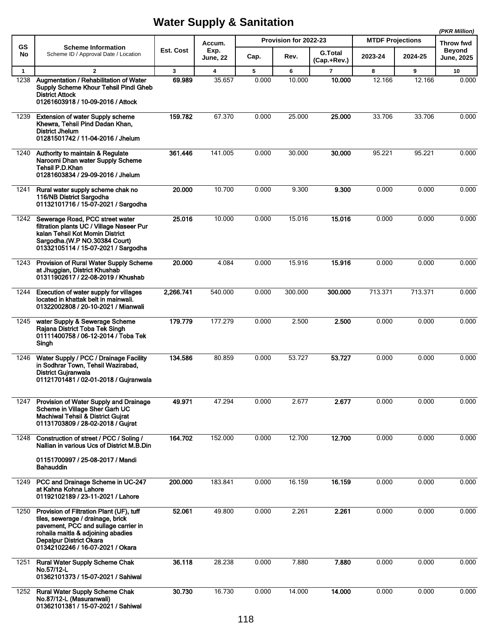|                      |                                                                                                                                                                                                                                   |                        |                                   |            | (PKR Million)         |                               |                         |             |                            |
|----------------------|-----------------------------------------------------------------------------------------------------------------------------------------------------------------------------------------------------------------------------------|------------------------|-----------------------------------|------------|-----------------------|-------------------------------|-------------------------|-------------|----------------------------|
| GS                   | <b>Scheme Information</b>                                                                                                                                                                                                         | Est. Cost              | Accum.<br>Exp.                    |            | Provision for 2022-23 |                               | <b>MTDF Projections</b> |             | Throw fwd<br><b>Beyond</b> |
| No                   | Scheme ID / Approval Date / Location                                                                                                                                                                                              |                        | June, 22                          | Cap.       | Rev.                  | <b>G.Total</b><br>(Cap.+Rev.) | 2023-24                 | 2024-25     | <b>June, 2025</b>          |
| $\mathbf{1}$<br>1238 | $\overline{2}$<br>Augmentation / Rehabilitation of Water<br>Supply Scheme Khour Tehsil Pindi Gheb<br><b>District Attock</b><br>01261603918 / 10-09-2016 / Attock                                                                  | $\mathbf{3}$<br>69.989 | $\overline{\mathbf{4}}$<br>35.657 | 5<br>0.000 | 6<br>10.000           | $\overline{7}$<br>10.000      | 8<br>12.166             | 9<br>12.166 | 10<br>0.000                |
| 1239                 | <b>Extension of water Supply scheme</b><br>Khewra, Tehsil Pind Dadan Khan,<br><b>District Jhelum</b><br>01281501742 / 11-04-2016 / Jhelum                                                                                         | 159.782                | 67.370                            | 0.000      | 25.000                | 25.000                        | 33.706                  | 33.706      | 0.000                      |
| 1240                 | Authority to maintain & Regulate<br>Naroomi Dhan water Supply Scheme<br>Tehsil P.D.Khan<br>01281603834 / 29-09-2016 / Jhelum                                                                                                      | 361.446                | 141.005                           | 0.000      | 30.000                | 30.000                        | 95.221                  | 95.221      | 0.000                      |
| 1241                 | Rural water supply scheme chak no<br>116/NB District Sargodha<br>01132101716 / 15-07-2021 / Sargodha                                                                                                                              | 20,000                 | 10.700                            | 0.000      | 9.300                 | 9.300                         | 0.000                   | 0.000       | 0.000                      |
| 1242                 | Sewerage Road, PCC street water<br>filtration plants UC / Village Naseer Pur<br>kalan Tehsil Kot Momin District<br>Sargodha.(W.P NO.30384 Court)<br>01332105114 / 15-07-2021 / Sargodha                                           | 25.016                 | 10.000                            | 0.000      | 15.016                | 15.016                        | 0.000                   | 0.000       | 0.000                      |
| 1243                 | Provision of Rural Water Supply Scheme<br>at Jhuggian, District Khushab<br>01311902617 / 22-08-2019 / Khushab                                                                                                                     | 20.000                 | 4.084                             | 0.000      | 15.916                | 15.916                        | 0.000                   | 0.000       | 0.000                      |
| 1244                 | Execution of water supply for villages<br>located in khattak belt in mainwali.<br>01322002808 / 20-10-2021 / Mianwali                                                                                                             | 2,266.741              | 540.000                           | 0.000      | 300.000               | 300,000                       | 713.371                 | 713.371     | 0.000                      |
| 1245                 | water Supply & Sewerage Scheme<br>Rajana District Toba Tek Singh<br>01111400758 / 06-12-2014 / Toba Tek<br>Singh                                                                                                                  | 179.779                | 177.279                           | 0.000      | 2.500                 | 2.500                         | 0.000                   | 0.000       | 0.000                      |
| 1246                 | Water Supply / PCC / Drainage Facility<br>in Sodhrar Town, Tehsil Wazirabad,<br><b>District Gujranwala</b><br>01121701481 / 02-01-2018 / Gujranwala                                                                               | 134.586                | 80.859                            | 0.000      | 53.727                | 53.727                        | 0.000                   | 0.000       | 0.000                      |
| 1247                 | Provision of Water Supply and Drainage<br>Scheme in Village Sher Garh UC<br>Machiwal Tehsil & District Gujrat<br>01131703809 / 28-02-2018 / Gujrat                                                                                | 49.971                 | 47.294                            | 0.000      | 2.677                 | 2.677                         | 0.000                   | 0.000       | 0.000                      |
| 1248                 | Construction of street / PCC / Soling /<br>Nallian in various Ucs of District M.B.Din<br>01151700997 / 25-08-2017 / Mandi<br><b>Bahauddin</b>                                                                                     | 164.702                | 152.000                           | 0.000      | 12.700                | 12.700                        | 0.000                   | 0.000       | 0.000                      |
| 1249                 | PCC and Drainage Scheme in UC-247<br>at Kahna Kohna Lahore<br>01192102189 / 23-11-2021 / Lahore                                                                                                                                   | 200.000                | 183.841                           | 0.000      | 16.159                | 16.159                        | 0.000                   | 0.000       | 0.000                      |
| 1250                 | Provision of Filtration Plant (UF), tuff<br>tiles, sewerage / drainage, brick<br>pavement, PCC and sullage carrier in<br>rohaila maitla & adjoining abadies<br><b>Depalpur District Okara</b><br>01342102246 / 16-07-2021 / Okara | 52.061                 | 49.800                            | 0.000      | 2.261                 | 2.261                         | 0.000                   | 0.000       | 0.000                      |
| 1251                 | <b>Rural Water Supply Scheme Chak</b><br>No.57/12-L<br>01362101373 / 15-07-2021 / Sahiwal                                                                                                                                         | 36.118                 | 28.238                            | 0.000      | 7.880                 | 7.880                         | 0.000                   | 0.000       | 0.000                      |
| 1252                 | <b>Rural Water Supply Scheme Chak</b><br>No.87/12-L (Masuranwali)<br>01362101381 / 15-07-2021 / Sahiwal                                                                                                                           | 30.730                 | 16.730                            | 0.000      | 14.000                | 14.000                        | 0.000                   | 0.000       | 0.000                      |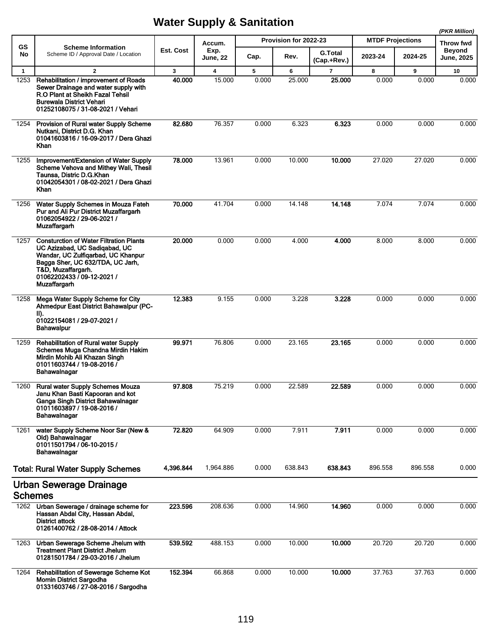|                |                                                                                                                                                                                                                                      |           |                         |       |                       |                               |                         |         | (PKR Million)               |
|----------------|--------------------------------------------------------------------------------------------------------------------------------------------------------------------------------------------------------------------------------------|-----------|-------------------------|-------|-----------------------|-------------------------------|-------------------------|---------|-----------------------------|
| <b>GS</b>      | <b>Scheme Information</b>                                                                                                                                                                                                            |           | Accum.                  |       | Provision for 2022-23 |                               | <b>MTDF Projections</b> |         | Throw fwd                   |
| No             | Scheme ID / Approval Date / Location                                                                                                                                                                                                 | Est. Cost | Exp.<br><b>June, 22</b> | Cap.  | Rev.                  | <b>G.Total</b><br>(Cap.+Rev.) | 2023-24                 | 2024-25 | Beyond<br><b>June, 2025</b> |
| $\mathbf{1}$   | $\overline{2}$                                                                                                                                                                                                                       | 3         | $\overline{\mathbf{4}}$ | 5     | 6                     | $\overline{7}$                | 8                       | 9       | 10                          |
| 1253           | Rehabilitation / improvement of Roads<br>Sewer Drainage and water supply with<br>R.O Plant at Sheikh Fazal Tehsil<br>Burewala District Vehari<br>01252108075 / 31-08-2021 / Vehari                                                   | 40.000    | 15.000                  | 0.000 | 25.000                | 25.000                        | 0.000                   | 0.000   | 0.000                       |
| 1254           | Provision of Rural water Supply Scheme<br>Nutkani, District D.G. Khan<br>01041603816 / 16-09-2017 / Dera Ghazi<br>Khan                                                                                                               | 82.680    | 76.357                  | 0.000 | 6.323                 | 6.323                         | 0.000                   | 0.000   | 0.000                       |
| 1255           | Improvement/Extension of Water Supply<br>Scheme Vehova and Mithey Wali, Thesil<br>Taunsa, Distric D.G.Khan<br>01042054301 / 08-02-2021 / Dera Ghazi<br>Khan                                                                          | 78.000    | 13.961                  | 0.000 | 10.000                | 10.000                        | 27.020                  | 27.020  | 0.000                       |
| 1256           | Water Supply Schemes in Mouza Fateh<br>Pur and Ali Pur District Muzaffargarh<br>01062054922 / 29-06-2021 /<br>Muzaffargarh                                                                                                           | 70.000    | 41.704                  | 0.000 | 14.148                | 14.148                        | 7.074                   | 7.074   | 0.000                       |
| 1257           | <b>Consturction of Water Filtration Plants</b><br>UC Azizabad, UC Sadiqabad, UC<br>Wandar, UC Zulfigarbad, UC Khanpur<br>Bagga Sher, UC 632/TDA, UC Jarh,<br>T&D, Muzaffargarh.<br>01062202433 / 09-12-2021 /<br><b>Muzaffargarh</b> | 20.000    | 0.000                   | 0.000 | 4.000                 | 4.000                         | 8.000                   | 8.000   | 0.000                       |
| 1258           | Mega Water Supply Scheme for City<br>Ahmedpur East District Bahawalpur (PC-<br>II).<br>01022154081 / 29-07-2021 /<br><b>Bahawalpur</b>                                                                                               | 12.383    | 9.155                   | 0.000 | 3.228                 | 3.228                         | 0.000                   | 0.000   | 0.000                       |
| 1259           | Rehabilitation of Rural water Supply<br>Schemes Muga Chandna Mirdin Hakim<br>Mirdin Mohib Ali Khazan Singh<br>01011603744 / 19-08-2016 /<br>Bahawalnagar                                                                             | 99.971    | 76.806                  | 0.000 | 23.165                | 23.165                        | 0.000                   | 0.000   | 0.000                       |
| 1260           | <b>Rural water Supply Schemes Mouza</b><br>Janu Khan Basti Kapooran and kot<br>Ganga Singh District Bahawalnagar<br>01011603897 / 19-08-2016 /<br>Bahawalnagar                                                                       | 97.808    | 75.219                  | 0.000 | 22.589                | 22.589                        | 0.000                   | 0.000   | 0.000                       |
| 1261           | water Supply Scheme Noor Sar (New &<br>Old) Bahawalnagar<br>01011501794 / 06-10-2015 /<br>Bahawalnagar                                                                                                                               | 72.820    | 64.909                  | 0.000 | 7.911                 | 7.911                         | 0.000                   | 0.000   | 0.000                       |
|                | <b>Total: Rural Water Supply Schemes</b>                                                                                                                                                                                             | 4,396.844 | 1,964.886               | 0.000 | 638.843               | 638.843                       | 896.558                 | 896.558 | 0.000                       |
| <b>Schemes</b> | Urban Sewerage Drainage                                                                                                                                                                                                              |           |                         |       |                       |                               |                         |         |                             |
|                | 1262 Urban Sewerage / drainage scheme for<br>Hassan Abdal City, Hassan Abdal,<br><b>District attock</b><br>01261400762 / 28-08-2014 / Attock                                                                                         | 223.596   | 208.636                 | 0.000 | 14.960                | 14.960                        | 0.000                   | 0.000   | 0.000                       |
| 1263           | Urban Sewerage Scheme Jhelum with<br><b>Treatment Plant District Jhelum</b><br>01281501784 / 29-03-2016 / Jhelum                                                                                                                     | 539.592   | 488.153                 | 0.000 | 10.000                | 10.000                        | 20.720                  | 20.720  | 0.000                       |
| 1264           | Rehabilitation of Sewerage Scheme Kot<br><b>Momin District Sargodha</b><br>01331603746 / 27-08-2016 / Sargodha                                                                                                                       | 152.394   | 66.868                  | 0.000 | 10.000                | 10.000                        | 37.763                  | 37.763  | 0.000                       |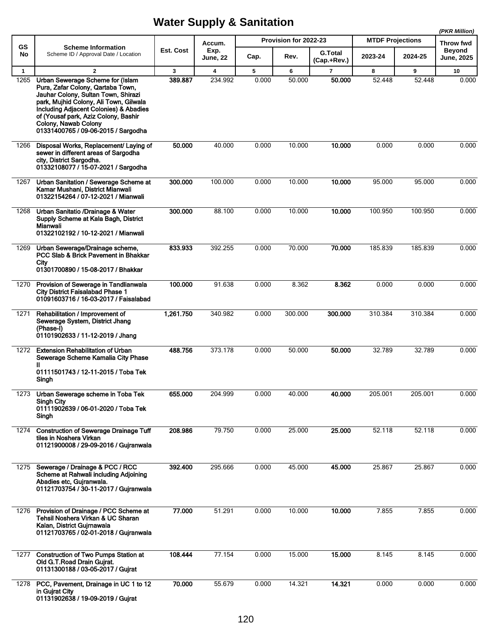|                      |                                                                                                                                                                                                                                                                                                                                  |                         |                 |            |                       |                          |                         |             | (PKR Million)              |  |
|----------------------|----------------------------------------------------------------------------------------------------------------------------------------------------------------------------------------------------------------------------------------------------------------------------------------------------------------------------------|-------------------------|-----------------|------------|-----------------------|--------------------------|-------------------------|-------------|----------------------------|--|
| GS                   | <b>Scheme Information</b>                                                                                                                                                                                                                                                                                                        | Est. Cost               | Accum.<br>Exp.  |            | Provision for 2022-23 | <b>G.Total</b>           | <b>MTDF Projections</b> |             | Throw fwd<br><b>Beyond</b> |  |
| No                   | Scheme ID / Approval Date / Location                                                                                                                                                                                                                                                                                             |                         | <b>June, 22</b> | Cap.       | Rev.                  | (Cap.+Rev.)              | 2023-24                 | 2024-25     | <b>June, 2025</b>          |  |
| $\mathbf{1}$<br>1265 | $\overline{2}$<br>Urban Sewerage Scheme for (Islam<br>Pura, Zafar Colony, Qartaba Town,<br>Jauhar Colony, Sultan Town, Shirazi<br>park, Mujhid Colony, Ali Town, Gilwala<br>Including Adjacent Colonies) & Abadies<br>of (Yousaf park, Aziz Colony, Bashir<br><b>Colony, Nawab Colony</b><br>01331400765 / 09-06-2015 / Sargodha | $\mathbf{3}$<br>389.887 | 4<br>234.992    | 5<br>0.000 | 6<br>50.000           | $\overline{7}$<br>50,000 | 8<br>52.448             | 9<br>52.448 | 10<br>0.000                |  |
| 1266                 | Disposal Works, Replacement/ Laying of<br>sewer in different areas of Sargodha<br>city, District Sargodha.<br>01332108077 / 15-07-2021 / Sargodha                                                                                                                                                                                | 50.000                  | 40.000          | 0.000      | 10.000                | 10.000                   | 0.000                   | 0.000       | 0.000                      |  |
| 1267                 | Urban Sanitation / Sewerage Scheme at<br>Kamar Mushani, District Mianwali<br>01322154264 / 07-12-2021 / Mianwali                                                                                                                                                                                                                 | 300.000                 | 100.000         | 0.000      | 10.000                | 10.000                   | 95.000                  | 95.000      | 0.000                      |  |
| 1268                 | Urban Sanitatio /Drainage & Water<br>Supply Scheme at Kala Bagh, District<br>Mianwali<br>01322102192 / 10-12-2021 / Mianwali                                                                                                                                                                                                     | 300.000                 | 88.100          | 0.000      | 10.000                | 10.000                   | 100.950                 | 100.950     | 0.000                      |  |
| 1269                 | Urban Sewerage/Drainage scheme,<br>PCC Slab & Brick Pavement in Bhakkar<br>City<br>01301700890 / 15-08-2017 / Bhakkar                                                                                                                                                                                                            | 833.933                 | 392.255         | 0.000      | 70.000                | 70.000                   | 185.839                 | 185.839     | 0.000                      |  |
| 1270                 | Provision of Sewerage in Tandlianwala<br><b>City District Faisalabad Phase 1</b><br>01091603716 / 16-03-2017 / Faisalabad                                                                                                                                                                                                        | 100.000                 | 91.638          | 0.000      | 8.362                 | 8.362                    | 0.000                   | 0.000       | 0.000                      |  |
| 1271                 | Rehabilitation / Improvement of<br>Sewerage System, District Jhang<br>(Phase-I)<br>01101902633 / 11-12-2019 / Jhang                                                                                                                                                                                                              | 1,261.750               | 340.982         | 0.000      | 300.000               | 300,000                  | 310.384                 | 310.384     | 0.000                      |  |
| 1272                 | <b>Extension Rehabilitation of Urban</b><br>Sewerage Scheme Kamalia City Phase<br>Ш<br>01111501743 / 12-11-2015 / Toba Tek<br>Singh                                                                                                                                                                                              | 488.756                 | 373.178         | 0.000      | 50.000                | 50.000                   | 32.789                  | 32.789      | 0.000                      |  |
| 1273                 | Urban Sewerage scheme in Toba Tek<br><b>Singh City</b><br>01111902639 / 06-01-2020 / Toba Tek<br>Singh                                                                                                                                                                                                                           | 655.000                 | 204.999         | 0.000      | 40.000                | 40.000                   | 205.001                 | 205.001     | 0.000                      |  |
| 1274                 | <b>Construction of Sewerage Drainage Tuff</b><br>tiles in Noshera Virkan<br>01121900008 / 29-09-2016 / Gujranwala                                                                                                                                                                                                                | 208.986                 | 79.750          | 0.000      | 25.000                | 25.000                   | 52.118                  | 52.118      | 0.000                      |  |
| 1275                 | Sewerage / Drainage & PCC / RCC<br>Scheme at Rahwali including Adjoining<br>Abadies etc, Gujranwala.<br>01121703754 / 30-11-2017 / Gujranwala                                                                                                                                                                                    | 392.400                 | 295.666         | 0.000      | 45.000                | 45.000                   | 25.867                  | 25.867      | 0.000                      |  |
| 1276                 | Provision of Drainage / PCC Scheme at<br>Tehsil Noshera Virkan & UC Sharan<br>Kalan, District Gujrnawala<br>01121703765 / 02-01-2018 / Gujranwala                                                                                                                                                                                | 77.000                  | 51.291          | 0.000      | 10.000                | 10.000                   | 7.855                   | 7.855       | 0.000                      |  |
| 1277                 | <b>Construction of Two Pumps Station at</b><br>Old G.T.Road Drain Gujrat.<br>01131300188 / 03-05-2017 / Gujrat                                                                                                                                                                                                                   | 108.444                 | 77.154          | 0.000      | 15.000                | 15.000                   | 8.145                   | 8.145       | 0.000                      |  |
| 1278                 | PCC, Pavement, Drainage in UC 1 to 12<br>in Gujrat City<br>01131902638 / 19-09-2019 / Gujrat                                                                                                                                                                                                                                     | 70.000                  | 55.679          | 0.000      | 14.321                | 14.321                   | 0.000                   | 0.000       | 0.000                      |  |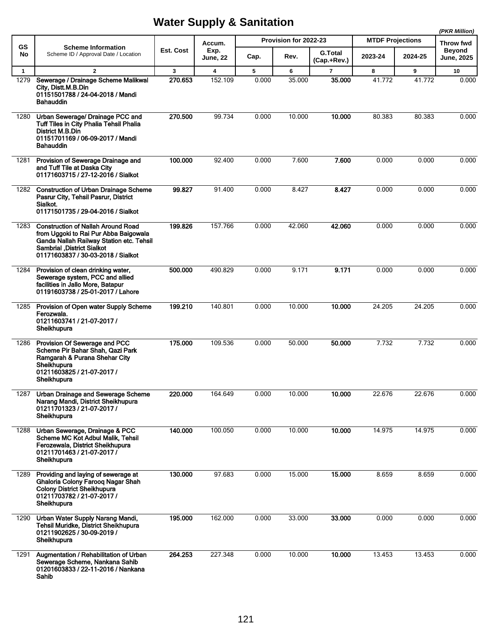|              |                                                                                                                                                                                                            |           |                         |       |                       |                               |                         |         | (PKR Million)               |  |
|--------------|------------------------------------------------------------------------------------------------------------------------------------------------------------------------------------------------------------|-----------|-------------------------|-------|-----------------------|-------------------------------|-------------------------|---------|-----------------------------|--|
| <b>GS</b>    | <b>Scheme Information</b>                                                                                                                                                                                  |           | Accum.                  |       | Provision for 2022-23 |                               | <b>MTDF Projections</b> |         | Throw fwd                   |  |
| No           | Scheme ID / Approval Date / Location                                                                                                                                                                       | Est. Cost | Exp.<br><b>June, 22</b> | Cap.  | Rev.                  | <b>G.Total</b><br>(Cap.+Rev.) | 2023-24                 | 2024-25 | <b>Beyond</b><br>June, 2025 |  |
| $\mathbf{1}$ | $\overline{2}$                                                                                                                                                                                             | 3         | $\overline{\mathbf{4}}$ | 5     | 6                     | $\overline{7}$                | 8                       | 9       | 10                          |  |
| 1279         | Sewerage / Drainage Scheme Malikwal<br>City, Distt.M.B.Din<br>01151501788 / 24-04-2018 / Mandi<br>Bahauddin                                                                                                | 270.653   | 152.109                 | 0.000 | 35.000                | 35.000                        | 41.772                  | 41.772  | 0.000                       |  |
| 1280         | Urban Sewerage/ Drainage PCC and<br><b>Tuff Tiles in City Phalia Tehsil Phalia</b><br>District M.B.Din<br>01151701169 / 06-09-2017 / Mandi<br><b>Bahauddin</b>                                             | 270.500   | 99.734                  | 0.000 | 10.000                | 10.000                        | 80.383                  | 80.383  | 0.000                       |  |
| 1281         | Provision of Sewerage Drainage and<br>and Tuff Tile at Daska City<br>01171603715 / 27-12-2016 / Sialkot                                                                                                    | 100.000   | 92.400                  | 0.000 | 7.600                 | 7.600                         | 0.000                   | 0.000   | 0.000                       |  |
|              | 1282 Construction of Urban Drainage Scheme<br>Pasrur City, Tehsil Pasrur, District<br>Sialkot.<br>01171501735 / 29-04-2016 / Sialkot                                                                       | 99.827    | 91.400                  | 0.000 | 8.427                 | 8.427                         | 0.000                   | 0.000   | 0.000                       |  |
| 1283         | <b>Construction of Nallah Around Road</b><br>from Uggoki to Rai Pur Abba Baigowala<br>Ganda Nallah Railway Station etc. Tehsil<br><b>Sambrial , District Sialkot</b><br>01171603837 / 30-03-2018 / Sialkot | 199.826   | 157.766                 | 0.000 | 42.060                | 42.060                        | 0.000                   | 0.000   | 0.000                       |  |
| 1284         | Provision of clean drinking water,<br>Sewerage system, PCC and allied<br>facilities in Jallo More, Batapur<br>01191603738 / 25-01-2017 / Lahore                                                            | 500.000   | 490.829                 | 0.000 | 9.171                 | 9.171                         | 0.000                   | 0.000   | 0.000                       |  |
| 1285         | Provision of Open water Supply Scheme<br>Ferozwala.<br>01211603741 / 21-07-2017 /<br>Sheikhupura                                                                                                           | 199.210   | 140.801                 | 0.000 | 10.000                | 10.000                        | 24.205                  | 24.205  | 0.000                       |  |
| 1286         | Provision Of Sewerage and PCC<br>Scheme Pir Bahar Shah, Qazi Park<br>Ramgarah & Purana Shehar City<br>Sheikhupura<br>01211603825 / 21-07-2017 /<br>Sheikhupura                                             | 175.000   | 109.536                 | 0.000 | 50.000                | 50.000                        | 7.732                   | 7.732   | 0.000                       |  |
| 1287         | Urban Drainage and Sewerage Scheme<br>Narang Mandi, District Sheikhupura<br>01211701323 / 21-07-2017 /<br>Sheikhupura                                                                                      | 220.000   | 164.649                 | 0.000 | 10.000                | 10.000                        | 22.676                  | 22.676  | 0.000                       |  |
| 1288         | Urban Sewerage, Drainage & PCC<br>Scheme MC Kot Adbul Malik, Tehsil<br>Ferozewala, District Sheikhupura<br>01211701463 / 21-07-2017 /<br>Sheikhupura                                                       | 140.000   | 100.050                 | 0.000 | 10.000                | 10.000                        | 14.975                  | 14.975  | 0.000                       |  |
| 1289         | Providing and laying of sewerage at<br>Ghaloria Colony Farooq Nagar Shah<br><b>Colony District Sheikhupura</b><br>01211703782 / 21-07-2017 /<br>Sheikhupura                                                | 130.000   | 97.683                  | 0.000 | 15.000                | 15.000                        | 8.659                   | 8.659   | 0.000                       |  |
| 1290         | Urban Water Supply Narang Mandi,<br>Tehsil Muridke, District Sheikhupura<br>01211902625 / 30-09-2019 /<br>Sheikhupura                                                                                      | 195.000   | 162.000                 | 0.000 | 33.000                | 33.000                        | 0.000                   | 0.000   | 0.000                       |  |
| 1291         | Augmentation / Rehabilitation of Urban<br>Sewerage Scheme, Nankana Sahib<br>01201603833 / 22-11-2016 / Nankana<br>Sahib                                                                                    | 264.253   | 227.348                 | 0.000 | 10.000                | 10.000                        | 13.453                  | 13.453  | 0.000                       |  |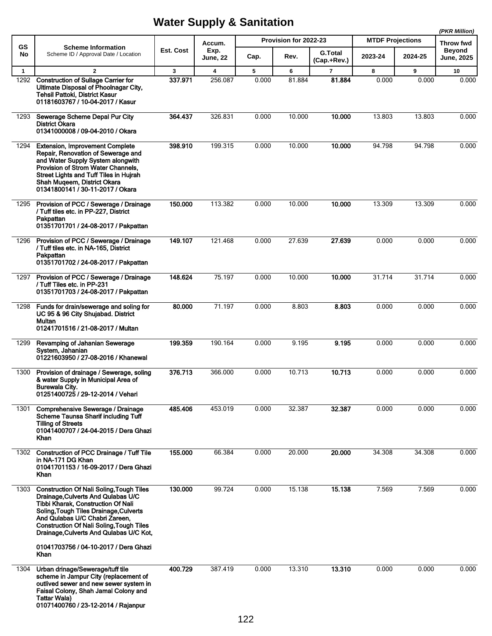|                      |                                                                                                                                                                                                                                                                                                                                                        |              |                                    |            |                       |                               |                         |            | (PKR Million)              |
|----------------------|--------------------------------------------------------------------------------------------------------------------------------------------------------------------------------------------------------------------------------------------------------------------------------------------------------------------------------------------------------|--------------|------------------------------------|------------|-----------------------|-------------------------------|-------------------------|------------|----------------------------|
| GS                   | <b>Scheme Information</b>                                                                                                                                                                                                                                                                                                                              | Est. Cost    | Accum.<br>Exp.                     |            | Provision for 2022-23 |                               | <b>MTDF Projections</b> |            | Throw fwd<br><b>Beyond</b> |
| No                   | Scheme ID / Approval Date / Location                                                                                                                                                                                                                                                                                                                   |              | <b>June, 22</b>                    | Cap.       | Rev.                  | <b>G.Total</b><br>(Cap.+Rev.) | 2023-24                 | 2024-25    | <b>June, 2025</b>          |
| $\mathbf{1}$<br>1292 | $\overline{2}$<br><b>Construction of Sullage Carrier for</b>                                                                                                                                                                                                                                                                                           | 3<br>337.971 | $\overline{\mathbf{4}}$<br>256.087 | 5<br>0.000 | 6<br>81.884           | $\overline{7}$<br>81.884      | 8<br>0.000              | 9<br>0.000 | 10<br>0.000                |
|                      | Ultimate Disposal of Phoolnagar City,<br><b>Tehsil Pattoki, District Kasur</b><br>01181603767 / 10-04-2017 / Kasur                                                                                                                                                                                                                                     |              |                                    |            |                       |                               |                         |            |                            |
| 1293                 | Sewerage Scheme Depal Pur City<br><b>District Okara</b><br>01341000008 / 09-04-2010 / Okara                                                                                                                                                                                                                                                            | 364.437      | 326.831                            | 0.000      | 10.000                | 10.000                        | 13.803                  | 13.803     | 0.000                      |
| 1294                 | <b>Extension, Improvement Complete</b><br>Repair, Renovation of Sewerage and<br>and Water Supply System alongwith<br>Provision of Strom Water Channels,<br><b>Street Lights and Tuff Tiles in Hujrah</b><br>Shah Muqeem, District Okara<br>01341800141 / 30-11-2017 / Okara                                                                            | 398.910      | 199.315                            | 0.000      | 10.000                | 10.000                        | 94.798                  | 94.798     | 0.000                      |
| 1295                 | Provision of PCC / Sewerage / Drainage<br>/ Tuff tiles etc. in PP-227, District<br>Pakpattan<br>01351701701 / 24-08-2017 / Pakpattan                                                                                                                                                                                                                   | 150,000      | 113.382                            | 0.000      | 10.000                | 10.000                        | 13.309                  | 13.309     | 0.000                      |
| 1296                 | Provision of PCC / Sewerage / Drainage<br>/ Tuff tiles etc. in NA-165, District<br>Pakpattan<br>01351701702 / 24-08-2017 / Pakpattan                                                                                                                                                                                                                   | 149.107      | 121.468                            | 0.000      | 27.639                | 27.639                        | 0.000                   | 0.000      | 0.000                      |
| 1297                 | Provision of PCC / Sewerage / Drainage<br>/ Tuff Tiles etc. in PP-231<br>01351701703 / 24-08-2017 / Pakpattan                                                                                                                                                                                                                                          | 148.624      | 75.197                             | 0.000      | 10.000                | 10.000                        | 31.714                  | 31.714     | 0.000                      |
| 1298                 | Funds for drain/sewerage and soling for<br>UC 95 & 96 City Shujabad. District<br>Multan<br>01241701516 / 21-08-2017 / Multan                                                                                                                                                                                                                           | 80.000       | 71.197                             | 0.000      | 8.803                 | 8.803                         | 0.000                   | 0.000      | 0.000                      |
| 1299                 | Revamping of Jahanian Sewerage<br>System, Jahanian<br>01221603950 / 27-08-2016 / Khanewal                                                                                                                                                                                                                                                              | 199.359      | 190.164                            | 0.000      | 9.195                 | 9.195                         | 0.000                   | 0.000      | 0.000                      |
| 1300                 | Provision of drainage / Sewerage, soling<br>& water Supply in Municipal Area of<br><b>Burewala City.</b><br>01251400725 / 29-12-2014 / Vehari                                                                                                                                                                                                          | 376.713      | 366.000                            | 0.000      | 10.713                | 10.713                        | 0.000                   | 0.000      | 0.000                      |
| 1301                 | Comprehensive Sewerage / Drainage<br><b>Scheme Taunsa Sharif including Tuff</b><br><b>Tilling of Streets</b><br>01041400707 / 24-04-2015 / Dera Ghazi<br>Khan                                                                                                                                                                                          | 485.406      | 453.019                            | 0.000      | 32.387                | 32.387                        | 0.000                   | 0.000      | 0.000                      |
| 1302                 | <b>Construction of PCC Drainage / Tuff Tile</b><br>in NA-171 DG Khan<br>01041701153 / 16-09-2017 / Dera Ghazi<br>Khan                                                                                                                                                                                                                                  | 155.000      | 66.384                             | 0.000      | 20.000                | 20.000                        | 34.308                  | 34.308     | 0.000                      |
| 1303                 | <b>Construction Of Nali Soling, Tough Tiles</b><br>Drainage, Culverts And Qulabas U/C<br>Tibbi Kharak, Construction Of Nali<br>Soling, Tough Tiles Drainage, Culverts<br>And Qulabas U/C Chabri Zareen,<br><b>Construction Of Nali Soling, Tough Tiles</b><br>Drainage, Culverts And Qulabas U/C Kot,<br>01041703756 / 04-10-2017 / Dera Ghazi<br>Khan | 130.000      | 99.724                             | 0.000      | 15.138                | 15.138                        | 7.569                   | 7.569      | 0.000                      |
| 1304                 | Urban drinage/Sewerage/tuff tile<br>scheme in Jampur City (replacement of<br>outlived sewer and new sewer system in<br>Faisal Colony, Shah Jamal Colony and<br><b>Tattar Wala)</b><br>01071400760 / 23-12-2014 / Rajanpur                                                                                                                              | 400.729      | 387.419                            | 0.000      | 13.310                | 13.310                        | 0.000                   | 0.000      | 0.000                      |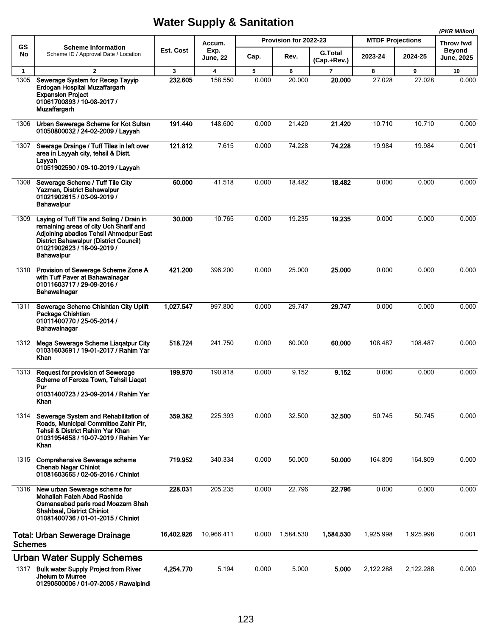| GS             | <b>Scheme Information</b>                                                                                                                                                                                                         |            | Accum.                  |       | Provision for 2022-23 |                               | <b>MTDF Projections</b> |           | Throw fwd                   |  |
|----------------|-----------------------------------------------------------------------------------------------------------------------------------------------------------------------------------------------------------------------------------|------------|-------------------------|-------|-----------------------|-------------------------------|-------------------------|-----------|-----------------------------|--|
| No             | Scheme ID / Approval Date / Location                                                                                                                                                                                              | Est. Cost  | Exp.<br><b>June, 22</b> | Cap.  | Rev.                  | <b>G.Total</b><br>(Cap.+Rev.) | 2023-24                 | 2024-25   | <b>Beyond</b><br>June, 2025 |  |
| $\mathbf{1}$   | $\overline{2}$                                                                                                                                                                                                                    | 3          | $\overline{\mathbf{4}}$ | 5     | 6                     | $\overline{7}$                | 8                       | 9         | 10                          |  |
| 1305           | Sewerage System for Recep Tayyip<br>Erdogan Hospital Muzaffargarh<br><b>Expansion Project</b><br>01061700893 / 10-08-2017 /<br><b>Muzaffargarh</b>                                                                                | 232.605    | 158.550                 | 0.000 | 20.000                | 20.000                        | 27.028                  | 27.028    | 0.000                       |  |
| 1306           | Urban Sewerage Scheme for Kot Sultan<br>01050800032 / 24-02-2009 / Layyah                                                                                                                                                         | 191.440    | 148.600                 | 0.000 | 21.420                | 21.420                        | 10.710                  | 10.710    | 0.000                       |  |
| 1307           | Swerage Drainge / Tuff Tiles in left over<br>area in Layyah city, tehsil & Distt.<br>Layyah<br>01051902590 / 09-10-2019 / Layyah                                                                                                  | 121.812    | 7.615                   | 0.000 | 74.228                | 74.228                        | 19.984                  | 19.984    | 0.001                       |  |
| 1308           | Sewerage Scheme / Tuff Tile City<br>Yazman, District Bahawalpur<br>01021902615 / 03-09-2019 /<br><b>Bahawalpur</b>                                                                                                                | 60.000     | 41.518                  | 0.000 | 18.482                | 18.482                        | 0.000                   | 0.000     | 0.000                       |  |
| 1309           | Laying of Tuff Tile and Soling / Drain in<br>remaining areas of city Uch Sharif and<br>Adjoining abadies Tehsil Ahmedpur East<br><b>District Bahawalpur (District Council)</b><br>01021902623 / 18-09-2019 /<br><b>Bahawalpur</b> | 30.000     | 10.765                  | 0.000 | 19.235                | 19.235                        | 0.000                   | 0.000     | 0.000                       |  |
| 1310           | Provision of Sewerage Scheme Zone A<br>with Tuff Paver at Bahawalnagar<br>01011603717 / 29-09-2016 /<br>Bahawalnagar                                                                                                              | 421.200    | 396.200                 | 0.000 | 25.000                | 25.000                        | 0.000                   | 0.000     | 0.000                       |  |
| 1311           | Sewerage Scheme Chishtian City Uplift<br>Package Chishtian<br>01011400770 / 25-05-2014 /<br>Bahawalnagar                                                                                                                          | 1,027.547  | 997.800                 | 0.000 | 29.747                | 29.747                        | 0.000                   | 0.000     | 0.000                       |  |
| 1312           | Mega Sewerage Scheme Liaqatpur City<br>01031603691 / 19-01-2017 / Rahim Yar<br>Khan                                                                                                                                               | 518.724    | 241.750                 | 0.000 | 60.000                | 60.000                        | 108.487                 | 108.487   | 0.000                       |  |
| 1313           | Request for provision of Sewerage<br>Scheme of Feroza Town, Tehsil Liagat<br>Pur<br>01031400723 / 23-09-2014 / Rahim Yar<br>Khan                                                                                                  | 199.970    | 190.818                 | 0.000 | 9.152                 | 9.152                         | 0.000                   | 0.000     | 0.000                       |  |
| 1314           | Sewerage System and Rehabilitation of<br>Roads, Municipal Committee Zahir Pir,<br>Tehsil & District Rahim Yar Khan<br>01031954658 / 10-07-2019 / Rahim Yar<br>Khan                                                                | 359.382    | 225.393                 | 0.000 | 32.500                | 32.500                        | 50.745                  | 50.745    | 0.000                       |  |
| 1315           | <b>Comprehensive Sewerage scheme</b><br><b>Chenab Nagar Chiniot</b><br>01081603665 / 02-05-2016 / Chiniot                                                                                                                         | 719.952    | 340.334                 | 0.000 | 50.000                | 50.000                        | 164.809                 | 164.809   | 0.000                       |  |
| 1316           | New urban Sewerage scheme for<br>Mohallah Fateh Abad Rashida<br>Osmanaabad paris road Moazam Shah<br>Shahbaal, District Chiniot<br>01081400736 / 01-01-2015 / Chiniot                                                             | 228.031    | 205.235                 | 0.000 | 22.796                | 22.796                        | 0.000                   | 0.000     | 0.000                       |  |
| <b>Schemes</b> | <b>Total: Urban Sewerage Drainage</b>                                                                                                                                                                                             | 16,402.926 | 10,966.411              | 0.000 | 1,584.530             | 1,584.530                     | 1,925.998               | 1,925.998 | 0.001                       |  |
|                | <b>Urban Water Supply Schemes</b>                                                                                                                                                                                                 |            |                         |       |                       |                               |                         |           |                             |  |
| 1317           | <b>Bulk water Supply Project from River</b><br>Jhelum to Murree<br>01290500006 / 01-07-2005 / Rawalpindi                                                                                                                          | 4,254.770  | 5.194                   | 0.000 | 5.000                 | 5.000                         | 2,122.288               | 2,122.288 | 0.000                       |  |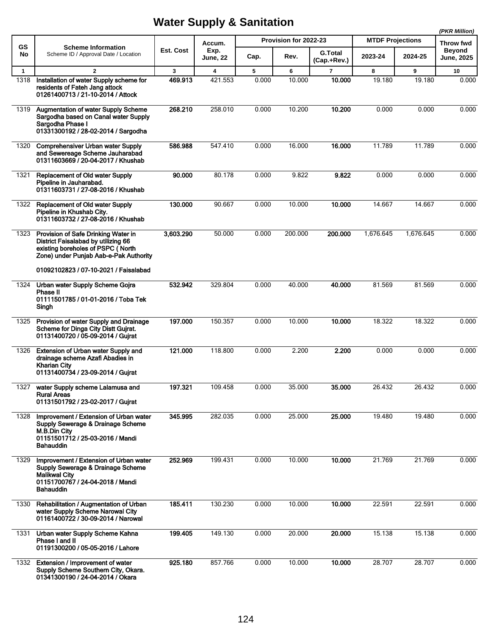|              |                                                                                                                                                             |           |                         |       |                       |                               |                         |           | (PKR Million)              |
|--------------|-------------------------------------------------------------------------------------------------------------------------------------------------------------|-----------|-------------------------|-------|-----------------------|-------------------------------|-------------------------|-----------|----------------------------|
| <b>GS</b>    | <b>Scheme Information</b>                                                                                                                                   | Est. Cost | Accum.                  |       | Provision for 2022-23 |                               | <b>MTDF Projections</b> |           | Throw fwd<br><b>Beyond</b> |
| No           | Scheme ID / Approval Date / Location                                                                                                                        |           | Exp.<br><b>June, 22</b> | Cap.  | Rev.                  | <b>G.Total</b><br>(Cap.+Rev.) | 2023-24                 | 2024-25   | <b>June, 2025</b>          |
| $\mathbf{1}$ | $\overline{2}$                                                                                                                                              | 3         | $\overline{\mathbf{4}}$ | 5     | 6                     | $\overline{7}$                | 8                       | 9         | 10                         |
| 1318         | Installation of water Supply scheme for<br>residents of Fateh Jang attock<br>01261400713 / 21-10-2014 / Attock                                              | 469.913   | 421.553                 | 0.000 | 10.000                | 10.000                        | 19.180                  | 19.180    | 0.000                      |
| 1319         | <b>Augmentation of water Supply Scheme</b><br>Sargodha based on Canal water Supply<br>Sargodha Phase I<br>01331300192 / 28-02-2014 / Sargodha               | 268.210   | 258.010                 | 0.000 | 10.200                | 10.200                        | 0.000                   | 0.000     | 0.000                      |
| 1320         | <b>Comprehensiver Urban water Supply</b><br>and Sewereage Scheme Jauharabad<br>01311603669 / 20-04-2017 / Khushab                                           | 586.988   | 547.410                 | 0.000 | 16.000                | 16.000                        | 11.789                  | 11.789    | 0.000                      |
| 1321         | <b>Replacement of Old water Supply</b><br>Pipeline in Jauharabad.<br>01311603731 / 27-08-2016 / Khushab                                                     | 90.000    | 80.178                  | 0.000 | 9.822                 | 9.822                         | 0.000                   | 0.000     | 0.000                      |
| 1322         | <b>Replacement of Old water Supply</b><br>Pipeline in Khushab City.<br>01311603732 / 27-08-2016 / Khushab                                                   | 130.000   | 90.667                  | 0.000 | 10.000                | 10.000                        | 14.667                  | 14.667    | 0.000                      |
| 1323         | Provision of Safe Drinking Water in<br>District Faisalabad by utilizing 66<br>existing boreholes of PSPC (North<br>Zone) under Punjab Aab-e-Pak Authority   | 3,603.290 | 50.000                  | 0.000 | 200.000               | 200.000                       | 1,676.645               | 1,676.645 | 0.000                      |
|              | 01092102823 / 07-10-2021 / Faisalabad                                                                                                                       |           |                         |       |                       |                               |                         |           |                            |
| 1324         | Urban water Supply Scheme Gojra<br>Phase II<br>01111501785 / 01-01-2016 / Toba Tek<br>Singh                                                                 | 532.942   | 329.804                 | 0.000 | 40.000                | 40.000                        | 81.569                  | 81.569    | 0.000                      |
| 1325         | Provision of water Supply and Drainage<br>Scheme for Dinga City Distt Gujrat.<br>01131400720 / 05-09-2014 / Gujrat                                          | 197.000   | 150.357                 | 0.000 | 10.000                | 10.000                        | 18.322                  | 18.322    | 0.000                      |
| 1326         | Extension of Urban water Supply and<br>drainage scheme Azafi Abadies in<br>Kharian City<br>01131400734 / 23-09-2014 / Gujrat                                | 121.000   | 118.800                 | 0.000 | 2.200                 | 2.200                         | 0.000                   | 0.000     | 0.000                      |
| 1327         | water Supply scheme Lalamusa and<br><b>Rural Areas</b><br>01131501792 / 23-02-2017 / Gujrat                                                                 | 197.321   | 109.458                 | 0.000 | 35.000                | 35.000                        | 26.432                  | 26.432    | 0.000                      |
| 1328         | Improvement / Extension of Urban water<br>Supply Sewerage & Drainage Scheme<br>M.B.Din City<br>01151501712 / 25-03-2016 / Mandi<br><b>Bahauddin</b>         | 345.995   | 282.035                 | 0.000 | 25.000                | 25.000                        | 19.480                  | 19.480    | 0.000                      |
| 1329         | Improvement / Extension of Urban water<br>Supply Sewerage & Drainage Scheme<br><b>Malikwal City</b><br>01151700767 / 24-04-2018 / Mandi<br><b>Bahauddin</b> | 252.969   | 199.431                 | 0.000 | 10.000                | 10.000                        | 21.769                  | 21.769    | 0.000                      |
| 1330         | Rehabilitation / Augmentation of Urban<br>water Supply Scheme Narowal City<br>01161400722 / 30-09-2014 / Narowal                                            | 185.411   | 130.230                 | 0.000 | 10.000                | 10.000                        | 22.591                  | 22.591    | 0.000                      |
| 1331         | Urban water Supply Scheme Kahna<br>Phase I and II<br>01191300200 / 05-05-2016 / Lahore                                                                      | 199.405   | 149.130                 | 0.000 | 20.000                | 20.000                        | 15.138                  | 15.138    | 0.000                      |
| 1332         | Extension / Improvement of water<br>Supply Scheme Southern City, Okara.<br>01341300190 / 24-04-2014 / Okara                                                 | 925.180   | 857.766                 | 0.000 | 10.000                | 10.000                        | 28.707                  | 28.707    | 0.000                      |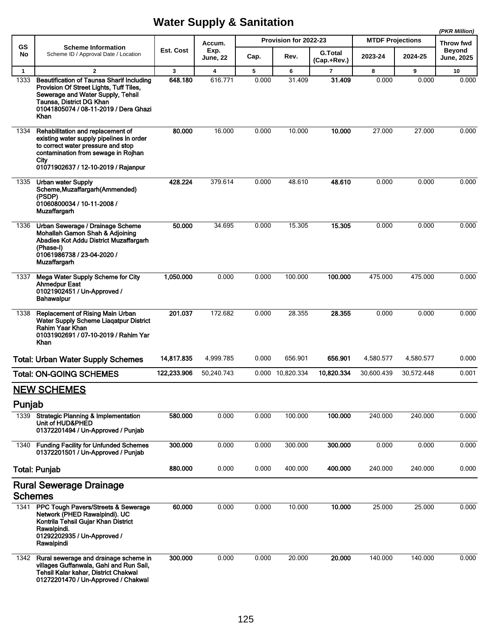|                |                                                                                                                                                                                                               |             |                  |       |                       |                               |                         |            | (PKR Million)                      |
|----------------|---------------------------------------------------------------------------------------------------------------------------------------------------------------------------------------------------------------|-------------|------------------|-------|-----------------------|-------------------------------|-------------------------|------------|------------------------------------|
| GS             | <b>Scheme Information</b>                                                                                                                                                                                     |             | Accum.           |       | Provision for 2022-23 |                               | <b>MTDF Projections</b> |            | Throw fwd                          |
| No             | Scheme ID / Approval Date / Location                                                                                                                                                                          | Est. Cost   | Exp.<br>June, 22 | Cap.  | Rev.                  | <b>G.Total</b><br>(Cap.+Rev.) | 2023-24                 | 2024-25    | <b>Beyond</b><br><b>June, 2025</b> |
| $\mathbf{1}$   | $\overline{2}$                                                                                                                                                                                                | 3           | 4                | 5     | 6                     | $\overline{7}$                | 8                       | 9          | 10                                 |
| 1333           | <b>Beautification of Taunsa Sharif Including</b><br>Provision Of Street Lights, Tuff Tiles,<br>Sewerage and Water Supply, Tehsil<br>Taunsa, District DG Khan<br>01041805074 / 08-11-2019 / Dera Ghazi<br>Khan | 648.180     | 616.771          | 0.000 | 31.409                | 31.409                        | 0.000                   | 0.000      | 0.000                              |
| 1334           | Rehabilitation and replacement of<br>existing water supply pipelines in order<br>to correct water pressure and stop<br>contamination from sewage in Rojhan<br>City<br>01071902637 / 12-10-2019 / Rajanpur     | 80.000      | 16.000           | 0.000 | 10.000                | 10.000                        | 27.000                  | 27.000     | 0.000                              |
| 1335           | <b>Urban water Supply</b><br>Scheme, Muzaffargarh (Ammended)<br>(PSDP)<br>01060800034 / 10-11-2008 /<br><b>Muzaffargarh</b>                                                                                   | 428.224     | 379.614          | 0.000 | 48.610                | 48.610                        | 0.000                   | 0.000      | 0.000                              |
| 1336           | Urban Sewerage / Drainage Scheme<br>Mohallah Gamon Shah & Adjoining<br>Abadies Kot Addu District Muzaffargarh<br>(Phase-I)<br>01061986738 / 23-04-2020 /<br><b>Muzaffargarh</b>                               | 50.000      | 34.695           | 0.000 | 15.305                | 15.305                        | 0.000                   | 0.000      | 0.000                              |
| 1337           | Mega Water Supply Scheme for City<br><b>Ahmedpur East</b><br>01021902451 / Un-Approved /<br><b>Bahawalpur</b>                                                                                                 | 1,050.000   | 0.000            | 0.000 | 100.000               | 100.000                       | 475.000                 | 475.000    | 0.000                              |
| 1338           | <b>Replacement of Rising Main Urban</b><br>Water Supply Scheme Liagatpur District<br>Rahim Yaar Khan<br>01031902691 / 07-10-2019 / Rahim Yar<br>Khan                                                          | 201.037     | 172.682          | 0.000 | 28.355                | 28.355                        | 0.000                   | 0.000      | 0.000                              |
|                | <b>Total: Urban Water Supply Schemes</b>                                                                                                                                                                      | 14,817.835  | 4,999.785        | 0.000 | 656.901               | 656.901                       | 4,580.577               | 4,580.577  | 0.000                              |
|                | <b>Total: ON-GOING SCHEMES</b>                                                                                                                                                                                | 122,233.906 | 50,240.743       |       | 0.000 10,820.334      | 10,820.334                    | 30,600.439              | 30,572.448 | 0.001                              |
|                | <b>NEW SCHEMES</b>                                                                                                                                                                                            |             |                  |       |                       |                               |                         |            |                                    |
| Punjab         |                                                                                                                                                                                                               |             |                  |       |                       |                               |                         |            |                                    |
| 1339           | <b>Strategic Planning &amp; Implementation</b><br>Unit of HUD&PHED<br>01372201494 / Un-Approved / Punjab                                                                                                      | 580.000     | 0.000            | 0.000 | 100.000               | 100.000                       | 240.000                 | 240.000    | 0.000                              |
| 1340           | <b>Funding Facility for Unfunded Schemes</b><br>01372201501 / Un-Approved / Punjab                                                                                                                            | 300.000     | 0.000            | 0.000 | 300.000               | 300.000                       | 0.000                   | 0.000      | 0.000                              |
|                | <b>Total: Punjab</b>                                                                                                                                                                                          | 880.000     | 0.000            | 0.000 | 400.000               | 400.000                       | 240.000                 | 240.000    | 0.000                              |
|                | <b>Rural Sewerage Drainage</b>                                                                                                                                                                                |             |                  |       |                       |                               |                         |            |                                    |
| <b>Schemes</b> |                                                                                                                                                                                                               |             |                  |       |                       |                               |                         |            |                                    |
|                | 1341 PPC Tough Pavers/Streets & Sewerage<br>Network (PHED Rawalpindi). UC<br>Kontrila Tehsil Gujar Khan District<br>Rawalpindi.<br>01292202935 / Un-Approved /<br>Rawalpindi                                  | 60.000      | 0.000            | 0.000 | 10.000                | 10.000                        | 25.000                  | 25.000     | 0.000                              |
| 1342           | Rural sewerage and drainage scheme in<br>villages Guffanwala, Gahi and Run Sail,<br>Tehsil Kalar kahar, District Chakwal<br>01272201470 / Un-Approved / Chakwal                                               | 300,000     | 0.000            | 0.000 | 20.000                | 20.000                        | 140.000                 | 140.000    | 0.000                              |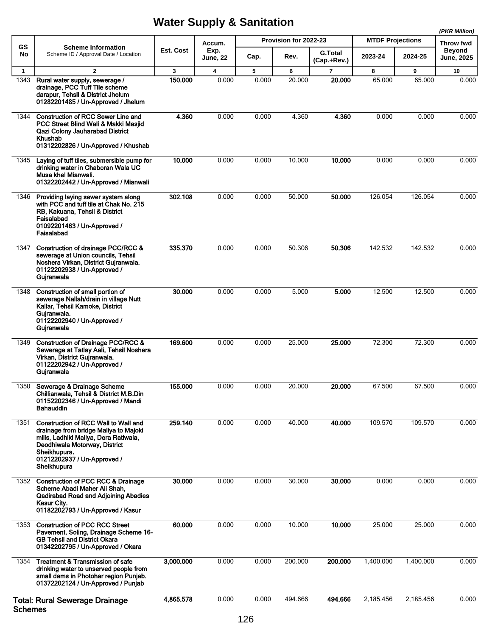|                      |                                                                                                                                                                                                                              |              |                                   | Provision for 2022-23 |             |                                   | (PKR Million)                      |             |                                          |
|----------------------|------------------------------------------------------------------------------------------------------------------------------------------------------------------------------------------------------------------------------|--------------|-----------------------------------|-----------------------|-------------|-----------------------------------|------------------------------------|-------------|------------------------------------------|
| <b>GS</b><br>No      | <b>Scheme Information</b><br>Scheme ID / Approval Date / Location                                                                                                                                                            | Est. Cost    | Accum.<br>Exp.<br><b>June, 22</b> | Cap.                  | Rev.        | <b>G.Total</b>                    | <b>MTDF Projections</b><br>2023-24 | 2024-25     | Throw fwd<br>Beyond<br><b>June, 2025</b> |
|                      | $\overline{2}$                                                                                                                                                                                                               |              |                                   |                       |             | (Cap.+Rev.)                       |                                    |             |                                          |
| $\mathbf{1}$<br>1343 | Rural water supply, sewerage /<br>drainage, PCC Tuff Tile scheme<br>darapur, Tehsil & District Jhelum<br>01282201485 / Un-Approved / Jhelum                                                                                  | 3<br>150.000 | 4<br>0.000                        | 5<br>0.000            | 6<br>20.000 | $\overline{\mathbf{r}}$<br>20,000 | 8<br>65.000                        | 9<br>65.000 | 10<br>0.000                              |
| 1344                 | <b>Construction of RCC Sewer Line and</b><br>PCC Street Blind Wali & Makki Masjid<br>Qazi Colony Jauharabad District<br>Khushab<br>01312202826 / Un-Approved / Khushab                                                       | 4.360        | 0.000                             | 0.000                 | 4.360       | 4.360                             | 0.000                              | 0.000       | 0.000                                    |
| 1345                 | Laying of tuff tiles, submersible pump for<br>drinking water in Chaboran Wala UC<br>Musa khel Mianwali.<br>01322202442 / Un-Approved / Mianwali                                                                              | 10.000       | 0.000                             | 0.000                 | 10.000      | 10.000                            | 0.000                              | 0.000       | 0.000                                    |
| 1346                 | Providing laying sewer system along<br>with PCC and tuff tile at Chak No. 215<br>RB, Kakuana, Tehsil & District<br>Faisalabad<br>01092201463 / Un-Approved /<br>Faisalabad                                                   | 302.108      | 0.000                             | 0.000                 | 50.000      | 50.000                            | 126.054                            | 126.054     | 0.000                                    |
| 1347                 | Construction of drainage PCC/RCC &<br>sewerage at Union councils, Tehsil<br>Noshera Virkan, District Gujranwala.<br>01122202938 / Un-Approved /<br>Gujranwala                                                                | 335.370      | 0.000                             | 0.000                 | 50.306      | 50.306                            | 142.532                            | 142.532     | 0.000                                    |
| 1348                 | Construction of small portion of<br>sewerage Nallah/drain in village Nutt<br>Kallar, Tehsil Kamoke, District<br>Gujranwala.<br>01122202940 / Un-Approved /<br>Gujranwala                                                     | 30.000       | 0.000                             | 0.000                 | 5.000       | 5.000                             | 12.500                             | 12.500      | 0.000                                    |
| 1349                 | <b>Construction of Drainage PCC/RCC &amp;</b><br>Sewerage at Tatlay Aali, Tehsil Noshera<br>Virkan, District Gujranwala.<br>01122202942 / Un-Approved /<br>Gujranwala                                                        | 169,600      | 0.000                             | 0.000                 | 25.000      | 25,000                            | 72.300                             | 72.300      | 0.000                                    |
| 1350                 | Sewerage & Drainage Scheme<br>Chillianwala, Tehsil & District M.B.Din<br>01152202346 / Un-Approved / Mandi<br><b>Bahauddin</b>                                                                                               | 155.000      | 0.000                             | 0.000                 | 20.000      | 20.000                            | 67.500                             | 67.500      | 0.000                                    |
| 1351                 | <b>Construction of RCC Wall to Wall and</b><br>drainage from bridge Maliya to Majoki<br>mills, Ladhiki Maliya, Dera Ratiwala,<br>Deodhiwala Motorway, District<br>Sheikhupura.<br>01212202937 / Un-Approved /<br>Sheikhupura | 259.140      | 0.000                             | 0.000                 | 40.000      | 40.000                            | 109.570                            | 109.570     | 0.000                                    |
| 1352                 | <b>Construction of PCC RCC &amp; Drainage</b><br>Scheme Abadi Maher Ali Shah,<br><b>Qadirabad Road and Adjoining Abadies</b><br>Kasur City.<br>01182202793 / Un-Approved / Kasur                                             | 30.000       | 0.000                             | 0.000                 | 30.000      | 30.000                            | 0.000                              | 0.000       | 0.000                                    |
| 1353                 | <b>Construction of PCC RCC Street</b><br>Pavement, Soling, Drainage Scheme 16-<br><b>GB Tehsil and District Okara</b><br>01342202795 / Un-Approved / Okara                                                                   | 60.000       | 0.000                             | 0.000                 | 10.000      | 10.000                            | 25.000                             | 25.000      | 0.000                                    |
| 1354                 | Treatment & Transmission of safe<br>drinking water to unserved people from<br>small dams in Photohar region Punjab.<br>01372202124 / Un-Approved / Punjab                                                                    | 3,000.000    | 0.000                             | 0.000                 | 200.000     | 200.000                           | 1,400.000                          | 1,400.000   | 0.000                                    |
| <b>Schemes</b>       | <b>Total: Rural Sewerage Drainage</b>                                                                                                                                                                                        | 4,865.578    | 0.000                             | 0.000                 | 494.666     | 494.666                           | 2,185.456                          | 2,185.456   | 0.000                                    |